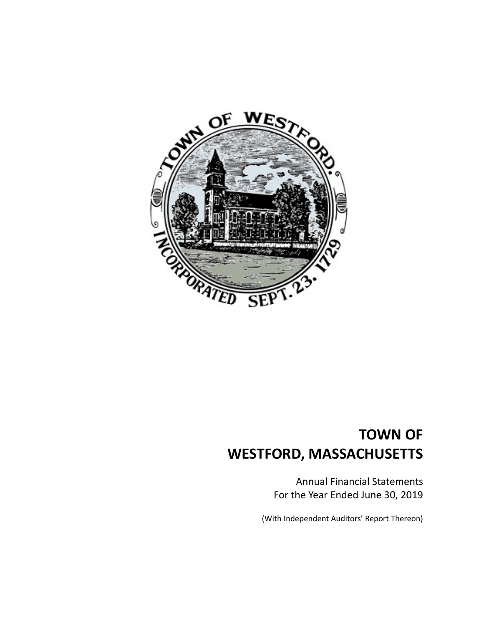

Annual Financial Statements For the Year Ended June 30, 2019

(With Independent Auditors' Report Thereon)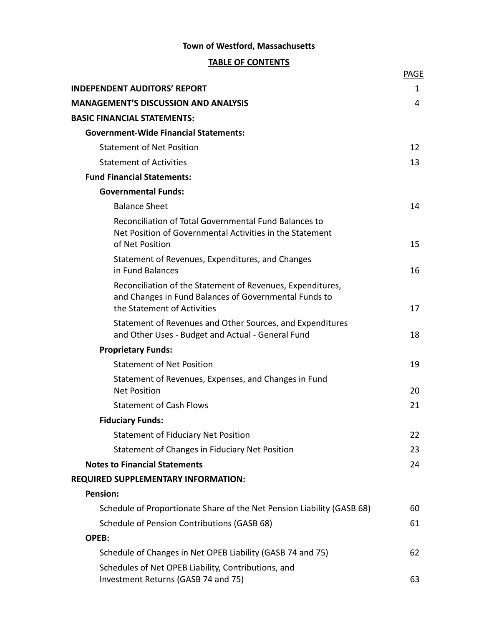# **Town of Westford, Massachusetts**

# **TABLE OF CONTENTS**

|                                                                                                                                                    | <b>PAGE</b> |
|----------------------------------------------------------------------------------------------------------------------------------------------------|-------------|
| <b>INDEPENDENT AUDITORS' REPORT</b>                                                                                                                | 1           |
| <b>MANAGEMENT'S DISCUSSION AND ANALYSIS</b>                                                                                                        | 4           |
| <b>BASIC FINANCIAL STATEMENTS:</b>                                                                                                                 |             |
| <b>Government-Wide Financial Statements:</b>                                                                                                       |             |
| <b>Statement of Net Position</b>                                                                                                                   | 12          |
| <b>Statement of Activities</b>                                                                                                                     | 13          |
| <b>Fund Financial Statements:</b>                                                                                                                  |             |
| <b>Governmental Funds:</b>                                                                                                                         |             |
| <b>Balance Sheet</b>                                                                                                                               | 14          |
| Reconciliation of Total Governmental Fund Balances to<br>Net Position of Governmental Activities in the Statement<br>of Net Position               | 15          |
| Statement of Revenues, Expenditures, and Changes<br>in Fund Balances                                                                               | 16          |
| Reconciliation of the Statement of Revenues, Expenditures,<br>and Changes in Fund Balances of Governmental Funds to<br>the Statement of Activities | 17          |
| Statement of Revenues and Other Sources, and Expenditures<br>and Other Uses - Budget and Actual - General Fund                                     | 18          |
| <b>Proprietary Funds:</b>                                                                                                                          |             |
| <b>Statement of Net Position</b>                                                                                                                   | 19          |
| Statement of Revenues, Expenses, and Changes in Fund<br><b>Net Position</b>                                                                        | 20          |
| <b>Statement of Cash Flows</b>                                                                                                                     | 21          |
| <b>Fiduciary Funds:</b>                                                                                                                            |             |
| <b>Statement of Fiduciary Net Position</b>                                                                                                         | 22          |
| Statement of Changes in Fiduciary Net Position                                                                                                     | 23          |
| <b>Notes to Financial Statements</b>                                                                                                               | 24          |
| <b>REQUIRED SUPPLEMENTARY INFORMATION:</b>                                                                                                         |             |
| <b>Pension:</b>                                                                                                                                    |             |
| Schedule of Proportionate Share of the Net Pension Liability (GASB 68)                                                                             | 60          |
| Schedule of Pension Contributions (GASB 68)                                                                                                        | 61          |
| OPEB:                                                                                                                                              |             |
| Schedule of Changes in Net OPEB Liability (GASB 74 and 75)                                                                                         | 62          |
| Schedules of Net OPEB Liability, Contributions, and<br>Investment Returns (GASB 74 and 75)                                                         | 63          |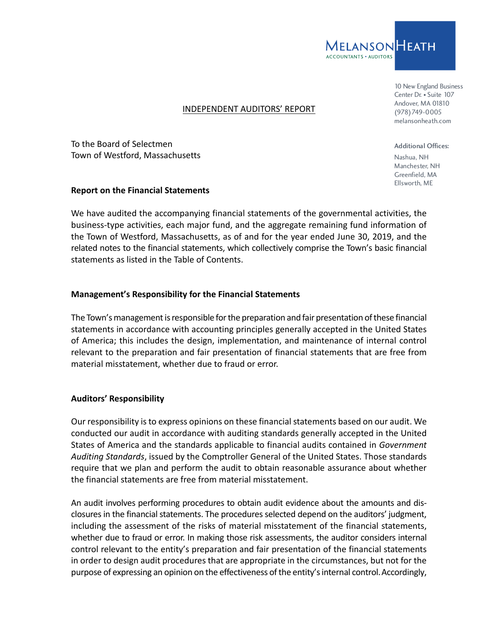

#### INDEPENDENT AUDITORS' REPORT

To the Board of Selectmen Town of Westford, Massachusetts

#### **Report on the Financial Statements**

We have audited the accompanying financial statements of the governmental activities, the business‐type activities, each major fund, and the aggregate remaining fund information of the Town of Westford, Massachusetts, as of and for the year ended June 30, 2019, and the related notes to the financial statements, which collectively comprise the Town's basic financial statements as listed in the Table of Contents.

#### **Management's Responsibility for the Financial Statements**

The Town's management is responsible for the preparation and fair presentation of these financial statements in accordance with accounting principles generally accepted in the United States of America; this includes the design, implementation, and maintenance of internal control relevant to the preparation and fair presentation of financial statements that are free from material misstatement, whether due to fraud or error.

#### **Auditors' Responsibility**

Our responsibility is to express opinions on these financial statements based on our audit. We conducted our audit in accordance with auditing standards generally accepted in the United States of America and the standards applicable to financial audits contained in *Government Auditing Standards*, issued by the Comptroller General of the United States. Those standards require that we plan and perform the audit to obtain reasonable assurance about whether the financial statements are free from material misstatement.

An audit involves performing procedures to obtain audit evidence about the amounts and dis‐ closures in the financial statements. The procedures selected depend on the auditors' judgment, including the assessment of the risks of material misstatement of the financial statements, whether due to fraud or error. In making those risk assessments, the auditor considers internal control relevant to the entity's preparation and fair presentation of the financial statements in order to design audit procedures that are appropriate in the circumstances, but not for the purpose of expressing an opinion on the effectiveness of the entity's internal control.Accordingly,

10 New England Business Center Dr. • Suite 107 Andover, MA 01810 (978)749-0005 melansonheath.com

Additional Offices: Nashua, NH Manchester, NH Greenfield, MA Ellsworth, ME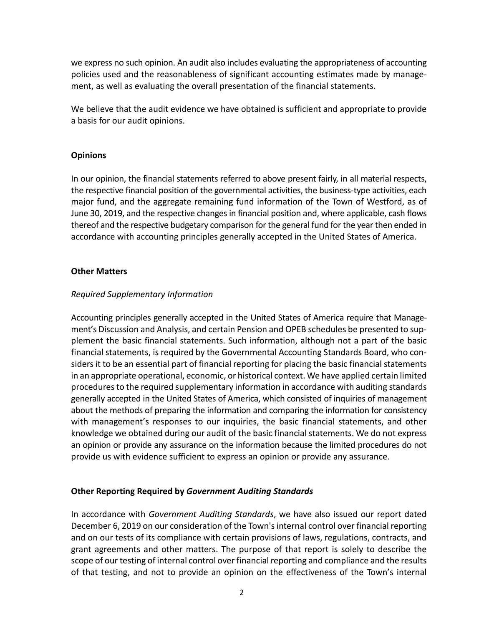we express no such opinion. An audit also includes evaluating the appropriateness of accounting policies used and the reasonableness of significant accounting estimates made by manage‐ ment, as well as evaluating the overall presentation of the financial statements.

We believe that the audit evidence we have obtained is sufficient and appropriate to provide a basis for our audit opinions.

# **Opinions**

In our opinion, the financial statements referred to above present fairly, in all material respects, the respective financial position of the governmental activities, the business‐type activities, each major fund, and the aggregate remaining fund information of the Town of Westford, as of June 30, 2019, and the respective changes in financial position and, where applicable, cash flows thereof and the respective budgetary comparison for the general fund for the year then ended in accordance with accounting principles generally accepted in the United States of America.

# **Other Matters**

# *Required Supplementary Information*

Accounting principles generally accepted in the United States of America require that Manage‐ ment's Discussion and Analysis, and certain Pension and OPEB schedules be presented to sup‐ plement the basic financial statements. Such information, although not a part of the basic financial statements, is required by the Governmental Accounting Standards Board, who con‐ siders it to be an essential part of financial reporting for placing the basic financial statements in an appropriate operational, economic, or historical context. We have applied certain limited procedures to the required supplementary information in accordance with auditing standards generally accepted in the United States of America, which consisted of inquiries of management about the methods of preparing the information and comparing the information for consistency with management's responses to our inquiries, the basic financial statements, and other knowledge we obtained during our audit of the basic financial statements. We do not express an opinion or provide any assurance on the information because the limited procedures do not provide us with evidence sufficient to express an opinion or provide any assurance.

# **Other Reporting Required by** *Government Auditing Standards*

In accordance with *Government Auditing Standards*, we have also issued our report dated December 6, 2019 on our consideration of the Town's internal control over financial reporting and on our tests of its compliance with certain provisions of laws, regulations, contracts, and grant agreements and other matters. The purpose of that report is solely to describe the scope of our testing of internal control over financial reporting and compliance and the results of that testing, and not to provide an opinion on the effectiveness of the Town's internal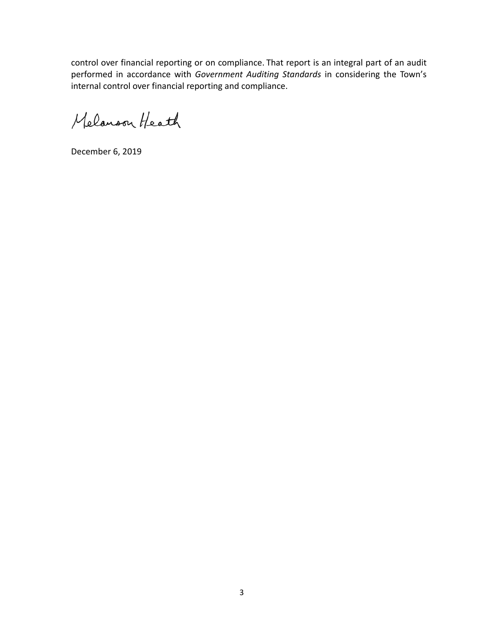control over financial reporting or on compliance. That report is an integral part of an audit performed in accordance with *Government Auditing Standards* in considering the Town's internal control over financial reporting and compliance.

Melanson Heath

December 6, 2019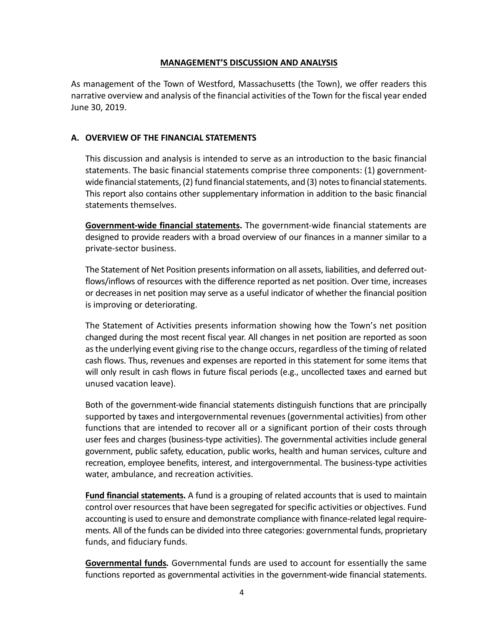# **MANAGEMENT'S DISCUSSION AND ANALYSIS**

As management of the Town of Westford, Massachusetts (the Town), we offer readers this narrative overview and analysis of the financial activities of the Town for the fiscal year ended June 30, 2019.

### **A. OVERVIEW OF THE FINANCIAL STATEMENTS**

This discussion and analysis is intended to serve as an introduction to the basic financial statements. The basic financial statements comprise three components: (1) government‐ wide financial statements, (2) fund financial statements, and (3) notes to financial statements. This report also contains other supplementary information in addition to the basic financial statements themselves.

**Government‐wide financial statements.** The government‐wide financial statements are designed to provide readers with a broad overview of our finances in a manner similar to a private‐sector business.

The Statement of Net Position presents information on all assets, liabilities, and deferred out‐ flows/inflows of resources with the difference reported as net position. Over time, increases or decreases in net position may serve as a useful indicator of whether the financial position is improving or deteriorating.

The Statement of Activities presents information showing how the Town's net position changed during the most recent fiscal year. All changes in net position are reported as soon as the underlying event giving rise to the change occurs, regardless of the timing of related cash flows. Thus, revenues and expenses are reported in this statement for some items that will only result in cash flows in future fiscal periods (e.g., uncollected taxes and earned but unused vacation leave).

Both of the government-wide financial statements distinguish functions that are principally supported by taxes and intergovernmental revenues (governmental activities) from other functions that are intended to recover all or a significant portion of their costs through user fees and charges (business‐type activities). The governmental activities include general government, public safety, education, public works, health and human services, culture and recreation, employee benefits, interest, and intergovernmental. The business‐type activities water, ambulance, and recreation activities.

**Fund financial statements.** A fund is a grouping of related accounts that is used to maintain control over resources that have been segregated for specific activities or objectives. Fund accounting is used to ensure and demonstrate compliance with finance-related legal requirements. All of the funds can be divided into three categories: governmental funds, proprietary funds, and fiduciary funds.

**Governmental funds***.* Governmental funds are used to account for essentially the same functions reported as governmental activities in the government-wide financial statements.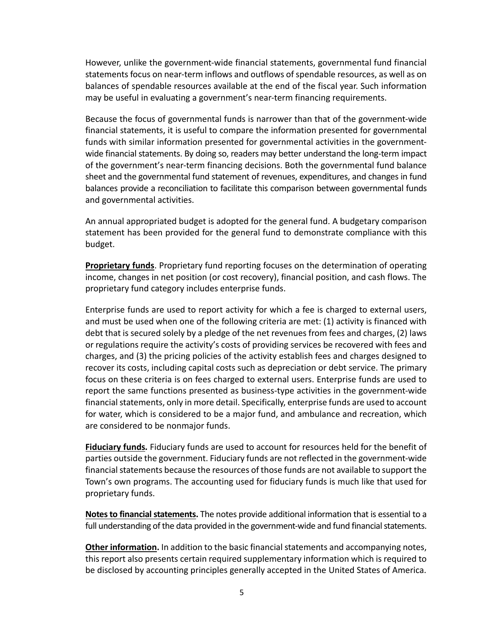However, unlike the government‐wide financial statements, governmental fund financial statements focus on near‐term inflows and outflows of spendable resources, as well as on balances of spendable resources available at the end of the fiscal year. Such information may be useful in evaluating a government's near‐term financing requirements.

Because the focus of governmental funds is narrower than that of the government‐wide financial statements, it is useful to compare the information presented for governmental funds with similar information presented for governmental activities in the government‐ wide financial statements. By doing so, readers may better understand the long-term impact of the government's near-term financing decisions. Both the governmental fund balance sheet and the governmental fund statement of revenues, expenditures, and changes in fund balances provide a reconciliation to facilitate this comparison between governmental funds and governmental activities.

An annual appropriated budget is adopted for the general fund. A budgetary comparison statement has been provided for the general fund to demonstrate compliance with this budget.

**Proprietary funds**. Proprietary fund reporting focuses on the determination of operating income, changes in net position (or cost recovery), financial position, and cash flows. The proprietary fund category includes enterprise funds.

Enterprise funds are used to report activity for which a fee is charged to external users, and must be used when one of the following criteria are met: (1) activity is financed with debt that is secured solely by a pledge of the net revenues from fees and charges, (2) laws or regulations require the activity's costs of providing services be recovered with fees and charges, and (3) the pricing policies of the activity establish fees and charges designed to recover its costs, including capital costs such as depreciation or debt service. The primary focus on these criteria is on fees charged to external users. Enterprise funds are used to report the same functions presented as business-type activities in the government-wide financial statements, only in more detail. Specifically, enterprise funds are used to account for water, which is considered to be a major fund, and ambulance and recreation, which are considered to be nonmajor funds.

**Fiduciary funds***.* Fiduciary funds are used to account for resources held for the benefit of parties outside the government. Fiduciary funds are not reflected in the government‐wide financial statements because the resources of those funds are not available to support the Town's own programs. The accounting used for fiduciary funds is much like that used for proprietary funds.

**Notes to financial statements.** The notes provide additional information that is essential to a full understanding of the data provided in the government-wide and fund financial statements.

**Other information.** In addition to the basic financial statements and accompanying notes, this report also presents certain required supplementary information which is required to be disclosed by accounting principles generally accepted in the United States of America.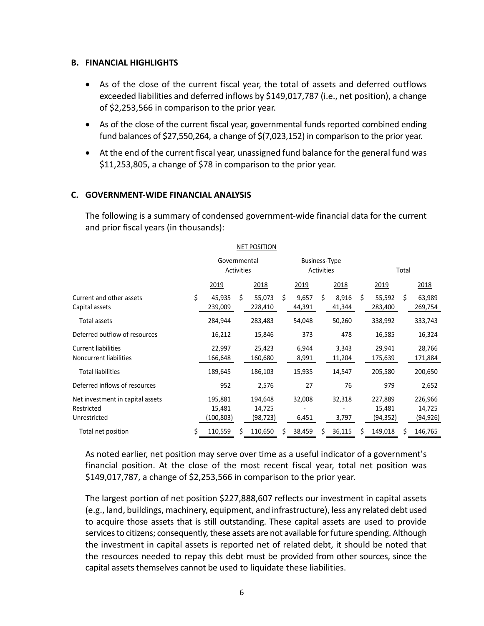### **B. FINANCIAL HIGHLIGHTS**

- As of the close of the current fiscal year, the total of assets and deferred outflows exceeded liabilities and deferred inflows by \$149,017,787 (i.e., net position), a change of \$2,253,566 in comparison to the prior year.
- As of the close of the current fiscal year, governmental funds reported combined ending fund balances of \$27,550,264, a change of \$(7,023,152) in comparison to the prior year.
- At the end of the current fiscal year, unassigned fund balance for the general fund was \$11,253,805, a change of \$78 in comparison to the prior year.

# **C. GOVERNMENT‐WIDE FINANCIAL ANALYSIS**

The following is a summary of condensed government‐wide financial data for the current and prior fiscal years (in thousands):

|                                                                | <b>NET POSITION</b> |                                |    |                               |    |                      |            |                 |       |                               |   |                                |  |
|----------------------------------------------------------------|---------------------|--------------------------------|----|-------------------------------|----|----------------------|------------|-----------------|-------|-------------------------------|---|--------------------------------|--|
|                                                                |                     | Governmental<br>Activities     |    |                               |    | <b>Business-Type</b> | Activities |                 | Total |                               |   |                                |  |
|                                                                |                     | 2019                           |    | 2018                          |    | 2019                 |            | 2018            |       | 2019                          |   | 2018                           |  |
| Current and other assets<br>Capital assets                     | \$                  | 45,935<br>239,009              | Ś. | 55,073<br>228,410             | S  | 9,657<br>44,391      | Ŝ.         | 8,916<br>41,344 | Ŝ.    | 55,592<br>283,400             | Ś | 63,989<br>269,754              |  |
| Total assets                                                   |                     | 284,944                        |    | 283,483                       |    | 54,048               |            | 50,260          |       | 338,992                       |   | 333,743                        |  |
| Deferred outflow of resources                                  |                     | 16,212                         |    | 15,846                        |    | 373                  |            | 478             |       | 16,585                        |   | 16,324                         |  |
| <b>Current liabilities</b><br>Noncurrent liabilities           |                     | 22,997<br>166,648              |    | 25,423<br>160,680             |    | 6,944<br>8,991       |            | 3,343<br>11,204 |       | 29,941<br>175,639             |   | 28,766<br>171,884              |  |
| <b>Total liabilities</b>                                       |                     | 189,645                        |    | 186,103                       |    | 15,935               |            | 14,547          |       | 205,580                       |   | 200,650                        |  |
| Deferred inflows of resources                                  |                     | 952                            |    | 2,576                         |    | 27                   |            | 76              |       | 979                           |   | 2,652                          |  |
| Net investment in capital assets<br>Restricted<br>Unrestricted |                     | 195,881<br>15,481<br>(100,803) |    | 194,648<br>14,725<br>(98,723) |    | 32,008<br>6,451      |            | 32,318<br>3,797 |       | 227,889<br>15,481<br>(94,352) |   | 226,966<br>14,725<br>(94, 926) |  |
| Total net position                                             |                     | 110,559                        | \$ | 110,650                       | S. | 38,459               | S.         | 36,115          | S.    | 149,018                       | Ś | 146,765                        |  |

As noted earlier, net position may serve over time as a useful indicator of a government's financial position. At the close of the most recent fiscal year, total net position was \$149,017,787, a change of \$2,253,566 in comparison to the prior year.

The largest portion of net position \$227,888,607 reflects our investment in capital assets (e.g., land, buildings, machinery, equipment, and infrastructure), less any related debt used to acquire those assets that is still outstanding. These capital assets are used to provide services to citizens; consequently, these assets are not available for future spending. Although the investment in capital assets is reported net of related debt, it should be noted that the resources needed to repay this debt must be provided from other sources, since the capital assets themselves cannot be used to liquidate these liabilities.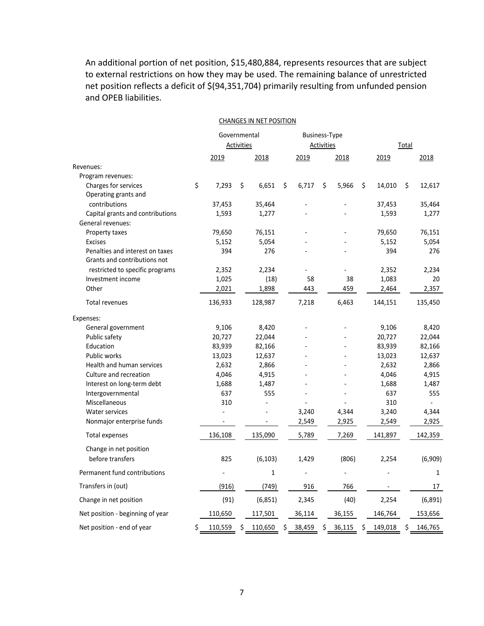An additional portion of net position, \$15,480,884, represents resources that are subject to external restrictions on how they may be used. The remaining balance of unrestricted net position reflects a deficit of \$(94,351,704) primarily resulting from unfunded pension and OPEB liabilities.

|                                  |                   | <b>CHANGES IN NET POSITION</b> |               |                   |        |               |       |          |
|----------------------------------|-------------------|--------------------------------|---------------|-------------------|--------|---------------|-------|----------|
|                                  | Governmental      |                                | Business-Type |                   |        |               |       |          |
|                                  | <b>Activities</b> |                                |               | <b>Activities</b> |        |               | Total |          |
|                                  | 2019              | 2018                           | 2019          |                   | 2018   | 2019          |       | 2018     |
| Revenues:                        |                   |                                |               |                   |        |               |       |          |
| Program revenues:                |                   |                                |               |                   |        |               |       |          |
| Charges for services             | \$<br>7,293       | \$<br>6,651                    | \$<br>6,717   | \$                | 5,966  | \$<br>14,010  | \$    | 12,617   |
| Operating grants and             |                   |                                |               |                   |        |               |       |          |
| contributions                    | 37,453            | 35,464                         |               |                   |        | 37,453        |       | 35,464   |
| Capital grants and contributions | 1,593             | 1,277                          |               |                   |        | 1,593         |       | 1,277    |
| General revenues:                |                   |                                |               |                   |        |               |       |          |
| Property taxes                   | 79,650            | 76,151                         |               |                   |        | 79,650        |       | 76,151   |
| <b>Excises</b>                   | 5,152             | 5,054                          |               |                   |        | 5,152         |       | 5,054    |
| Penalties and interest on taxes  | 394               | 276                            |               |                   |        | 394           |       | 276      |
| Grants and contributions not     |                   |                                |               |                   |        |               |       |          |
| restricted to specific programs  | 2,352             | 2,234                          |               |                   |        | 2,352         |       | 2,234    |
| Investment income                | 1,025             | (18)                           | 58            |                   | 38     | 1,083         |       | 20       |
| Other                            | 2,021             | 1,898                          | 443           |                   | 459    | 2,464         |       | 2,357    |
| Total revenues                   | 136,933           | 128,987                        | 7,218         |                   | 6,463  | 144,151       |       | 135,450  |
| Expenses:                        |                   |                                |               |                   |        |               |       |          |
| General government               | 9,106             | 8,420                          |               |                   |        | 9,106         |       | 8,420    |
| Public safety                    | 20,727            | 22,044                         |               |                   |        | 20,727        |       | 22,044   |
| Education                        | 83,939            | 82,166                         |               |                   |        | 83,939        |       | 82,166   |
| <b>Public works</b>              | 13,023            | 12,637                         |               |                   |        | 13,023        |       | 12,637   |
| Health and human services        | 2,632             | 2,866                          |               |                   |        | 2,632         |       | 2,866    |
| Culture and recreation           | 4,046             | 4,915                          |               |                   |        | 4,046         |       | 4,915    |
| Interest on long-term debt       | 1,688             | 1,487                          |               |                   |        | 1,688         |       | 1,487    |
| Intergovernmental                | 637               | 555                            |               |                   |        | 637           |       | 555      |
| Miscellaneous                    | 310               | $\overline{\phantom{m}}$       |               |                   |        | 310           |       |          |
| Water services                   | $\overline{a}$    |                                | 3,240         |                   | 4,344  | 3,240         |       | 4,344    |
| Nonmajor enterprise funds        |                   |                                | 2,549         |                   | 2,925  | 2,549         |       | 2,925    |
| Total expenses                   | 136,108           | 135,090                        | 5,789         |                   | 7,269  | 141,897       |       | 142,359  |
| Change in net position           |                   |                                |               |                   |        |               |       |          |
| before transfers                 | 825               | (6, 103)                       | 1,429         |                   | (806)  | 2,254         |       | (6,909)  |
| Permanent fund contributions     |                   | $\mathbf 1$                    |               |                   |        |               |       | 1        |
| Transfers in (out)               | (916)             | (749)                          | 916           |                   | 766    |               |       | 17       |
| Change in net position           | (91)              | (6,851)                        | 2,345         |                   | (40)   | 2,254         |       | (6, 891) |
| Net position - beginning of year | 110,650           | 117,501                        | 36,114        |                   | 36,155 | 146,764       |       | 153,656  |
| Net position - end of year       | \$<br>110,559     | \$<br>110,650                  | \$<br>38,459  | \$                | 36,115 | \$<br>149,018 | \$    | 146,765  |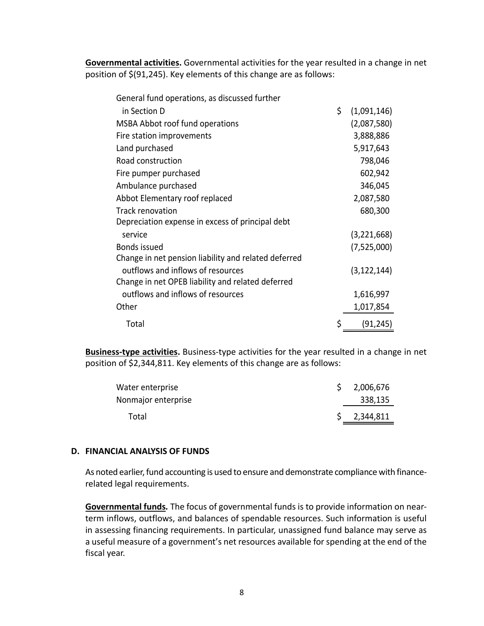**Governmental activities.** Governmental activities for the year resulted in a change in net position of \$(91,245). Key elements of this change are as follows:

| General fund operations, as discussed further        |                   |
|------------------------------------------------------|-------------------|
| in Section D                                         | \$<br>(1,091,146) |
| MSBA Abbot roof fund operations                      | (2,087,580)       |
| Fire station improvements                            | 3,888,886         |
| Land purchased                                       | 5,917,643         |
| Road construction                                    | 798,046           |
| Fire pumper purchased                                | 602,942           |
| Ambulance purchased                                  | 346,045           |
| Abbot Elementary roof replaced                       | 2,087,580         |
| <b>Track renovation</b>                              | 680,300           |
| Depreciation expense in excess of principal debt     |                   |
| service                                              | (3,221,668)       |
| Bonds issued                                         | (7,525,000)       |
| Change in net pension liability and related deferred |                   |
| outflows and inflows of resources                    | (3, 122, 144)     |
| Change in net OPEB liability and related deferred    |                   |
| outflows and inflows of resources                    | 1,616,997         |
| Other                                                | 1,017,854         |
| Total                                                | \$<br>(91, 245)   |

**Business‐type activities.** Business‐type activities for the year resulted in a change in net position of \$2,344,811. Key elements of this change are as follows:

| Water enterprise    | \$2,006,676 |
|---------------------|-------------|
| Nonmajor enterprise | 338,135     |
| Total               | 2,344,811   |

# **D. FINANCIAL ANALYSIS OF FUNDS**

As noted earlier, fund accounting is used to ensure and demonstrate compliance with finance‐ related legal requirements.

**Governmental funds***.* The focus of governmental funds is to provide information on near‐ term inflows, outflows, and balances of spendable resources. Such information is useful in assessing financing requirements. In particular, unassigned fund balance may serve as a useful measure of a government's net resources available for spending at the end of the fiscal year.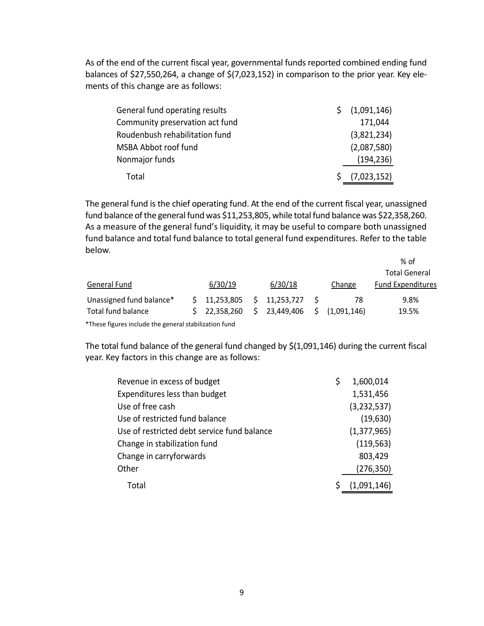As of the end of the current fiscal year, governmental funds reported combined ending fund balances of \$27,550,264, a change of \$(7,023,152) in comparison to the prior year. Key ele‐ ments of this change are as follows:

| General fund operating results  | S  | (1,091,146) |
|---------------------------------|----|-------------|
| Community preservation act fund |    | 171,044     |
| Roudenbush rehabilitation fund  |    | (3,821,234) |
| MSBA Abbot roof fund            |    | (2,087,580) |
| Nonmajor funds                  |    | (194, 236)  |
| Total                           | Ŝ. | (7,023,152) |

The general fund is the chief operating fund. At the end of the current fiscal year, unassigned fund balance of the general fund was \$11,253,805, while total fund balance was \$22,358,260. As a measure of the general fund's liquidity, it may be useful to compare both unassigned fund balance and total fund balance to total general fund expenditures. Refer to the table below.

|                          |              |              |             | $%$ of                   |
|--------------------------|--------------|--------------|-------------|--------------------------|
|                          |              |              |             | <b>Total General</b>     |
| General Fund             | 6/30/19      | 6/30/18      | Change      | <b>Fund Expenditures</b> |
| Unassigned fund balance* | \$11,253,805 | \$11,253,727 | 78          | 9.8%                     |
| Total fund balance       | \$22,358,260 | \$23,449,406 | (1,091,146) | 19.5%                    |
|                          |              |              |             |                          |

\*These figures include the general stabilization fund

The total fund balance of the general fund changed by \$(1,091,146) during the current fiscal year. Key factors in this change are as follows:

| Revenue in excess of budget                 | \$ | 1,600,014     |
|---------------------------------------------|----|---------------|
| Expenditures less than budget               |    | 1,531,456     |
| Use of free cash                            |    | (3, 232, 537) |
| Use of restricted fund balance              |    | (19,630)      |
| Use of restricted debt service fund balance |    | (1,377,965)   |
| Change in stabilization fund                |    | (119, 563)    |
| Change in carryforwards                     |    | 803,429       |
| Other                                       |    | (276, 350)    |
| Total                                       | S. | (1,091,146)   |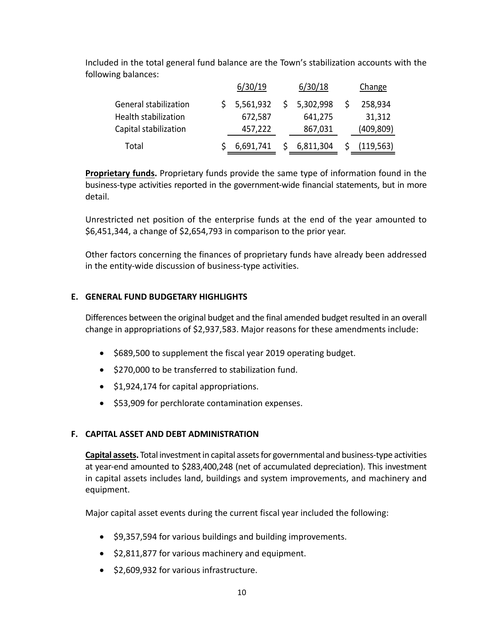|                              | 6/30/19     | 6/30/18     | Change     |
|------------------------------|-------------|-------------|------------|
| <b>General stabilization</b> | \$5,561,932 | \$5,302,998 | 258,934    |
| <b>Health stabilization</b>  | 672,587     | 641,275     | 31,312     |
| Capital stabilization        | 457,222     | 867,031     | (409, 809) |
| Total                        | 6,691,741   | 6,811,304   | (119, 563) |

Included in the total general fund balance are the Town's stabilization accounts with the following balances:

**Proprietary funds.** Proprietary funds provide the same type of information found in the business‐type activities reported in the government‐wide financial statements, but in more detail.

Unrestricted net position of the enterprise funds at the end of the year amounted to \$6,451,344, a change of \$2,654,793 in comparison to the prior year.

Other factors concerning the finances of proprietary funds have already been addressed in the entity‐wide discussion of business‐type activities.

# **E. GENERAL FUND BUDGETARY HIGHLIGHTS**

Differences between the original budget and the final amended budget resulted in an overall change in appropriations of \$2,937,583. Major reasons for these amendments include:

- \$689,500 to supplement the fiscal year 2019 operating budget.
- $\bullet$  \$270,000 to be transferred to stabilization fund.
- \$1,924,174 for capital appropriations.
- $\bullet$  \$53,909 for perchlorate contamination expenses.

# **F. CAPITAL ASSET AND DEBT ADMINISTRATION**

**Capital assets.** Total investment in capital assets for governmental and business‐type activities at year‐end amounted to \$283,400,248 (net of accumulated depreciation). This investment in capital assets includes land, buildings and system improvements, and machinery and equipment.

Major capital asset events during the current fiscal year included the following:

- \$9,357,594 for various buildings and building improvements.
- $\bullet$  \$2,811,877 for various machinery and equipment.
- $\bullet$  \$2,609,932 for various infrastructure.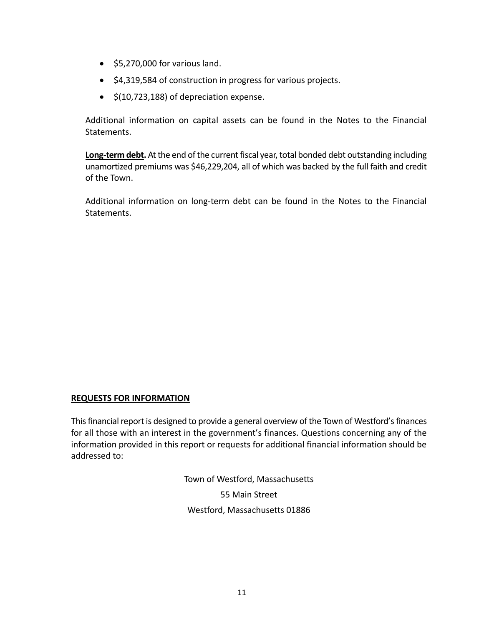- $\bullet$  \$5,270,000 for various land.
- \$4,319,584 of construction in progress for various projects.
- $\bullet$  \$(10,723,188) of depreciation expense.

Additional information on capital assets can be found in the Notes to the Financial Statements.

**Long‐term debt.** At the end of the current fiscal year, total bonded debt outstanding including unamortized premiums was \$46,229,204, all of which was backed by the full faith and credit of the Town.

Additional information on long-term debt can be found in the Notes to the Financial Statements.

# **REQUESTS FOR INFORMATION**

This financial report is designed to provide a general overview of the Town of Westford's finances for all those with an interest in the government's finances. Questions concerning any of the information provided in this report or requests for additional financial information should be addressed to:

> Town of Westford, Massachusetts 55 Main Street Westford, Massachusetts 01886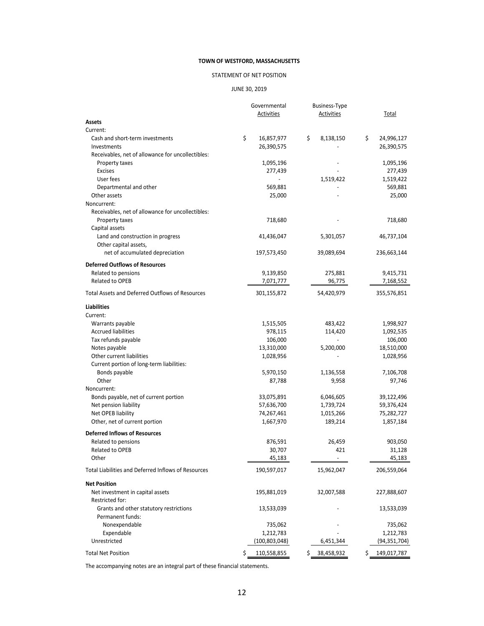#### STATEMENT OF NET POSITION

#### JUNE 30, 2019

|                                                            |    | Governmental<br><b>Activities</b> |    | <b>Business-Type</b><br>Activities | Total                          |
|------------------------------------------------------------|----|-----------------------------------|----|------------------------------------|--------------------------------|
| Assets                                                     |    |                                   |    |                                    |                                |
| Current:                                                   |    |                                   |    |                                    |                                |
| Cash and short-term investments<br>Investments             | \$ | 16,857,977<br>26,390,575          | \$ | 8,138,150                          | \$<br>24,996,127<br>26,390,575 |
| Receivables, net of allowance for uncollectibles:          |    |                                   |    |                                    |                                |
| Property taxes                                             |    | 1,095,196                         |    |                                    | 1,095,196                      |
| <b>Excises</b>                                             |    | 277,439                           |    |                                    | 277,439                        |
| User fees                                                  |    | $\frac{1}{2}$                     |    | 1,519,422                          | 1,519,422                      |
| Departmental and other                                     |    | 569,881                           |    |                                    | 569,881                        |
| Other assets                                               |    | 25,000                            |    |                                    | 25,000                         |
| Noncurrent:                                                |    |                                   |    |                                    |                                |
| Receivables, net of allowance for uncollectibles:          |    |                                   |    |                                    |                                |
| Property taxes                                             |    | 718,680                           |    |                                    | 718,680                        |
| Capital assets                                             |    |                                   |    |                                    |                                |
| Land and construction in progress                          |    | 41,436,047                        |    | 5,301,057                          | 46,737,104                     |
| Other capital assets,                                      |    |                                   |    |                                    |                                |
| net of accumulated depreciation                            |    | 197,573,450                       |    | 39,089,694                         | 236,663,144                    |
|                                                            |    |                                   |    |                                    |                                |
| <b>Deferred Outflows of Resources</b>                      |    |                                   |    |                                    |                                |
| Related to pensions                                        |    | 9,139,850                         |    | 275,881                            | 9,415,731                      |
| Related to OPEB                                            |    | 7,071,777                         |    | 96,775                             | 7,168,552                      |
| Total Assets and Deferred Outflows of Resources            |    | 301,155,872                       |    | 54,420,979                         | 355,576,851                    |
| <b>Liabilities</b>                                         |    |                                   |    |                                    |                                |
| Current:                                                   |    |                                   |    |                                    |                                |
| Warrants payable                                           |    | 1,515,505                         |    | 483,422                            | 1,998,927                      |
| <b>Accrued liabilities</b>                                 |    | 978,115                           |    | 114,420                            | 1,092,535                      |
| Tax refunds payable                                        |    | 106,000                           |    | $\overline{\phantom{0}}$           | 106,000                        |
| Notes payable                                              |    | 13,310,000                        |    | 5,200,000                          | 18,510,000                     |
| Other current liabilities                                  |    | 1,028,956                         |    |                                    | 1,028,956                      |
| Current portion of long-term liabilities:                  |    |                                   |    |                                    |                                |
| Bonds payable                                              |    | 5,970,150                         |    | 1,136,558                          | 7,106,708                      |
| Other                                                      |    | 87,788                            |    | 9,958                              | 97,746                         |
| Noncurrent:                                                |    |                                   |    |                                    |                                |
| Bonds payable, net of current portion                      |    | 33,075,891                        |    | 6,046,605                          | 39,122,496                     |
| Net pension liability                                      |    | 57,636,700                        |    | 1,739,724                          | 59,376,424                     |
| Net OPEB liability                                         |    | 74,267,461                        |    | 1,015,266                          | 75,282,727                     |
| Other, net of current portion                              |    | 1,667,970                         |    | 189,214                            | 1,857,184                      |
|                                                            |    |                                   |    |                                    |                                |
| <b>Deferred Inflows of Resources</b>                       |    |                                   |    |                                    |                                |
| Related to pensions                                        |    | 876,591                           |    | 26,459                             | 903,050                        |
| Related to OPEB                                            |    | 30,707                            |    | 421                                | 31,128                         |
| Other                                                      |    | 45,183                            |    |                                    | 45,183                         |
| <b>Total Liabilities and Deferred Inflows of Resources</b> |    | 190,597,017                       |    | 15,962,047                         | 206,559,064                    |
| <b>Net Position</b>                                        |    |                                   |    |                                    |                                |
| Net investment in capital assets                           |    | 195,881,019                       |    | 32,007,588                         | 227,888,607                    |
| Restricted for:                                            |    |                                   |    |                                    |                                |
| Grants and other statutory restrictions                    |    | 13,533,039                        |    |                                    | 13,533,039                     |
| Permanent funds:                                           |    |                                   |    |                                    |                                |
| Nonexpendable                                              |    | 735,062                           |    |                                    | 735,062                        |
| Expendable                                                 |    | 1,212,783                         |    |                                    | 1,212,783                      |
| Unrestricted                                               |    | (100, 803, 048)                   |    | 6,451,344                          | (94, 351, 704)                 |
|                                                            |    |                                   |    |                                    |                                |
| <b>Total Net Position</b>                                  | Ś  | 110,558,855                       | Ś  | 38,458,932                         | \$<br>149,017,787              |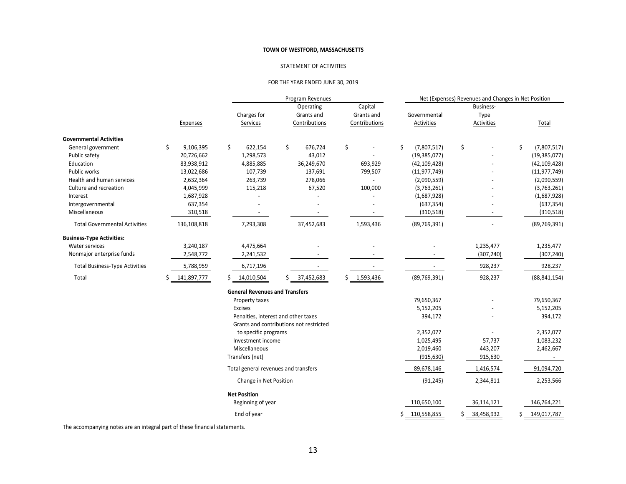#### STATEMENT OF ACTIVITIES

#### FOR THE YEAR ENDED JUNE 30, 2019

|                                       |                   |    |                                                                                | Program Revenues |                          |    | Net (Expenses) Revenues and Changes in Net Position |    |                   |    |                |  |  |  |
|---------------------------------------|-------------------|----|--------------------------------------------------------------------------------|------------------|--------------------------|----|-----------------------------------------------------|----|-------------------|----|----------------|--|--|--|
|                                       |                   |    |                                                                                | Operating        | Capital                  |    |                                                     |    | Business-         |    |                |  |  |  |
|                                       |                   |    | Charges for                                                                    | Grants and       | Grants and               |    | Governmental                                        |    | Type              |    |                |  |  |  |
|                                       | Expenses          |    | Services                                                                       | Contributions    | Contributions            |    | Activities                                          |    | <b>Activities</b> |    | Total          |  |  |  |
| <b>Governmental Activities</b>        |                   |    |                                                                                |                  |                          |    |                                                     |    |                   |    |                |  |  |  |
| General government                    | \$<br>9,106,395   | \$ | 622,154                                                                        | \$<br>676,724    | \$                       | \$ | (7,807,517)                                         | \$ |                   | \$ | (7,807,517)    |  |  |  |
| Public safety                         | 20,726,662        |    | 1,298,573                                                                      | 43,012           |                          |    | (19, 385, 077)                                      |    |                   |    | (19, 385, 077) |  |  |  |
| Education                             | 83,938,912        |    | 4,885,885                                                                      | 36,249,670       | 693,929                  |    | (42, 109, 428)                                      |    |                   |    | (42, 109, 428) |  |  |  |
| Public works                          | 13,022,686        |    | 107,739                                                                        | 137,691          | 799,507                  |    | (11, 977, 749)                                      |    |                   |    | (11, 977, 749) |  |  |  |
| Health and human services             | 2,632,364         |    | 263,739                                                                        | 278,066          |                          |    | (2,090,559)                                         |    |                   |    | (2,090,559)    |  |  |  |
| Culture and recreation                | 4,045,999         |    | 115,218                                                                        | 67,520           | 100,000                  |    | (3,763,261)                                         |    |                   |    | (3,763,261)    |  |  |  |
| Interest                              | 1,687,928         |    |                                                                                |                  |                          |    | (1,687,928)                                         |    |                   |    | (1,687,928)    |  |  |  |
| Intergovernmental                     | 637,354           |    |                                                                                |                  |                          |    | (637, 354)                                          |    |                   |    | (637, 354)     |  |  |  |
| Miscellaneous                         | 310,518           |    |                                                                                |                  |                          |    | (310,518)                                           |    |                   |    | (310,518)      |  |  |  |
| <b>Total Governmental Activities</b>  | 136,108,818       |    | 7,293,308                                                                      | 37,452,683       | 1,593,436                |    | (89, 769, 391)                                      |    |                   |    | (89, 769, 391) |  |  |  |
| <b>Business-Type Activities:</b>      |                   |    |                                                                                |                  |                          |    |                                                     |    |                   |    |                |  |  |  |
| Water services                        | 3,240,187         |    | 4,475,664                                                                      |                  |                          |    |                                                     |    | 1,235,477         |    | 1,235,477      |  |  |  |
| Nonmajor enterprise funds             | 2,548,772         |    | 2,241,532                                                                      |                  |                          |    |                                                     |    | (307, 240)        |    | (307, 240)     |  |  |  |
| <b>Total Business-Type Activities</b> | 5,788,959         |    | 6,717,196                                                                      |                  | $\overline{\phantom{a}}$ |    |                                                     |    | 928,237           |    | 928,237        |  |  |  |
| Total                                 | \$<br>141,897,777 | Ś. | 14,010,504                                                                     | 37,452,683       | \$ 1,593,436             |    | (89, 769, 391)                                      |    | 928,237           |    | (88, 841, 154) |  |  |  |
|                                       |                   |    | <b>General Revenues and Transfers</b>                                          |                  |                          |    |                                                     |    |                   |    |                |  |  |  |
|                                       |                   |    | Property taxes                                                                 |                  |                          |    | 79,650,367                                          |    |                   |    | 79,650,367     |  |  |  |
|                                       |                   |    | <b>Excises</b>                                                                 |                  |                          |    | 5,152,205                                           |    |                   |    | 5,152,205      |  |  |  |
|                                       |                   |    | Penalties, interest and other taxes<br>Grants and contributions not restricted |                  |                          |    | 394,172                                             |    |                   |    | 394,172        |  |  |  |
|                                       |                   |    | to specific programs                                                           |                  |                          |    | 2,352,077                                           |    |                   |    | 2,352,077      |  |  |  |
|                                       |                   |    | Investment income                                                              |                  |                          |    | 1,025,495                                           |    | 57,737            |    | 1,083,232      |  |  |  |
|                                       |                   |    | Miscellaneous                                                                  |                  |                          |    | 2,019,460                                           |    | 443,207           |    | 2,462,667      |  |  |  |
|                                       |                   |    | Transfers (net)                                                                |                  |                          |    | (915, 630)                                          |    | 915,630           |    |                |  |  |  |
|                                       |                   |    | Total general revenues and transfers                                           |                  |                          |    | 89,678,146                                          |    | 1,416,574         |    | 91,094,720     |  |  |  |
|                                       |                   |    | Change in Net Position                                                         |                  |                          |    | (91, 245)                                           |    | 2,344,811         |    | 2,253,566      |  |  |  |
|                                       |                   |    | <b>Net Position</b>                                                            |                  |                          |    |                                                     |    |                   |    |                |  |  |  |
|                                       |                   |    | Beginning of year                                                              |                  |                          |    | 110,650,100                                         |    | 36,114,121        |    | 146,764,221    |  |  |  |
|                                       |                   |    | End of year                                                                    |                  |                          | Ś  | 110,558,855                                         | Ś  | 38,458,932        | Ś  | 149,017,787    |  |  |  |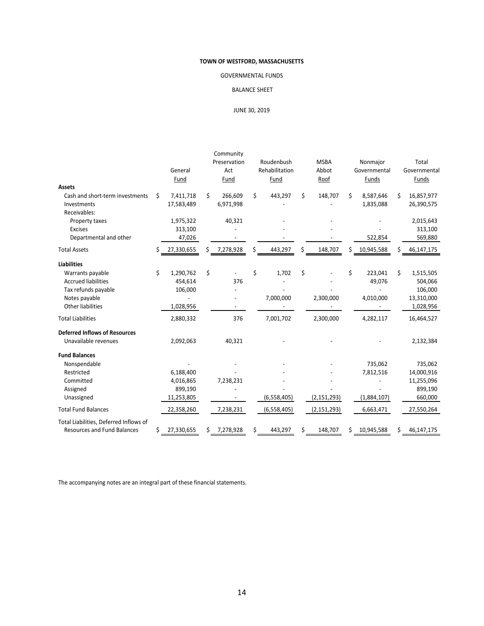#### GOVERNMENTAL FUNDS

#### BALANCE SHEET

#### JUNE 30, 2019

|                                        |    |            |    | Community<br>Preservation | Roudenbush     |    | <b>MSBA</b>   |    | Nonmajor     |    | Total        |
|----------------------------------------|----|------------|----|---------------------------|----------------|----|---------------|----|--------------|----|--------------|
|                                        |    | General    |    | Act                       | Rehabilitation |    | Abbot         |    | Governmental |    | Governmental |
|                                        |    | Fund       |    | Fund                      | Fund           |    | Roof          |    | Funds        |    | Funds        |
| <b>Assets</b>                          |    |            |    |                           |                |    |               |    |              |    |              |
| Cash and short-term investments        | Ś  | 7,411,718  | Ś  | 266,609                   | \$<br>443,297  | \$ | 148,707       | Ś. | 8,587,646    | Ś. | 16,857,977   |
| Investments                            |    | 17,583,489 |    | 6,971,998                 |                |    |               |    | 1,835,088    |    | 26,390,575   |
| Receivables:                           |    |            |    |                           |                |    |               |    |              |    |              |
| Property taxes                         |    | 1,975,322  |    | 40,321                    |                |    |               |    |              |    | 2,015,643    |
| <b>Excises</b>                         |    | 313,100    |    |                           |                |    |               |    |              |    | 313,100      |
| Departmental and other                 |    | 47,026     |    |                           |                |    |               |    | 522,854      |    | 569,880      |
| <b>Total Assets</b>                    |    | 27,330,655 | Ś  | 7,278,928                 | \$<br>443,297  | Ś. | 148,707       | Ś  | 10,945,588   | S  | 46,147,175   |
| <b>Liabilities</b>                     |    |            |    |                           |                |    |               |    |              |    |              |
| Warrants payable                       | \$ | 1,290,762  | \$ |                           | \$<br>1,702    | \$ |               | Ś  | 223,041      | Ś. | 1,515,505    |
| <b>Accrued liabilities</b>             |    | 454,614    |    | 376                       |                |    |               |    | 49,076       |    | 504,066      |
| Tax refunds payable                    |    | 106,000    |    |                           |                |    |               |    |              |    | 106,000      |
| Notes payable                          |    |            |    |                           | 7,000,000      |    | 2,300,000     |    | 4,010,000    |    | 13,310,000   |
| <b>Other liabilities</b>               |    | 1,028,956  |    |                           |                |    |               |    |              |    | 1,028,956    |
| <b>Total Liabilities</b>               |    | 2,880,332  |    | 376                       | 7,001,702      |    | 2,300,000     |    | 4,282,117    |    | 16,464,527   |
| <b>Deferred Inflows of Resources</b>   |    |            |    |                           |                |    |               |    |              |    |              |
| Unavailable revenues                   |    | 2,092,063  |    | 40,321                    |                |    |               |    |              |    | 2,132,384    |
| <b>Fund Balances</b>                   |    |            |    |                           |                |    |               |    |              |    |              |
| Nonspendable                           |    |            |    |                           |                |    |               |    | 735,062      |    | 735,062      |
| Restricted                             |    | 6,188,400  |    |                           |                |    |               |    | 7,812,516    |    | 14,000,916   |
| Committed                              |    | 4,016,865  |    | 7,238,231                 |                |    |               |    |              |    | 11,255,096   |
| Assigned                               |    | 899,190    |    |                           |                |    |               |    |              |    | 899,190      |
| Unassigned                             |    | 11,253,805 |    |                           | (6,558,405)    |    | (2, 151, 293) |    | (1,884,107)  |    | 660,000      |
| <b>Total Fund Balances</b>             |    | 22,358,260 |    | 7,238,231                 | (6,558,405)    |    | (2, 151, 293) |    | 6,663,471    |    | 27,550,264   |
| Total Liabilities, Deferred Inflows of |    |            |    |                           |                |    |               |    |              |    |              |
| <b>Resources and Fund Balances</b>     | Ś  | 27,330,655 |    | 7,278,928                 | \$<br>443,297  | \$ | 148,707       | S  | 10,945,588   | Ś  | 46,147,175   |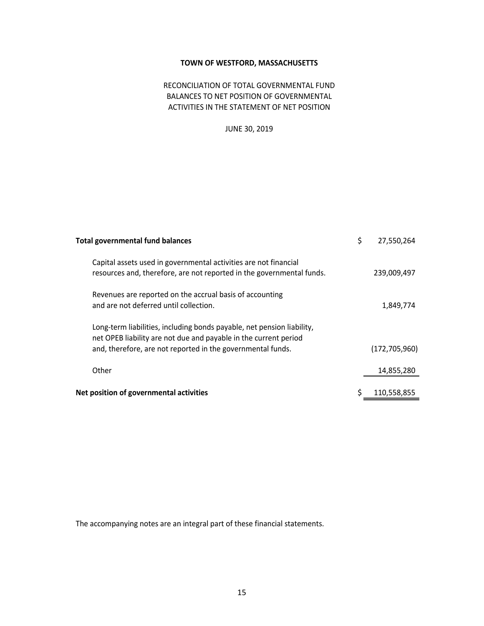#### RECONCILIATION OF TOTAL GOVERNMENTAL FUND BALANCES TO NET POSITION OF GOVERNMENTAL ACTIVITIES IN THE STATEMENT OF NET POSITION

JUNE 30, 2019

| <b>Total governmental fund balances</b>                                                                                                                                                                   | \$<br>27,550,264 |
|-----------------------------------------------------------------------------------------------------------------------------------------------------------------------------------------------------------|------------------|
| Capital assets used in governmental activities are not financial<br>resources and, therefore, are not reported in the governmental funds.                                                                 | 239,009,497      |
| Revenues are reported on the accrual basis of accounting<br>and are not deferred until collection.                                                                                                        | 1,849,774        |
| Long-term liabilities, including bonds payable, net pension liability,<br>net OPEB liability are not due and payable in the current period<br>and, therefore, are not reported in the governmental funds. | (172, 705, 960)  |
| Other                                                                                                                                                                                                     | 14,855,280       |
| Net position of governmental activities                                                                                                                                                                   | 110,558,855      |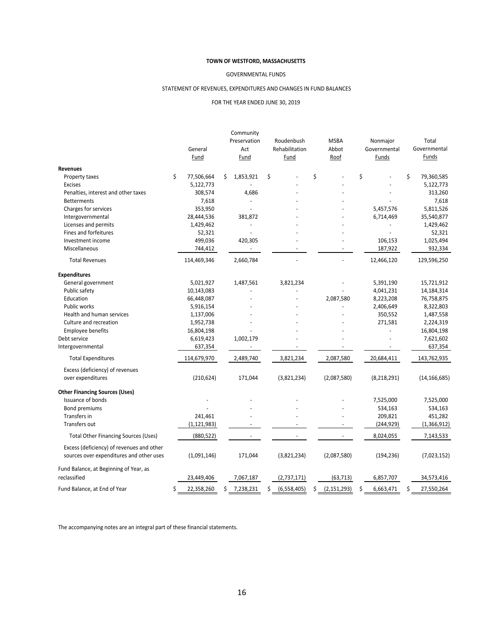#### GOVERNMENTAL FUNDS

#### STATEMENT OF REVENUES, EXPENDITURES AND CHANGES IN FUND BALANCES

#### FOR THE YEAR ENDED JUNE 30, 2019

|                                             |                  |    | Community    |                   |                     |                 |    |                |
|---------------------------------------------|------------------|----|--------------|-------------------|---------------------|-----------------|----|----------------|
|                                             |                  |    | Preservation | Roudenbush        | <b>MSBA</b>         | Nonmajor        |    | Total          |
|                                             | General          |    | Act          | Rehabilitation    | Abbot               | Governmental    |    | Governmental   |
|                                             | Fund             |    | Fund         | Fund              | Roof                | Funds           |    | Funds          |
| <b>Revenues</b>                             |                  |    |              |                   |                     |                 |    |                |
| Property taxes                              | \$<br>77,506,664 | Ś. | 1,853,921    | \$                | \$                  | \$              | \$ | 79,360,585     |
| <b>Excises</b>                              | 5,122,773        |    |              |                   |                     |                 |    | 5,122,773      |
| Penalties, interest and other taxes         | 308,574          |    | 4,686        |                   |                     |                 |    | 313,260        |
| <b>Betterments</b>                          | 7,618            |    |              |                   |                     |                 |    | 7,618          |
| Charges for services                        | 353,950          |    |              |                   |                     | 5,457,576       |    | 5,811,526      |
| Intergovernmental                           | 28,444,536       |    | 381,872      |                   |                     | 6,714,469       |    | 35,540,877     |
| Licenses and permits                        | 1,429,462        |    |              |                   |                     |                 |    | 1,429,462      |
| Fines and forfeitures                       | 52,321           |    |              |                   |                     |                 |    | 52,321         |
| Investment income                           | 499,036          |    | 420,305      |                   |                     | 106,153         |    | 1,025,494      |
| Miscellaneous                               | 744,412          |    |              |                   |                     | 187,922         |    | 932,334        |
| <b>Total Revenues</b>                       | 114,469,346      |    | 2,660,784    |                   | $\overline{a}$      | 12,466,120      |    | 129,596,250    |
| <b>Expenditures</b>                         |                  |    |              |                   |                     |                 |    |                |
| General government                          | 5,021,927        |    | 1,487,561    | 3,821,234         |                     | 5,391,190       |    | 15,721,912     |
| Public safety                               | 10,143,083       |    |              |                   |                     | 4,041,231       |    | 14,184,314     |
| Education                                   | 66,448,087       |    |              |                   | 2,087,580           | 8,223,208       |    | 76,758,875     |
| Public works                                | 5,916,154        |    |              |                   |                     | 2,406,649       |    | 8,322,803      |
| Health and human services                   | 1,137,006        |    |              |                   |                     | 350,552         |    | 1,487,558      |
| Culture and recreation                      | 1,952,738        |    |              |                   |                     | 271,581         |    | 2,224,319      |
| <b>Employee benefits</b>                    | 16,804,198       |    |              |                   |                     |                 |    | 16,804,198     |
| Debt service                                | 6,619,423        |    | 1,002,179    |                   |                     |                 |    | 7,621,602      |
| Intergovernmental                           | 637,354          |    |              |                   |                     |                 |    | 637,354        |
| <b>Total Expenditures</b>                   | 114,679,970      |    | 2,489,740    | 3,821,234         | 2,087,580           | 20,684,411      |    | 143,762,935    |
| Excess (deficiency) of revenues             |                  |    |              |                   |                     |                 |    |                |
| over expenditures                           | (210, 624)       |    | 171,044      | (3,821,234)       | (2,087,580)         | (8, 218, 291)   |    | (14, 166, 685) |
| <b>Other Financing Sources (Uses)</b>       |                  |    |              |                   |                     |                 |    |                |
| Issuance of bonds                           |                  |    |              |                   |                     | 7,525,000       |    | 7,525,000      |
| Bond premiums                               |                  |    |              |                   |                     | 534,163         |    | 534,163        |
| Transfers in                                | 241,461          |    |              |                   |                     | 209,821         |    | 451,282        |
| Transfers out                               | (1, 121, 983)    |    |              |                   |                     | (244, 929)      |    | (1,366,912)    |
| <b>Total Other Financing Sources (Uses)</b> | (880, 522)       |    |              |                   |                     | 8,024,055       |    | 7,143,533      |
| Excess (deficiency) of revenues and other   |                  |    |              |                   |                     |                 |    |                |
| sources over expenditures and other uses    | (1,091,146)      |    | 171,044      | (3,821,234)       | (2,087,580)         | (194, 236)      |    | (7,023,152)    |
| Fund Balance, at Beginning of Year, as      |                  |    |              |                   |                     |                 |    |                |
| reclassified                                | 23,449,406       |    | 7,067,187    | (2,737,171)       | (63, 713)           | 6,857,707       |    | 34,573,416     |
| Fund Balance, at End of Year                | \$<br>22,358,260 | Ś. | 7,238,231    | \$<br>(6,558,405) | \$<br>(2, 151, 293) | \$<br>6,663,471 | Ś  | 27,550,264     |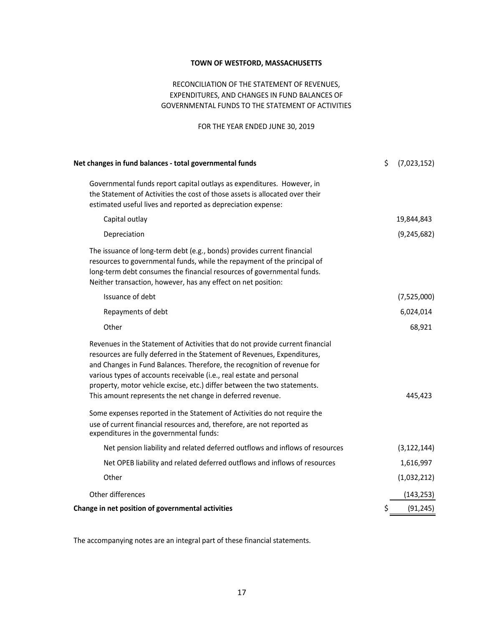# RECONCILIATION OF THE STATEMENT OF REVENUES, EXPENDITURES, AND CHANGES IN FUND BALANCES OF GOVERNMENTAL FUNDS TO THE STATEMENT OF ACTIVITIES

#### FOR THE YEAR ENDED JUNE 30, 2019

| Net changes in fund balances - total governmental funds                                                                                                                                                                                                                                                                                                                                                                                                | \$<br>(7,023,152) |
|--------------------------------------------------------------------------------------------------------------------------------------------------------------------------------------------------------------------------------------------------------------------------------------------------------------------------------------------------------------------------------------------------------------------------------------------------------|-------------------|
| Governmental funds report capital outlays as expenditures. However, in<br>the Statement of Activities the cost of those assets is allocated over their<br>estimated useful lives and reported as depreciation expense:                                                                                                                                                                                                                                 |                   |
| Capital outlay                                                                                                                                                                                                                                                                                                                                                                                                                                         | 19,844,843        |
| Depreciation                                                                                                                                                                                                                                                                                                                                                                                                                                           | (9, 245, 682)     |
| The issuance of long-term debt (e.g., bonds) provides current financial<br>resources to governmental funds, while the repayment of the principal of<br>long-term debt consumes the financial resources of governmental funds.<br>Neither transaction, however, has any effect on net position:                                                                                                                                                         |                   |
| Issuance of debt                                                                                                                                                                                                                                                                                                                                                                                                                                       | (7,525,000)       |
| Repayments of debt                                                                                                                                                                                                                                                                                                                                                                                                                                     | 6,024,014         |
| Other                                                                                                                                                                                                                                                                                                                                                                                                                                                  | 68,921            |
| Revenues in the Statement of Activities that do not provide current financial<br>resources are fully deferred in the Statement of Revenues, Expenditures,<br>and Changes in Fund Balances. Therefore, the recognition of revenue for<br>various types of accounts receivable (i.e., real estate and personal<br>property, motor vehicle excise, etc.) differ between the two statements.<br>This amount represents the net change in deferred revenue. | 445,423           |
| Some expenses reported in the Statement of Activities do not require the<br>use of current financial resources and, therefore, are not reported as<br>expenditures in the governmental funds:                                                                                                                                                                                                                                                          |                   |
| Net pension liability and related deferred outflows and inflows of resources                                                                                                                                                                                                                                                                                                                                                                           | (3, 122, 144)     |
| Net OPEB liability and related deferred outflows and inflows of resources                                                                                                                                                                                                                                                                                                                                                                              | 1,616,997         |
| Other                                                                                                                                                                                                                                                                                                                                                                                                                                                  | (1,032,212)       |
| Other differences                                                                                                                                                                                                                                                                                                                                                                                                                                      | (143, 253)        |
| Change in net position of governmental activities                                                                                                                                                                                                                                                                                                                                                                                                      | \$<br>(91, 245)   |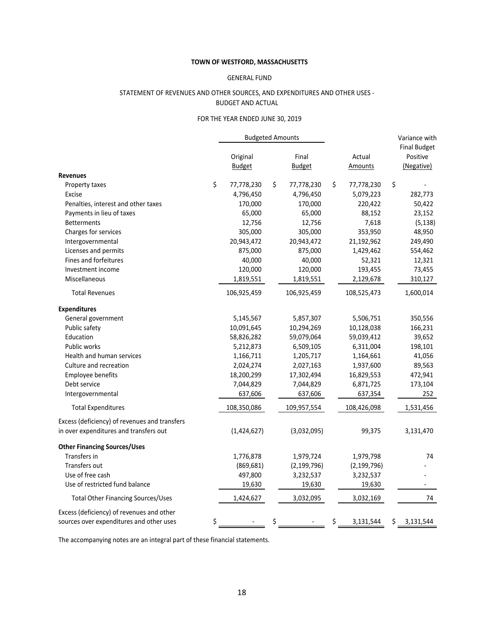#### GENERAL FUND

#### STATEMENT OF REVENUES AND OTHER SOURCES, AND EXPENDITURES AND OTHER USES ‐ BUDGET AND ACTUAL

#### FOR THE YEAR ENDED JUNE 30, 2019

|                                                                                         | <b>Budgeted Amounts</b> |                  |                  | Variance with<br><b>Final Budget</b> |
|-----------------------------------------------------------------------------------------|-------------------------|------------------|------------------|--------------------------------------|
|                                                                                         | Original                | Final            | Actual           | Positive                             |
|                                                                                         | <b>Budget</b>           | <b>Budget</b>    | <b>Amounts</b>   | (Negative)                           |
| <b>Revenues</b>                                                                         |                         |                  |                  |                                      |
| Property taxes                                                                          | \$<br>77,778,230        | \$<br>77,778,230 | \$<br>77,778,230 | \$                                   |
| Excise                                                                                  | 4,796,450               | 4,796,450        | 5,079,223        | 282,773                              |
| Penalties, interest and other taxes                                                     | 170,000                 | 170,000          | 220,422          | 50,422                               |
| Payments in lieu of taxes                                                               | 65,000                  | 65,000           | 88,152           | 23,152                               |
| <b>Betterments</b>                                                                      | 12,756                  | 12,756           | 7,618            | (5, 138)                             |
| Charges for services                                                                    | 305,000                 | 305,000          | 353,950          | 48,950                               |
| Intergovernmental                                                                       | 20,943,472              | 20,943,472       | 21,192,962       | 249,490                              |
| Licenses and permits                                                                    | 875,000                 | 875,000          | 1,429,462        | 554,462                              |
| Fines and forfeitures                                                                   | 40,000                  | 40,000           | 52,321           | 12,321                               |
| Investment income                                                                       | 120,000                 | 120,000          | 193,455          | 73,455                               |
| Miscellaneous                                                                           | 1,819,551               | 1,819,551        | 2,129,678        | 310,127                              |
| <b>Total Revenues</b>                                                                   | 106,925,459             | 106,925,459      | 108,525,473      | 1,600,014                            |
| <b>Expenditures</b>                                                                     |                         |                  |                  |                                      |
| General government                                                                      | 5,145,567               | 5,857,307        | 5,506,751        | 350,556                              |
| Public safety                                                                           | 10,091,645              | 10,294,269       | 10,128,038       | 166,231                              |
| Education                                                                               | 58,826,282              | 59,079,064       | 59,039,412       | 39,652                               |
| Public works                                                                            | 5,212,873               | 6,509,105        | 6,311,004        | 198,101                              |
| Health and human services                                                               | 1,166,711               | 1,205,717        | 1,164,661        | 41,056                               |
| Culture and recreation                                                                  | 2,024,274               | 2,027,163        | 1,937,600        | 89,563                               |
| Employee benefits                                                                       | 18,200,299              | 17,302,494       | 16,829,553       | 472,941                              |
| Debt service                                                                            | 7,044,829               | 7,044,829        | 6,871,725        | 173,104                              |
| Intergovernmental                                                                       | 637,606                 | 637,606          | 637,354          | 252                                  |
| <b>Total Expenditures</b>                                                               | 108,350,086             | 109,957,554      | 108,426,098      | 1,531,456                            |
| Excess (deficiency) of revenues and transfers<br>in over expenditures and transfers out |                         |                  |                  |                                      |
|                                                                                         | (1,424,627)             | (3,032,095)      | 99,375           | 3,131,470                            |
| <b>Other Financing Sources/Uses</b>                                                     |                         |                  |                  |                                      |
| Transfers in                                                                            | 1,776,878               | 1,979,724        | 1,979,798        | 74                                   |
| Transfers out                                                                           | (869, 681)              | (2, 199, 796)    | (2, 199, 796)    |                                      |
| Use of free cash                                                                        | 497,800                 | 3,232,537        | 3,232,537        |                                      |
| Use of restricted fund balance                                                          | 19,630                  | 19,630           | 19,630           |                                      |
| Total Other Financing Sources/Uses                                                      | 1,424,627               | 3,032,095        | 3,032,169        | 74                                   |
| Excess (deficiency) of revenues and other                                               |                         |                  |                  |                                      |
| sources over expenditures and other uses                                                | \$                      | \$               | \$<br>3,131,544  | \$<br>3,131,544                      |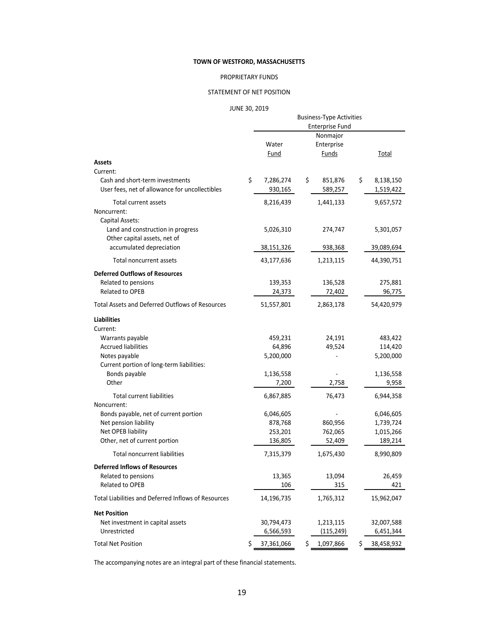#### PROPRIETARY FUNDS

#### STATEMENT OF NET POSITION

#### JUNE 30, 2019

|                                                                                   |    | <b>Business-Type Activities</b> |    |                        |    |                        |
|-----------------------------------------------------------------------------------|----|---------------------------------|----|------------------------|----|------------------------|
|                                                                                   |    |                                 |    | <b>Enterprise Fund</b> |    |                        |
|                                                                                   |    |                                 |    | Nonmajor               |    |                        |
|                                                                                   |    | Water                           |    | Enterprise             |    |                        |
|                                                                                   |    | Fund                            |    | Funds                  |    | Total                  |
| <b>Assets</b>                                                                     |    |                                 |    |                        |    |                        |
| Current:                                                                          |    |                                 |    |                        |    |                        |
| Cash and short-term investments<br>User fees, net of allowance for uncollectibles | \$ | 7,286,274<br>930,165            | \$ | 851,876<br>589,257     | \$ | 8,138,150<br>1,519,422 |
|                                                                                   |    |                                 |    |                        |    |                        |
| Total current assets                                                              |    | 8,216,439                       |    | 1,441,133              |    | 9,657,572              |
| Noncurrent:                                                                       |    |                                 |    |                        |    |                        |
| Capital Assets:                                                                   |    |                                 |    |                        |    |                        |
| Land and construction in progress                                                 |    | 5,026,310                       |    | 274,747                |    | 5,301,057              |
| Other capital assets, net of<br>accumulated depreciation                          |    |                                 |    |                        |    |                        |
|                                                                                   |    | 38,151,326                      |    | 938,368                |    | 39,089,694             |
| Total noncurrent assets                                                           |    | 43,177,636                      |    | 1,213,115              |    | 44,390,751             |
| <b>Deferred Outflows of Resources</b>                                             |    |                                 |    |                        |    |                        |
| Related to pensions                                                               |    | 139,353                         |    | 136,528                |    | 275,881                |
| <b>Related to OPEB</b>                                                            |    | 24,373                          |    | 72,402                 |    | 96,775                 |
|                                                                                   |    |                                 |    |                        |    |                        |
| <b>Total Assets and Deferred Outflows of Resources</b>                            |    | 51,557,801                      |    | 2,863,178              |    | 54,420,979             |
| <b>Liabilities</b>                                                                |    |                                 |    |                        |    |                        |
| Current:                                                                          |    |                                 |    |                        |    |                        |
| Warrants payable                                                                  |    | 459,231                         |    | 24,191                 |    | 483,422                |
| <b>Accrued liabilities</b>                                                        |    | 64,896                          |    | 49,524                 |    | 114,420                |
| Notes payable                                                                     |    | 5,200,000                       |    |                        |    | 5,200,000              |
| Current portion of long-term liabilities:                                         |    |                                 |    |                        |    |                        |
| Bonds payable                                                                     |    | 1,136,558                       |    |                        |    | 1,136,558              |
| Other                                                                             |    | 7,200                           |    | 2,758                  |    | 9,958                  |
| <b>Total current liabilities</b>                                                  |    | 6,867,885                       |    | 76,473                 |    | 6,944,358              |
| Noncurrent:                                                                       |    |                                 |    |                        |    |                        |
| Bonds payable, net of current portion                                             |    | 6,046,605                       |    |                        |    | 6,046,605              |
| Net pension liability                                                             |    | 878,768                         |    | 860,956                |    | 1,739,724              |
| Net OPEB liability                                                                |    | 253,201                         |    | 762,065                |    | 1,015,266              |
| Other, net of current portion                                                     |    | 136,805                         |    | 52,409                 |    | 189,214                |
| Total noncurrent liabilities                                                      |    | 7,315,379                       |    | 1,675,430              |    | 8,990,809              |
|                                                                                   |    |                                 |    |                        |    |                        |
| <b>Deferred Inflows of Resources</b>                                              |    |                                 |    |                        |    | 26,459                 |
| Related to pensions<br>Related to OPEB                                            |    | 13,365<br>106                   |    | 13,094<br>315          |    | 421                    |
|                                                                                   |    |                                 |    |                        |    |                        |
| Total Liabilities and Deferred Inflows of Resources                               |    | 14,196,735                      |    | 1,765,312              |    | 15,962,047             |
| <b>Net Position</b>                                                               |    |                                 |    |                        |    |                        |
| Net investment in capital assets                                                  |    | 30,794,473                      |    | 1,213,115              |    | 32,007,588             |
| Unrestricted                                                                      |    | 6,566,593                       |    | (115, 249)             |    | 6,451,344              |
| <b>Total Net Position</b>                                                         | S  | 37,361,066                      | \$ | 1,097,866              | \$ | 38,458,932             |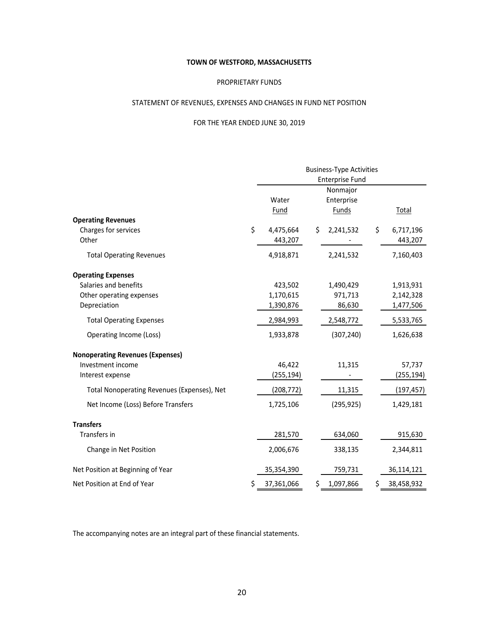#### PROPRIETARY FUNDS

#### STATEMENT OF REVENUES, EXPENSES AND CHANGES IN FUND NET POSITION

#### FOR THE YEAR ENDED JUNE 30, 2019

|                                             |                  | <b>Business-Type Activities</b> |                  |
|---------------------------------------------|------------------|---------------------------------|------------------|
|                                             |                  | <b>Enterprise Fund</b>          |                  |
|                                             | Water<br>Fund    | Nonmajor<br>Enterprise<br>Funds | Total            |
| <b>Operating Revenues</b>                   |                  |                                 |                  |
| Charges for services                        | \$<br>4,475,664  | \$<br>2,241,532                 | \$<br>6,717,196  |
| Other                                       | 443,207          |                                 | 443,207          |
| <b>Total Operating Revenues</b>             | 4,918,871        | 2,241,532                       | 7,160,403        |
| <b>Operating Expenses</b>                   |                  |                                 |                  |
| Salaries and benefits                       | 423,502          | 1,490,429                       | 1,913,931        |
| Other operating expenses                    | 1,170,615        | 971,713                         | 2,142,328        |
| Depreciation                                | 1,390,876        | 86,630                          | 1,477,506        |
| <b>Total Operating Expenses</b>             | 2,984,993        | 2,548,772                       | 5,533,765        |
| Operating Income (Loss)                     | 1,933,878        | (307, 240)                      | 1,626,638        |
| <b>Nonoperating Revenues (Expenses)</b>     |                  |                                 |                  |
| Investment income                           | 46,422           | 11,315                          | 57,737           |
| Interest expense                            | (255,194)        |                                 | (255, 194)       |
| Total Nonoperating Revenues (Expenses), Net | (208, 772)       | 11,315                          | (197, 457)       |
| Net Income (Loss) Before Transfers          | 1,725,106        | (295, 925)                      | 1,429,181        |
| <b>Transfers</b>                            |                  |                                 |                  |
| Transfers in                                | 281,570          | 634,060                         | 915,630          |
| Change in Net Position                      | 2,006,676        | 338,135                         | 2,344,811        |
| Net Position at Beginning of Year           | 35,354,390       | 759,731                         | 36,114,121       |
| Net Position at End of Year                 | \$<br>37,361,066 | \$<br>1,097,866                 | \$<br>38,458,932 |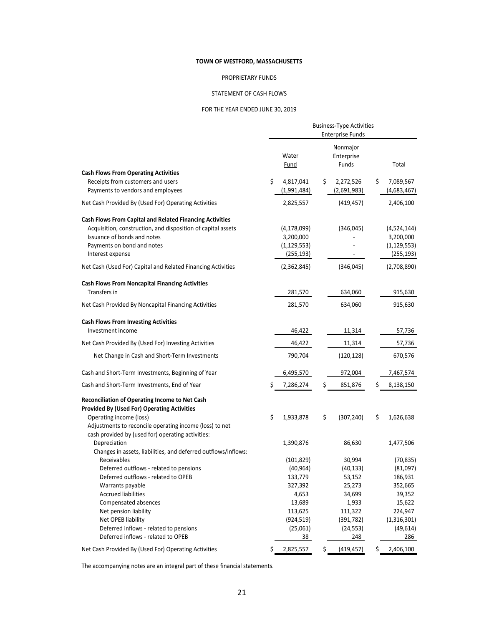#### PROPRIETARY FUNDS

#### STATEMENT OF CASH FLOWS

#### FOR THE YEAR ENDED JUNE 30, 2019

|                                                                                                                                                                                                                                                                                                        |                                                                                                       |     | <b>Enterprise Funds</b>                                                                          |    |                                                                                                        |
|--------------------------------------------------------------------------------------------------------------------------------------------------------------------------------------------------------------------------------------------------------------------------------------------------------|-------------------------------------------------------------------------------------------------------|-----|--------------------------------------------------------------------------------------------------|----|--------------------------------------------------------------------------------------------------------|
|                                                                                                                                                                                                                                                                                                        | Water<br>Fund                                                                                         |     | Nonmajor<br>Enterprise<br>Funds                                                                  |    | <b>Total</b>                                                                                           |
| <b>Cash Flows From Operating Activities</b>                                                                                                                                                                                                                                                            |                                                                                                       |     |                                                                                                  |    |                                                                                                        |
| Receipts from customers and users<br>Payments to vendors and employees                                                                                                                                                                                                                                 | \$<br>4,817,041<br>(1,991,484)                                                                        | \$  | 2,272,526<br>(2,691,983)                                                                         | \$ | 7,089,567<br>(4,683,467)                                                                               |
| Net Cash Provided By (Used For) Operating Activities                                                                                                                                                                                                                                                   | 2,825,557                                                                                             |     | (419, 457)                                                                                       |    | 2,406,100                                                                                              |
| <b>Cash Flows From Capital and Related Financing Activities</b><br>Acquisition, construction, and disposition of capital assets<br>Issuance of bonds and notes<br>Payments on bond and notes<br>Interest expense                                                                                       | (4, 178, 099)<br>3,200,000<br>(1, 129, 553)<br>(255, 193)                                             |     | (346, 045)                                                                                       |    | (4,524,144)<br>3,200,000<br>(1, 129, 553)<br>(255, 193)                                                |
| Net Cash (Used For) Capital and Related Financing Activities                                                                                                                                                                                                                                           | (2,362,845)                                                                                           |     | (346, 045)                                                                                       |    | (2,708,890)                                                                                            |
| <b>Cash Flows From Noncapital Financing Activities</b><br>Transfers in                                                                                                                                                                                                                                 | 281,570                                                                                               |     | 634,060                                                                                          |    | 915,630                                                                                                |
| Net Cash Provided By Noncapital Financing Activities                                                                                                                                                                                                                                                   | 281,570                                                                                               |     | 634,060                                                                                          |    | 915,630                                                                                                |
| <b>Cash Flows From Investing Activities</b><br>Investment income                                                                                                                                                                                                                                       | 46,422                                                                                                |     | 11,314                                                                                           |    | 57,736                                                                                                 |
| Net Cash Provided By (Used For) Investing Activities                                                                                                                                                                                                                                                   | 46,422                                                                                                |     | 11,314                                                                                           |    | 57,736                                                                                                 |
| Net Change in Cash and Short-Term Investments                                                                                                                                                                                                                                                          | 790,704                                                                                               |     | (120, 128)                                                                                       |    | 670,576                                                                                                |
| Cash and Short-Term Investments, Beginning of Year                                                                                                                                                                                                                                                     | 6,495,570                                                                                             |     | 972,004                                                                                          |    | 7,467,574                                                                                              |
| Cash and Short-Term Investments, End of Year                                                                                                                                                                                                                                                           | \$<br>7,286,274                                                                                       | \$. | 851,876                                                                                          | S  | 8,138,150                                                                                              |
| Reconciliation of Operating Income to Net Cash<br><b>Provided By (Used For) Operating Activities</b><br>Operating income (loss)<br>Adjustments to reconcile operating income (loss) to net<br>cash provided by (used for) operating activities:                                                        | \$<br>1,933,878                                                                                       | \$  | (307, 240)                                                                                       | \$ | 1,626,638                                                                                              |
| Depreciation<br>Changes in assets, liabilities, and deferred outflows/inflows:                                                                                                                                                                                                                         | 1,390,876                                                                                             |     | 86,630                                                                                           |    | 1,477,506                                                                                              |
| Receivables<br>Deferred outflows - related to pensions<br>Deferred outflows - related to OPEB<br>Warrants payable<br><b>Accrued liabilities</b><br>Compensated absences<br>Net pension liability<br>Net OPEB liability<br>Deferred inflows - related to pensions<br>Deferred inflows - related to OPEB | (101, 829)<br>(40, 964)<br>133,779<br>327,392<br>4,653<br>13,689<br>113,625<br>(924, 519)<br>(25,061) |     | 30,994<br>(40, 133)<br>53,152<br>25,273<br>34,699<br>1,933<br>111,322<br>(391, 782)<br>(24, 553) |    | (70, 835)<br>(81,097)<br>186,931<br>352,665<br>39,352<br>15,622<br>224,947<br>(1,316,301)<br>(49, 614) |
| Net Cash Provided By (Used For) Operating Activities                                                                                                                                                                                                                                                   | \$<br>38<br>2,825,557                                                                                 | \$  | 248<br>(419, 457)                                                                                | \$ | 286<br>2,406,100                                                                                       |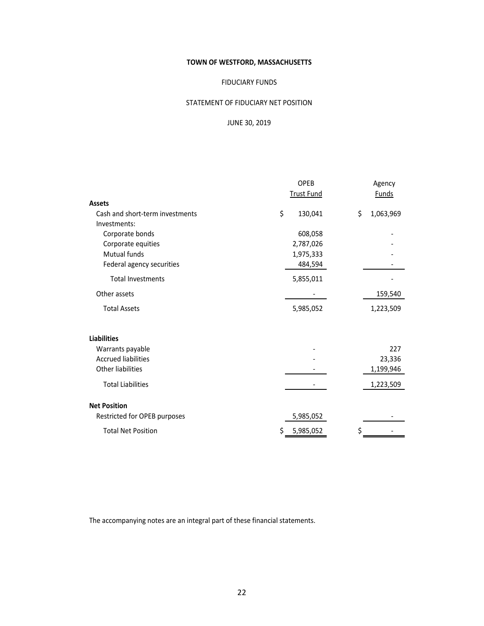#### FIDUCIARY FUNDS

#### STATEMENT OF FIDUCIARY NET POSITION

#### JUNE 30, 2019

|                                 | <b>OPEB</b>       | Agency          |  |  |
|---------------------------------|-------------------|-----------------|--|--|
|                                 | <b>Trust Fund</b> | <b>Funds</b>    |  |  |
| <b>Assets</b>                   |                   |                 |  |  |
| Cash and short-term investments | \$<br>130,041     | \$<br>1,063,969 |  |  |
| Investments:                    |                   |                 |  |  |
| Corporate bonds                 | 608,058           |                 |  |  |
| Corporate equities              | 2,787,026         |                 |  |  |
| Mutual funds                    | 1,975,333         |                 |  |  |
| Federal agency securities       | 484,594           |                 |  |  |
| <b>Total Investments</b>        | 5,855,011         |                 |  |  |
| Other assets                    |                   | 159,540         |  |  |
| <b>Total Assets</b>             | 5,985,052         | 1,223,509       |  |  |
| <b>Liabilities</b>              |                   |                 |  |  |
| Warrants payable                |                   | 227             |  |  |
| <b>Accrued liabilities</b>      |                   | 23,336          |  |  |
| <b>Other liabilities</b>        |                   | 1,199,946       |  |  |
| <b>Total Liabilities</b>        |                   | 1,223,509       |  |  |
| <b>Net Position</b>             |                   |                 |  |  |
| Restricted for OPEB purposes    | 5,985,052         |                 |  |  |
| <b>Total Net Position</b>       | \$<br>5,985,052   | \$              |  |  |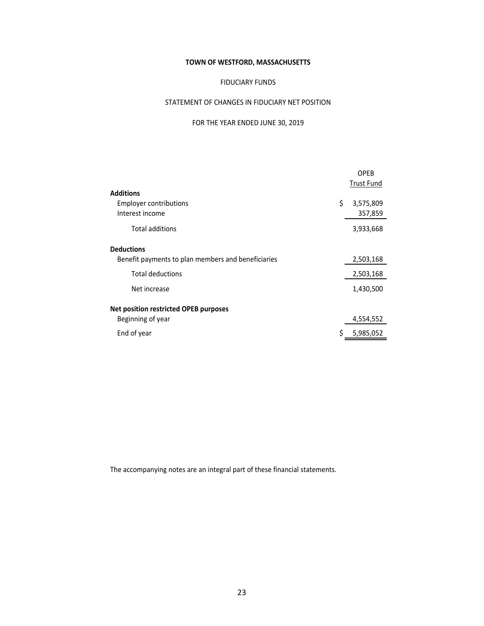#### FIDUCIARY FUNDS

#### STATEMENT OF CHANGES IN FIDUCIARY NET POSITION

FOR THE YEAR ENDED JUNE 30, 2019

| Additions<br>\$<br><b>Employer contributions</b><br>Interest income<br>Total additions<br><b>Deductions</b><br>Benefit payments to plan members and beneficiaries<br><b>Total deductions</b><br>Net increase<br><b>Net position restricted OPEB purposes</b><br>Beginning of year<br>End of year<br>S |  | OPEB              |
|-------------------------------------------------------------------------------------------------------------------------------------------------------------------------------------------------------------------------------------------------------------------------------------------------------|--|-------------------|
|                                                                                                                                                                                                                                                                                                       |  | <b>Trust Fund</b> |
|                                                                                                                                                                                                                                                                                                       |  |                   |
|                                                                                                                                                                                                                                                                                                       |  | 3,575,809         |
|                                                                                                                                                                                                                                                                                                       |  | 357,859           |
|                                                                                                                                                                                                                                                                                                       |  | 3,933,668         |
|                                                                                                                                                                                                                                                                                                       |  |                   |
|                                                                                                                                                                                                                                                                                                       |  | 2,503,168         |
|                                                                                                                                                                                                                                                                                                       |  | 2,503,168         |
|                                                                                                                                                                                                                                                                                                       |  | 1,430,500         |
|                                                                                                                                                                                                                                                                                                       |  |                   |
|                                                                                                                                                                                                                                                                                                       |  | 4,554,552         |
|                                                                                                                                                                                                                                                                                                       |  | 5,985,052         |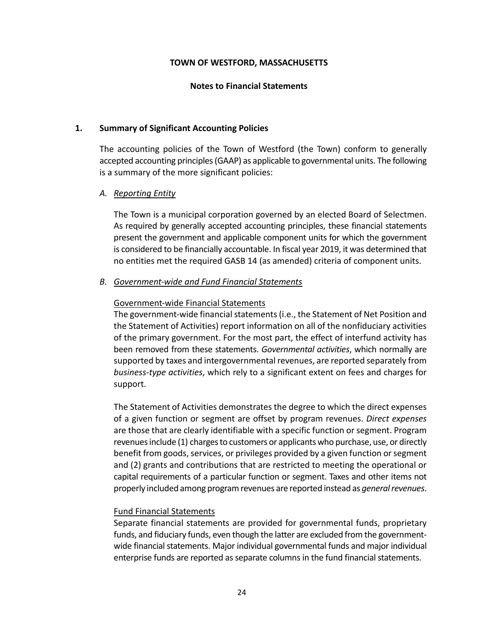#### **Notes to Financial Statements**

### **1. Summary of Significant Accounting Policies**

The accounting policies of the Town of Westford (the Town) conform to generally accepted accounting principles (GAAP) as applicable to governmental units. The following is a summary of the more significant policies:

# *A. Reporting Entity*

The Town is a municipal corporation governed by an elected Board of Selectmen. As required by generally accepted accounting principles, these financial statements present the government and applicable component units for which the government is considered to be financially accountable. In fiscal year 2019, it was determined that no entities met the required GASB 14 (as amended) criteria of component units.

#### *B. Government‐wide and Fund Financial Statements*

#### Government‐wide Financial Statements

The government‐wide financial statements (i.e., the Statement of Net Position and the Statement of Activities) report information on all of the nonfiduciary activities of the primary government. For the most part, the effect of interfund activity has been removed from these statements. *Governmental activities*, which normally are supported by taxes and intergovernmental revenues, are reported separately from *business‐type activities*, which rely to a significant extent on fees and charges for support.

The Statement of Activities demonstrates the degree to which the direct expenses of a given function or segment are offset by program revenues. *Direct expenses* are those that are clearly identifiable with a specific function or segment. Program revenues include (1) charges to customers or applicants who purchase, use, or directly benefit from goods, services, or privileges provided by a given function or segment and (2) grants and contributions that are restricted to meeting the operational or capital requirements of a particular function or segment. Taxes and other items not properly included among program revenues are reported instead as *general revenues*.

#### Fund Financial Statements

Separate financial statements are provided for governmental funds, proprietary funds, and fiduciary funds, even though the latter are excluded from the government‐ wide financial statements. Major individual governmental funds and major individual enterprise funds are reported as separate columns in the fund financial statements.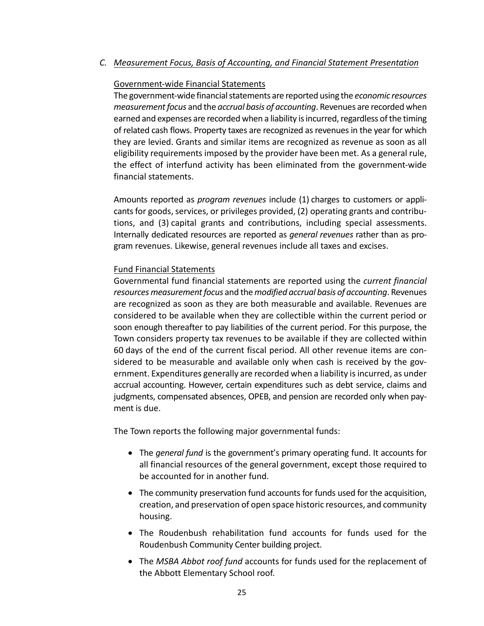# *C. Measurement Focus, Basis of Accounting, and Financial Statement Presentation*

# Government‐wide Financial Statements

The government‐wide financial statements are reported using the *economic resources measurement focus* and the *accrual basis of accounting*. Revenues are recorded when earned and expenses are recorded when a liability is incurred, regardless of the timing of related cash flows. Property taxes are recognized as revenues in the year for which they are levied. Grants and similar items are recognized as revenue as soon as all eligibility requirements imposed by the provider have been met. As a general rule, the effect of interfund activity has been eliminated from the government‐wide financial statements.

Amounts reported as *program revenues* include (1) charges to customers or appli‐ cants for goods, services, or privileges provided, (2) operating grants and contribu‐ tions, and (3) capital grants and contributions, including special assessments. Internally dedicated resources are reported as *general revenues* rather than as pro‐ gram revenues. Likewise, general revenues include all taxes and excises.

# Fund Financial Statements

Governmental fund financial statements are reported using the *current financial resources measurement focus* and the *modified accrual basis of accounting*. Revenues are recognized as soon as they are both measurable and available. Revenues are considered to be available when they are collectible within the current period or soon enough thereafter to pay liabilities of the current period. For this purpose, the Town considers property tax revenues to be available if they are collected within 60 days of the end of the current fiscal period. All other revenue items are con‐ sidered to be measurable and available only when cash is received by the government. Expenditures generally are recorded when a liability is incurred, as under accrual accounting. However, certain expenditures such as debt service, claims and judgments, compensated absences, OPEB, and pension are recorded only when pay‐ ment is due.

The Town reports the following major governmental funds:

- The *general fund* is the government's primary operating fund. It accounts for all financial resources of the general government, except those required to be accounted for in another fund.
- The community preservation fund accounts for funds used for the acquisition, creation, and preservation of open space historic resources, and community housing.
- The Roudenbush rehabilitation fund accounts for funds used for the Roudenbush Community Center building project.
- The *MSBA Abbot roof fund* accounts for funds used for the replacement of the Abbott Elementary School roof.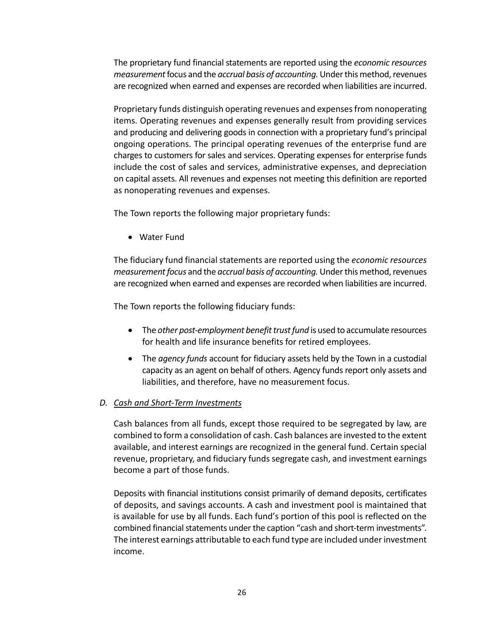The proprietary fund financial statements are reported using the *economic resources measurement* focus and the *accrual basis of accounting.* Under this method, revenues are recognized when earned and expenses are recorded when liabilities are incurred.

Proprietary funds distinguish operating revenues and expenses from nonoperating items. Operating revenues and expenses generally result from providing services and producing and delivering goods in connection with a proprietary fund's principal ongoing operations. The principal operating revenues of the enterprise fund are charges to customers for sales and services. Operating expenses for enterprise funds include the cost of sales and services, administrative expenses, and depreciation on capital assets. All revenues and expenses not meeting this definition are reported as nonoperating revenues and expenses.

The Town reports the following major proprietary funds:

Water Fund

The fiduciary fund financial statements are reported using the *economic resources measurement focus* and the *accrual basis of accounting.* Under this method, revenues are recognized when earned and expenses are recorded when liabilities are incurred.

The Town reports the following fiduciary funds:

- The *other post‐employment benefit trust fund* is used to accumulate resources for health and life insurance benefits for retired employees.
- The *agency funds* account for fiduciary assets held by the Town in a custodial capacity as an agent on behalf of others. Agency funds report only assets and liabilities, and therefore, have no measurement focus.

# *D. Cash and Short‐Term Investments*

Cash balances from all funds, except those required to be segregated by law, are combined to form a consolidation of cash. Cash balances are invested to the extent available, and interest earnings are recognized in the general fund. Certain special revenue, proprietary, and fiduciary funds segregate cash, and investment earnings become a part of those funds.

Deposits with financial institutions consist primarily of demand deposits, certificates of deposits, and savings accounts. A cash and investment pool is maintained that is available for use by all funds. Each fund's portion of this pool is reflected on the combined financial statements under the caption "cash and short‐term investments". The interest earnings attributable to each fund type are included under investment income.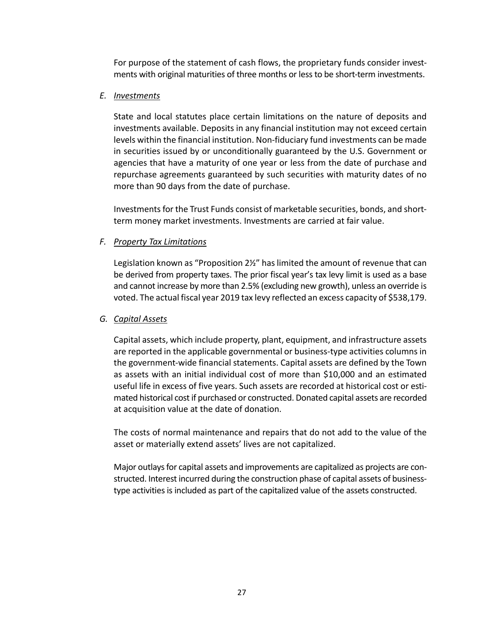For purpose of the statement of cash flows, the proprietary funds consider investments with original maturities of three months or less to be short-term investments.

# *E. Investments*

State and local statutes place certain limitations on the nature of deposits and investments available. Deposits in any financial institution may not exceed certain levels within the financial institution. Non‐fiduciary fund investments can be made in securities issued by or unconditionally guaranteed by the U.S. Government or agencies that have a maturity of one year or less from the date of purchase and repurchase agreements guaranteed by such securities with maturity dates of no more than 90 days from the date of purchase.

Investments for the Trust Funds consist of marketable securities, bonds, and short‐ term money market investments. Investments are carried at fair value.

# *F. Property Tax Limitations*

Legislation known as "Proposition 2½" has limited the amount of revenue that can be derived from property taxes. The prior fiscal year's tax levy limit is used as a base and cannot increase by more than 2.5% (excluding new growth), unless an override is voted. The actual fiscal year 2019 tax levy reflected an excess capacity of \$538,179.

# *G. Capital Assets*

Capital assets, which include property, plant, equipment, and infrastructure assets are reported in the applicable governmental or business‐type activities columns in the government‐wide financial statements. Capital assets are defined by the Town as assets with an initial individual cost of more than \$10,000 and an estimated useful life in excess of five years. Such assets are recorded at historical cost or esti‐ mated historical cost if purchased or constructed. Donated capital assets are recorded at acquisition value at the date of donation.

The costs of normal maintenance and repairs that do not add to the value of the asset or materially extend assets' lives are not capitalized.

Major outlays for capital assets and improvements are capitalized as projects are con‐ structed. Interest incurred during the construction phase of capital assets of business‐ type activities is included as part of the capitalized value of the assets constructed.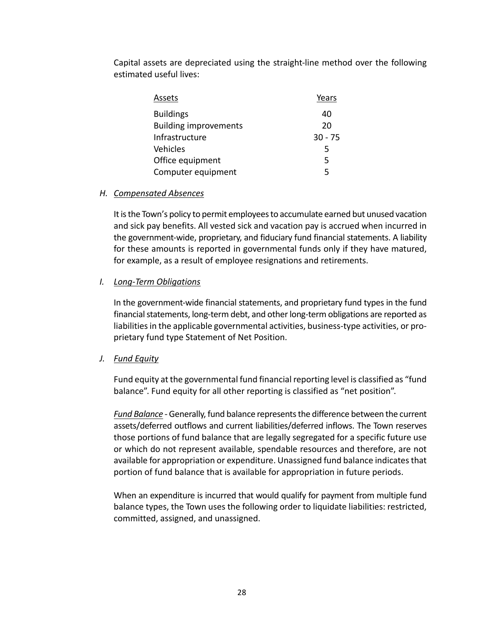Capital assets are depreciated using the straight‐line method over the following estimated useful lives:

| Assets                       | Years     |
|------------------------------|-----------|
| <b>Buildings</b>             | 40        |
| <b>Building improvements</b> | 20        |
| Infrastructure               | $30 - 75$ |
| Vehicles                     | 5         |
| Office equipment             | 5         |
| Computer equipment           | 5         |

# *H. Compensated Absences*

It is the Town's policy to permit employees to accumulate earned but unused vacation and sick pay benefits. All vested sick and vacation pay is accrued when incurred in the government‐wide, proprietary, and fiduciary fund financial statements. A liability for these amounts is reported in governmental funds only if they have matured, for example, as a result of employee resignations and retirements.

# *I. Long‐Term Obligations*

In the government‐wide financial statements, and proprietary fund types in the fund financial statements, long‐term debt, and other long‐term obligations are reported as liabilities in the applicable governmental activities, business‐type activities, or pro‐ prietary fund type Statement of Net Position.

# *J. Fund Equity*

Fund equity at the governmental fund financial reporting level is classified as "fund balance". Fund equity for all other reporting is classified as "net position".

*Fund Balance* ‐ Generally, fund balance represents the difference between the current assets/deferred outflows and current liabilities/deferred inflows. The Town reserves those portions of fund balance that are legally segregated for a specific future use or which do not represent available, spendable resources and therefore, are not available for appropriation or expenditure. Unassigned fund balance indicates that portion of fund balance that is available for appropriation in future periods.

When an expenditure is incurred that would qualify for payment from multiple fund balance types, the Town uses the following order to liquidate liabilities: restricted, committed, assigned, and unassigned.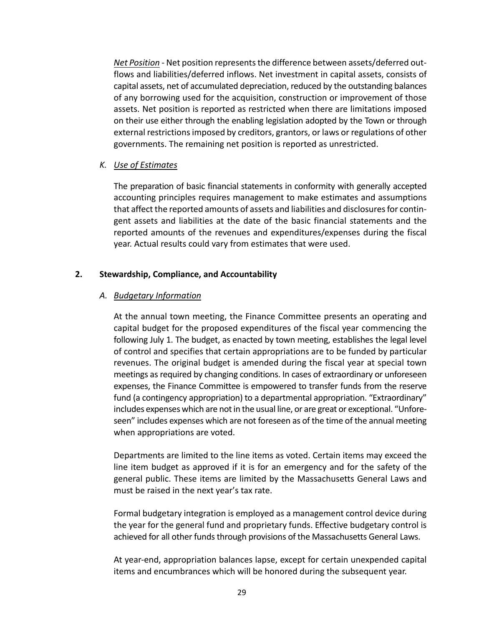*Net Position* ‐ Net position represents the difference between assets/deferred out‐ flows and liabilities/deferred inflows. Net investment in capital assets, consists of capital assets, net of accumulated depreciation, reduced by the outstanding balances of any borrowing used for the acquisition, construction or improvement of those assets. Net position is reported as restricted when there are limitations imposed on their use either through the enabling legislation adopted by the Town or through external restrictions imposed by creditors, grantors, or laws or regulations of other governments. The remaining net position is reported as unrestricted.

# *K. Use of Estimates*

The preparation of basic financial statements in conformity with generally accepted accounting principles requires management to make estimates and assumptions that affect the reported amounts of assets and liabilities and disclosures for contin‐ gent assets and liabilities at the date of the basic financial statements and the reported amounts of the revenues and expenditures/expenses during the fiscal year. Actual results could vary from estimates that were used.

# **2. Stewardship, Compliance, and Accountability**

# *A. Budgetary Information*

At the annual town meeting, the Finance Committee presents an operating and capital budget for the proposed expenditures of the fiscal year commencing the following July 1. The budget, as enacted by town meeting, establishes the legal level of control and specifies that certain appropriations are to be funded by particular revenues. The original budget is amended during the fiscal year at special town meetings as required by changing conditions. In cases of extraordinary or unforeseen expenses, the Finance Committee is empowered to transfer funds from the reserve fund (a contingency appropriation) to a departmental appropriation. "Extraordinary" includes expenses which are not in the usual line, or are great or exceptional. "Unfore‐ seen" includes expenses which are not foreseen as of the time of the annual meeting when appropriations are voted.

Departments are limited to the line items as voted. Certain items may exceed the line item budget as approved if it is for an emergency and for the safety of the general public. These items are limited by the Massachusetts General Laws and must be raised in the next year's tax rate.

Formal budgetary integration is employed as a management control device during the year for the general fund and proprietary funds. Effective budgetary control is achieved for all other funds through provisions of the Massachusetts General Laws.

At year‐end, appropriation balances lapse, except for certain unexpended capital items and encumbrances which will be honored during the subsequent year.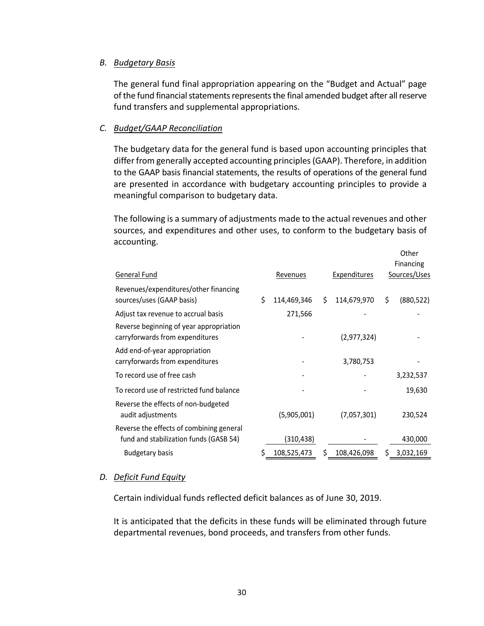# *B. Budgetary Basis*

The general fund final appropriation appearing on the "Budget and Actual" page of the fund financial statements represents the final amended budget after all reserve fund transfers and supplemental appropriations.

# *C. Budget/GAAP Reconciliation*

The budgetary data for the general fund is based upon accounting principles that differ from generally accepted accounting principles (GAAP). Therefore, in addition to the GAAP basis financial statements, the results of operations of the general fund are presented in accordance with budgetary accounting principles to provide a meaningful comparison to budgetary data.

The following is a summary of adjustments made to the actual revenues and other sources, and expenditures and other uses, to conform to the budgetary basis of accounting.

 $Q_{\text{th}}$ 

|                                                                                    |   |             |                   | UUIT                      |
|------------------------------------------------------------------------------------|---|-------------|-------------------|---------------------------|
| General Fund                                                                       |   | Revenues    | Expenditures      | Financing<br>Sources/Uses |
| Revenues/expenditures/other financing<br>sources/uses (GAAP basis)                 | Ś | 114,469,346 | \$<br>114,679,970 | \$<br>(880, 522)          |
| Adjust tax revenue to accrual basis                                                |   | 271,566     |                   |                           |
| Reverse beginning of year appropriation<br>carryforwards from expenditures         |   |             | (2,977,324)       |                           |
| Add end-of-year appropriation<br>carryforwards from expenditures                   |   |             | 3,780,753         |                           |
| To record use of free cash                                                         |   |             |                   | 3,232,537                 |
| To record use of restricted fund balance                                           |   |             |                   | 19,630                    |
| Reverse the effects of non-budgeted<br>audit adjustments                           |   | (5,905,001) | (7,057,301)       | 230,524                   |
| Reverse the effects of combining general<br>fund and stabilization funds (GASB 54) |   | (310,438)   |                   | 430,000                   |
| <b>Budgetary basis</b>                                                             |   | 108,525,473 | \$<br>108,426,098 | \$<br>3,032,169           |
|                                                                                    |   |             |                   |                           |

# *D. Deficit Fund Equity*

Certain individual funds reflected deficit balances as of June 30, 2019.

It is anticipated that the deficits in these funds will be eliminated through future departmental revenues, bond proceeds, and transfers from other funds.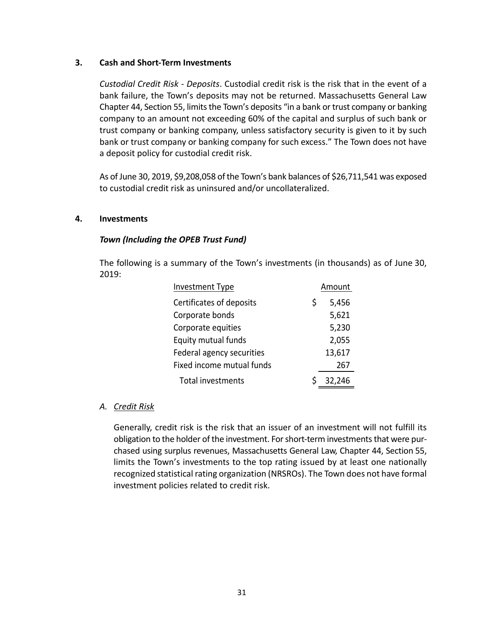### **3. Cash and Short‐Term Investments**

*Custodial Credit Risk ‐ Deposits*. Custodial credit risk is the risk that in the event of a bank failure, the Town's deposits may not be returned. Massachusetts General Law Chapter 44, Section 55, limits the Town's deposits "in a bank or trust company or banking company to an amount not exceeding 60% of the capital and surplus of such bank or trust company or banking company, unless satisfactory security is given to it by such bank or trust company or banking company for such excess." The Town does not have a deposit policy for custodial credit risk.

As of June 30, 2019, \$9,208,058 of the Town's bank balances of \$26,711,541 was exposed to custodial credit risk as uninsured and/or uncollateralized.

#### **4. Investments**

#### *Town (Including the OPEB Trust Fund)*

The following is a summary of the Town's investments (in thousands) as of June 30, 2019:

| <b>Investment Type</b>    |   | Amount |
|---------------------------|---|--------|
| Certificates of deposits  | Ś | 5,456  |
| Corporate bonds           |   | 5,621  |
| Corporate equities        |   | 5,230  |
| Equity mutual funds       |   | 2,055  |
| Federal agency securities |   | 13,617 |
| Fixed income mutual funds |   | 267    |
| Total investments         |   | 32,246 |

# *A. Credit Risk*

Generally, credit risk is the risk that an issuer of an investment will not fulfill its obligation to the holder of the investment. For short‐term investments that were pur‐ chased using surplus revenues, Massachusetts General Law, Chapter 44, Section 55, limits the Town's investments to the top rating issued by at least one nationally recognized statistical rating organization (NRSROs). The Town does not have formal investment policies related to credit risk.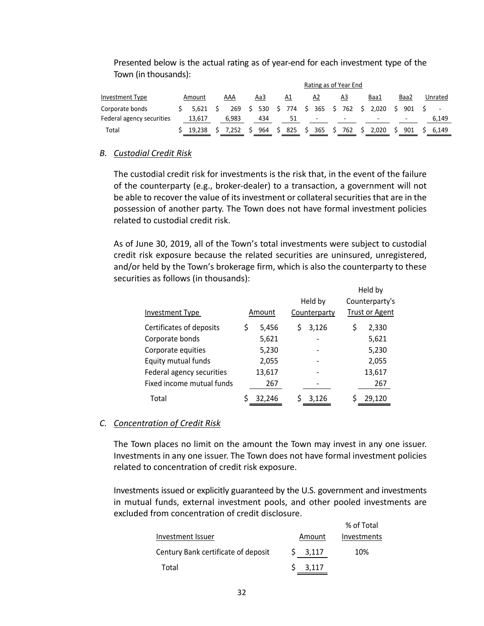|                           |         |       |     |    |        | Rating as of Year End |    |                                             |      |                          |
|---------------------------|---------|-------|-----|----|--------|-----------------------|----|---------------------------------------------|------|--------------------------|
| Investment Type           | Amount  | AAA   | Aa3 |    | Α1     | A2                    | A3 | Baa1                                        | Baa2 | Unrated                  |
| Corporate bonds           | 5.621 S |       |     |    |        |                       |    | 269 \$ 530 \$ 774 \$ 365 \$ 762 \$ 2,020 \$ | 901  | $\overline{\phantom{a}}$ |
| Federal agency securities | 13,617  | 6.983 | 434 |    | 51     | -                     |    |                                             |      | 6.149                    |
| Total                     | 19.238  | 7,252 | 964 | Ş. | 825 \$ | 365 \$ 762            |    | \$2,020                                     | 901  | 6.149                    |

Presented below is the actual rating as of year‐end for each investment type of the Town (in thousands):

# *B. Custodial Credit Risk*

The custodial credit risk for investments is the risk that, in the event of the failure of the counterparty (e.g., broker‐dealer) to a transaction, a government will not be able to recover the value of its investment or collateral securities that are in the possession of another party. The Town does not have formal investment policies related to custodial credit risk.

As of June 30, 2019, all of the Town's total investments were subject to custodial credit risk exposure because the related securities are uninsured, unregistered, and/or held by the Town's brokerage firm, which is also the counterparty to these securities as follows (in thousands):

|                           |             |    |              | Held by               |
|---------------------------|-------------|----|--------------|-----------------------|
|                           |             |    | Held by      | Counterparty's        |
| Investment Type           | Amount      |    | Counterparty | <b>Trust or Agent</b> |
| Certificates of deposits  | \$<br>5,456 | Ś. | 3,126        | \$<br>2,330           |
| Corporate bonds           | 5,621       |    |              | 5,621                 |
| Corporate equities        | 5,230       |    |              | 5,230                 |
| Equity mutual funds       | 2,055       |    |              | 2,055                 |
| Federal agency securities | 13,617      |    |              | 13,617                |
| Fixed income mutual funds | 267         |    |              | 267                   |
| Total                     | 32,246      |    | 3,126        | 29,120                |

#### *C. Concentration of Credit Risk*

The Town places no limit on the amount the Town may invest in any one issuer. Investments in any one issuer. The Town does not have formal investment policies related to concentration of credit risk exposure.

Investments issued or explicitly guaranteed by the U.S. government and investments in mutual funds, external investment pools, and other pooled investments are excluded from concentration of credit disclosure.

|                                     |        | % of Total  |
|-------------------------------------|--------|-------------|
| Investment Issuer                   | Amount | Investments |
| Century Bank certificate of deposit | -3,117 | 10%         |
| Total                               | 3,117  |             |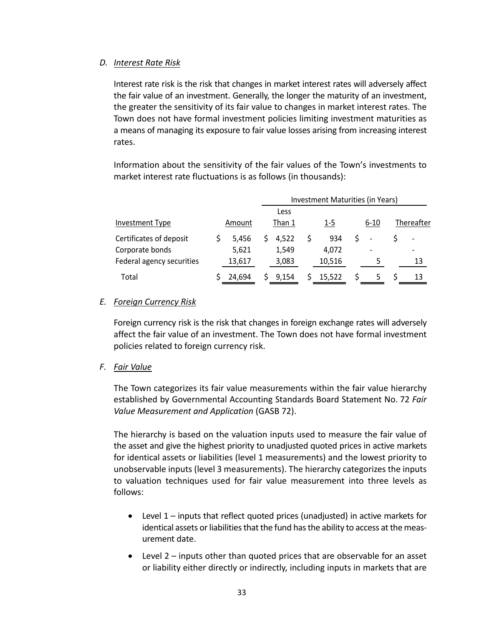# *D. Interest Rate Risk*

Interest rate risk is the risk that changes in market interest rates will adversely affect the fair value of an investment. Generally, the longer the maturity of an investment, the greater the sensitivity of its fair value to changes in market interest rates. The Town does not have formal investment policies limiting investment maturities as a means of managing its exposure to fair value losses arising from increasing interest rates.

Information about the sensitivity of the fair values of the Town's investments to market interest rate fluctuations is as follows (in thousands):

|                           |        | Investment Maturities (in Years) |        |  |         |  |          |  |                              |  |  |  |
|---------------------------|--------|----------------------------------|--------|--|---------|--|----------|--|------------------------------|--|--|--|
|                           |        |                                  | Less   |  |         |  |          |  |                              |  |  |  |
| Investment Type           | Amount |                                  | Than 1 |  | $1 - 5$ |  | $6 - 10$ |  | Thereafter                   |  |  |  |
| Certificates of deposit   | 5,456  |                                  | 4.522  |  | 934     |  |          |  | $\qquad \qquad \blacksquare$ |  |  |  |
| Corporate bonds           | 5,621  |                                  | 1,549  |  | 4,072   |  | ٠        |  | $\qquad \qquad \blacksquare$ |  |  |  |
| Federal agency securities | 13,617 |                                  | 3,083  |  | 10,516  |  |          |  | 13                           |  |  |  |
| Total                     | 24,694 |                                  | 9.154  |  | 15,522  |  |          |  | 13                           |  |  |  |

# *E. Foreign Currency Risk*

Foreign currency risk is the risk that changes in foreign exchange rates will adversely affect the fair value of an investment. The Town does not have formal investment policies related to foreign currency risk.

# *F. Fair Value*

The Town categorizes its fair value measurements within the fair value hierarchy established by Governmental Accounting Standards Board Statement No. 72 *Fair Value Measurement and Application* (GASB 72).

The hierarchy is based on the valuation inputs used to measure the fair value of the asset and give the highest priority to unadjusted quoted prices in active markets for identical assets or liabilities (level 1 measurements) and the lowest priority to unobservable inputs (level 3 measurements). The hierarchy categorizes the inputs to valuation techniques used for fair value measurement into three levels as follows:

- Level 1 inputs that reflect quoted prices (unadjusted) in active markets for identical assets or liabilities that the fund has the ability to access at the meas‐ urement date.
- Level 2 inputs other than quoted prices that are observable for an asset or liability either directly or indirectly, including inputs in markets that are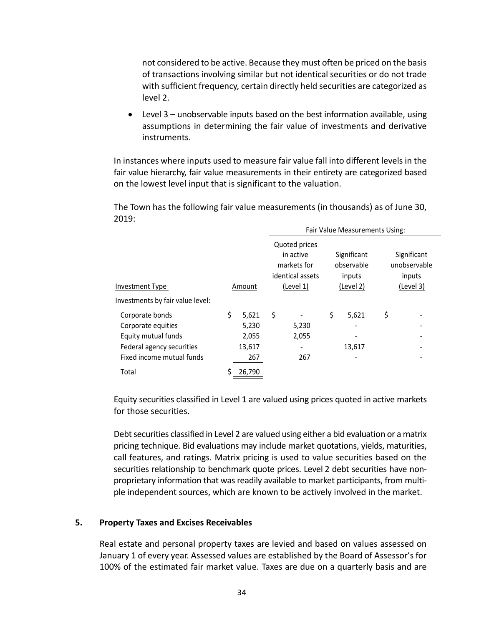not considered to be active. Because they must often be priced on the basis of transactions involving similar but not identical securities or do not trade with sufficient frequency, certain directly held securities are categorized as level 2.

 $\bullet$  Level 3 – unobservable inputs based on the best information available, using assumptions in determining the fair value of investments and derivative instruments.

In instances where inputs used to measure fair value fall into different levels in the fair value hierarchy, fair value measurements in their entirety are categorized based on the lowest level input that is significant to the valuation.

The Town has the following fair value measurements (in thousands) as of June 30, 2019:

|                                  |             | Fair Value Measurements Using: |                                                               |    |                                     |    |                                       |  |  |  |  |  |
|----------------------------------|-------------|--------------------------------|---------------------------------------------------------------|----|-------------------------------------|----|---------------------------------------|--|--|--|--|--|
|                                  |             |                                | Quoted prices<br>in active<br>markets for<br>identical assets |    | Significant<br>observable<br>inputs |    | Significant<br>unobservable<br>inputs |  |  |  |  |  |
| Investment Type                  | Amount      |                                | (Level 1)                                                     |    | (Level 2)                           |    | (Level 3)                             |  |  |  |  |  |
| Investments by fair value level: |             |                                |                                                               |    |                                     |    |                                       |  |  |  |  |  |
| Corporate bonds                  | \$<br>5,621 | \$                             |                                                               | \$ | 5,621                               | \$ |                                       |  |  |  |  |  |
| Corporate equities               | 5,230       |                                | 5,230                                                         |    |                                     |    |                                       |  |  |  |  |  |
| Equity mutual funds              | 2,055       |                                | 2,055                                                         |    |                                     |    |                                       |  |  |  |  |  |
| Federal agency securities        | 13,617      |                                | $\overline{\phantom{0}}$                                      |    | 13,617                              |    |                                       |  |  |  |  |  |
| Fixed income mutual funds        | 267         |                                | 267                                                           |    |                                     |    |                                       |  |  |  |  |  |
| Total                            | 26,790      |                                |                                                               |    |                                     |    |                                       |  |  |  |  |  |

Equity securities classified in Level 1 are valued using prices quoted in active markets for those securities.

Debt securities classified in Level 2 are valued using either a bid evaluation or a matrix pricing technique. Bid evaluations may include market quotations, yields, maturities, call features, and ratings. Matrix pricing is used to value securities based on the securities relationship to benchmark quote prices. Level 2 debt securities have nonproprietary information that was readily available to market participants, from multi‐ ple independent sources, which are known to be actively involved in the market.

#### **5. Property Taxes and Excises Receivables**

Real estate and personal property taxes are levied and based on values assessed on January 1 of every year. Assessed values are established by the Board of Assessor's for 100% of the estimated fair market value. Taxes are due on a quarterly basis and are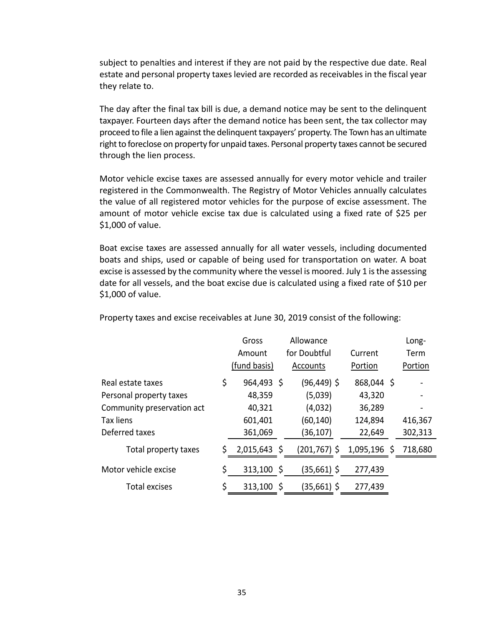subject to penalties and interest if they are not paid by the respective due date. Real estate and personal property taxes levied are recorded as receivables in the fiscal year they relate to.

The day after the final tax bill is due, a demand notice may be sent to the delinquent taxpayer. Fourteen days after the demand notice has been sent, the tax collector may proceed to file a lien against the delinquent taxpayers' property. The Town has an ultimate right to foreclose on property for unpaid taxes. Personal property taxes cannot be secured through the lien process.

Motor vehicle excise taxes are assessed annually for every motor vehicle and trailer registered in the Commonwealth. The Registry of Motor Vehicles annually calculates the value of all registered motor vehicles for the purpose of excise assessment. The amount of motor vehicle excise tax due is calculated using a fixed rate of \$25 per \$1,000 of value.

Boat excise taxes are assessed annually for all water vessels, including documented boats and ships, used or capable of being used for transportation on water. A boat excise is assessed by the community where the vessel is moored. July 1 is the assessing date for all vessels, and the boat excise due is calculated using a fixed rate of \$10 per \$1,000 of value.

|                            |    | Gross        | Allowance      |                | Long-                        |
|----------------------------|----|--------------|----------------|----------------|------------------------------|
|                            |    | Amount       | for Doubtful   | Current        | Term                         |
|                            |    | (fund basis) | Accounts       | Portion        | Portion                      |
| Real estate taxes          | \$ | 964,493 \$   | $(96, 449)$ \$ | 868,044 \$     |                              |
| Personal property taxes    |    | 48,359       | (5,039)        | 43,320         |                              |
| Community preservation act |    | 40,321       | (4,032)        | 36,289         | $\qquad \qquad \blacksquare$ |
| <b>Tax liens</b>           |    | 601,401      | (60, 140)      | 124,894        | 416,367                      |
| Deferred taxes             |    | 361,069      | (36, 107)      | 22,649         | 302,313                      |
| Total property taxes       | S  | 2,015,643 \$ | (201,767) \$   | $1,095,196$ \$ | 718,680                      |
| Motor vehicle excise       | \$ | $313,100$ \$ | (35,661) \$    | 277,439        |                              |
| <b>Total excises</b>       | \$ | $313,100$ \$ | (35,661) \$    | 277,439        |                              |

Property taxes and excise receivables at June 30, 2019 consist of the following: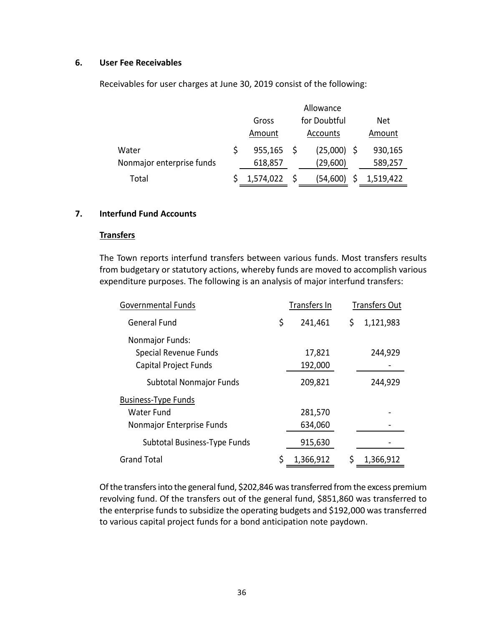# **6. User Fee Receivables**

Receivables for user charges at June 30, 2019 consist of the following:

|                           |   |           |                      | Allowance     |  |           |  |
|---------------------------|---|-----------|----------------------|---------------|--|-----------|--|
|                           |   | Gross     | for Doubtful<br>Net. |               |  |           |  |
|                           |   | Amount    | Accounts             |               |  |           |  |
| Water                     | S | 955,165   | - S                  | $(25,000)$ \$ |  | 930,165   |  |
| Nonmajor enterprise funds |   | 618,857   |                      | (29,600)      |  | 589,257   |  |
| Total                     |   | 1,574,022 |                      | (54,600)      |  | 1,519,422 |  |

#### **7. Interfund Fund Accounts**

#### **Transfers**

The Town reports interfund transfers between various funds. Most transfers results from budgetary or statutory actions, whereby funds are moved to accomplish various expenditure purposes. The following is an analysis of major interfund transfers:

| <b>Governmental Funds</b>    | Transfers In    | <b>Transfers Out</b> |
|------------------------------|-----------------|----------------------|
| <b>General Fund</b>          | \$<br>241,461   | \$<br>1,121,983      |
| <b>Nonmajor Funds:</b>       |                 |                      |
| Special Revenue Funds        | 17,821          | 244,929              |
| <b>Capital Project Funds</b> | 192,000         |                      |
| Subtotal Nonmajor Funds      | 209,821         | 244,929              |
| <b>Business-Type Funds</b>   |                 |                      |
| Water Fund                   | 281,570         |                      |
| Nonmajor Enterprise Funds    | 634,060         |                      |
| Subtotal Business-Type Funds | 915,630         |                      |
| <b>Grand Total</b>           | \$<br>1,366,912 | 1,366,912            |

Of the transfers into the general fund, \$202,846 was transferred from the excess premium revolving fund. Of the transfers out of the general fund, \$851,860 was transferred to the enterprise funds to subsidize the operating budgets and \$192,000 was transferred to various capital project funds for a bond anticipation note paydown.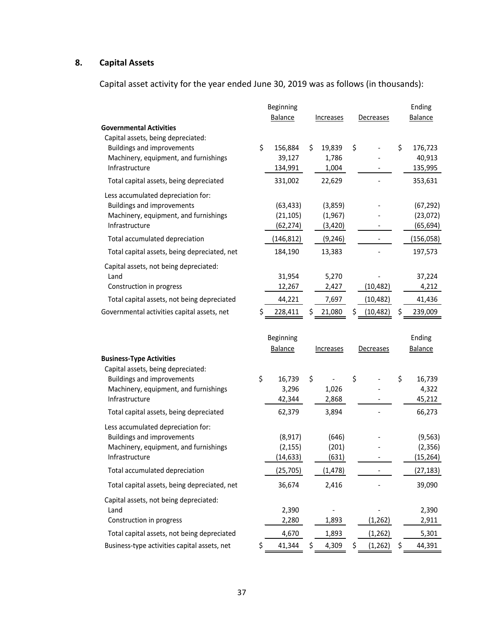# **8. Capital Assets**

Capital asset activity for the year ended June 30, 2019 was as follows (in thousands):

|                                              | Beginning       |              |                  | Ending         |
|----------------------------------------------|-----------------|--------------|------------------|----------------|
|                                              | <b>Balance</b>  | Increases    | Decreases        | Balance        |
| <b>Governmental Activities</b>               |                 |              |                  |                |
| Capital assets, being depreciated:           |                 |              |                  |                |
| <b>Buildings and improvements</b>            | \$<br>156,884   | \$<br>19,839 | \$               | \$<br>176,723  |
| Machinery, equipment, and furnishings        | 39,127          | 1,786        |                  | 40,913         |
| Infrastructure                               | 134,991         | 1,004        |                  | 135,995        |
| Total capital assets, being depreciated      | 331,002         | 22,629       |                  | 353,631        |
| Less accumulated depreciation for:           |                 |              |                  |                |
| <b>Buildings and improvements</b>            | (63, 433)       | (3,859)      |                  | (67, 292)      |
| Machinery, equipment, and furnishings        | (21, 105)       | (1, 967)     |                  | (23,072)       |
| Infrastructure                               | <u>(62,274)</u> | (3, 420)     |                  | (65, 694)      |
| Total accumulated depreciation               | (146,812)       | (9, 246)     |                  | (156,058)      |
| Total capital assets, being depreciated, net | 184,190         | 13,383       |                  | 197,573        |
| Capital assets, not being depreciated:       |                 |              |                  |                |
| Land                                         | 31,954          | 5,270        |                  | 37,224         |
| Construction in progress                     | 12,267          | 2,427        | (10, 482)        | 4,212          |
| Total capital assets, not being depreciated  | 44,221          | 7,697        | (10, 482)        | 41,436         |
| Governmental activities capital assets, net  | \$<br>228,411   | \$<br>21,080 | \$<br>(10, 482)  | \$<br>239,009  |
|                                              |                 |              |                  |                |
|                                              | Beginning       |              |                  | Ending         |
|                                              | <b>Balance</b>  | Increases    | <b>Decreases</b> | <b>Balance</b> |
| <b>Business-Type Activities</b>              |                 |              |                  |                |
| Capital assets, being depreciated:           |                 |              |                  |                |
| <b>Buildings and improvements</b>            | \$<br>16,739    | \$           | \$               | \$<br>16,739   |
| Machinery, equipment, and furnishings        | 3,296           | 1,026        |                  | 4,322          |
| Infrastructure                               | 42,344          | 2,868        |                  | 45,212         |
| Total capital assets, being depreciated      | 62,379          | 3,894        |                  | 66,273         |
| Less accumulated depreciation for:           |                 |              |                  |                |
| <b>Buildings and improvements</b>            | (8, 917)        | (646)        |                  | (9, 563)       |
| Machinery, equipment, and furnishings        | (2, 155)        | (201)        |                  | (2, 356)       |
| Infrastructure                               | (14, 633)       | (631)        |                  | (15, 264)      |
| Total accumulated depreciation               | (25,705)        | (1, 478)     |                  | (27, 183)      |
| Total capital assets, being depreciated, net | 36,674          | 2,416        |                  | 39,090         |
| Capital assets, not being depreciated:       |                 |              |                  |                |
| Land                                         | 2,390           |              |                  | 2,390          |
| Construction in progress                     | 2,280           | 1,893        | (1, 262)         | 2,911          |
| Total capital assets, not being depreciated  | 4,670           | 1,893        | (1, 262)         | 5,301          |
| Business-type activities capital assets, net | \$<br>41,344    | \$<br>4,309  | \$<br>(1, 262)   | \$<br>44,391   |
|                                              |                 |              |                  |                |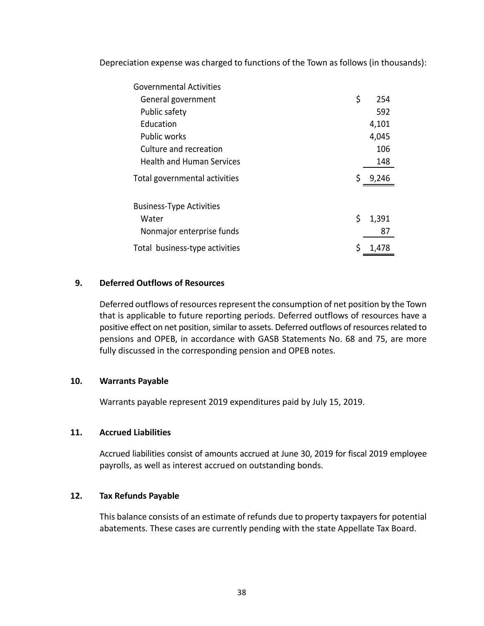Depreciation expense was charged to functions of the Town as follows (in thousands):

| <b>Governmental Activities</b>   |    |       |
|----------------------------------|----|-------|
| General government               | \$ | 254   |
| Public safety                    |    | 592   |
| Education                        |    | 4,101 |
| Public works                     |    | 4,045 |
| Culture and recreation           |    | 106   |
| <b>Health and Human Services</b> |    | 148   |
| Total governmental activities    | Ş. | 9,246 |
| <b>Business-Type Activities</b>  |    |       |
| Water                            | \$ | 1,391 |
| Nonmajor enterprise funds        |    | 87    |
| Total business-type activities   | S  | 1,478 |

# **9. Deferred Outflows of Resources**

Deferred outflows of resources represent the consumption of net position by the Town that is applicable to future reporting periods. Deferred outflows of resources have a positive effect on net position, similar to assets. Deferred outflows of resources related to pensions and OPEB, in accordance with GASB Statements No. 68 and 75, are more fully discussed in the corresponding pension and OPEB notes.

# **10. Warrants Payable**

Warrants payable represent 2019 expenditures paid by July 15, 2019.

# **11. Accrued Liabilities**

Accrued liabilities consist of amounts accrued at June 30, 2019 for fiscal 2019 employee payrolls, as well as interest accrued on outstanding bonds.

# **12. Tax Refunds Payable**

This balance consists of an estimate of refunds due to property taxpayers for potential abatements. These cases are currently pending with the state Appellate Tax Board.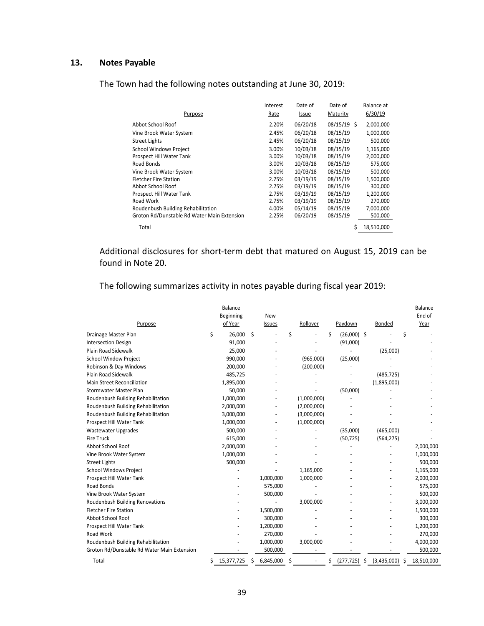# **13. Notes Payable**

| Purpose                                     | Interest<br>Rate | Date of<br>Issue | Date of<br>Maturity | Balance at<br>6/30/19 |
|---------------------------------------------|------------------|------------------|---------------------|-----------------------|
| Abbot School Roof                           | 2.20%            | 06/20/18         | $08/15/19$ \$       | 2,000,000             |
| Vine Brook Water System                     | 2.45%            | 06/20/18         | 08/15/19            | 1,000,000             |
| <b>Street Lights</b>                        | 2.45%            | 06/20/18         | 08/15/19            | 500,000               |
| School Windows Project                      | 3.00%            | 10/03/18         | 08/15/19            | 1,165,000             |
| Prospect Hill Water Tank                    | 3.00%            | 10/03/18         | 08/15/19            | 2,000,000             |
| Road Bonds                                  | 3.00%            | 10/03/18         | 08/15/19            | 575,000               |
| Vine Brook Water System                     | 3.00%            | 10/03/18         | 08/15/19            | 500,000               |
| <b>Fletcher Fire Station</b>                | 2.75%            | 03/19/19         | 08/15/19            | 1,500,000             |
| Abbot School Roof                           | 2.75%            | 03/19/19         | 08/15/19            | 300,000               |
| Prospect Hill Water Tank                    | 2.75%            | 03/19/19         | 08/15/19            | 1.200.000             |
| Road Work                                   | 2.75%            | 03/19/19         | 08/15/19            | 270,000               |
| Roudenbush Building Rehabilitation          | 4.00%            | 05/14/19         | 08/15/19            | 7,000,000             |
| Groton Rd/Dunstable Rd Water Main Extension | 2.25%            | 06/20/19         | 08/15/19            | 500,000               |
| Total                                       |                  |                  |                     | 18,510,000            |

The Town had the following notes outstanding at June 30, 2019:

Additional disclosures for short‐term debt that matured on August 15, 2019 can be found in Note 20.

The following summarizes activity in notes payable during fiscal year 2019:

| Purpose                                     | Balance<br>Beginning<br>of Year |   | New<br>Issues |    | Rollover    |   | Paydown       |     | <b>Bonded</b> |    | Balance<br>End of<br>Year |
|---------------------------------------------|---------------------------------|---|---------------|----|-------------|---|---------------|-----|---------------|----|---------------------------|
| Drainage Master Plan                        | \$<br>26,000                    | Ś |               | Ś  |             | Ś | $(26,000)$ \$ |     |               | \$ |                           |
| <b>Intersection Design</b>                  | 91,000                          |   |               |    |             |   | (91,000)      |     |               |    |                           |
| <b>Plain Road Sidewalk</b>                  | 25,000                          |   |               |    |             |   |               |     | (25,000)      |    |                           |
| <b>School Window Project</b>                | 990,000                         |   |               |    | (965,000)   |   | (25,000)      |     |               |    |                           |
| Robinson & Day Windows                      | 200,000                         |   |               |    | (200,000)   |   |               |     |               |    |                           |
| Plain Road Sidewalk                         | 485,725                         |   |               |    |             |   |               |     | (485, 725)    |    |                           |
| <b>Main Street Reconciliation</b>           | 1,895,000                       |   |               |    |             |   |               |     | (1,895,000)   |    |                           |
| <b>Stormwater Master Plan</b>               | 50,000                          |   |               |    |             |   | (50,000)      |     |               |    |                           |
| Roudenbush Building Rehabilitation          | 1,000,000                       |   |               |    | (1,000,000) |   |               |     |               |    |                           |
| Roudenbush Building Rehabilitation          | 2,000,000                       |   |               |    | (2,000,000) |   |               |     |               |    |                           |
| Roudenbush Building Rehabilitation          | 3,000,000                       |   |               |    | (3,000,000) |   |               |     |               |    |                           |
| Prospect Hill Water Tank                    | 1,000,000                       |   |               |    | (1,000,000) |   |               |     |               |    |                           |
| <b>Wastewater Upgrades</b>                  | 500,000                         |   |               |    |             |   | (35,000)      |     | (465,000)     |    |                           |
| <b>Fire Truck</b>                           | 615,000                         |   |               |    |             |   | (50, 725)     |     | (564, 275)    |    |                           |
| Abbot School Roof                           | 2,000,000                       |   |               |    |             |   |               |     |               |    | 2,000,000                 |
| Vine Brook Water System                     | 1,000,000                       |   |               |    |             |   |               |     |               |    | 1,000,000                 |
| <b>Street Lights</b>                        | 500,000                         |   |               |    |             |   |               |     |               |    | 500,000                   |
| School Windows Project                      |                                 |   |               |    | 1,165,000   |   |               |     |               |    | 1,165,000                 |
| Prospect Hill Water Tank                    |                                 |   | 1,000,000     |    | 1,000,000   |   |               |     |               |    | 2,000,000                 |
| Road Bonds                                  |                                 |   | 575,000       |    |             |   |               |     |               |    | 575,000                   |
| Vine Brook Water System                     |                                 |   | 500,000       |    |             |   |               |     |               |    | 500,000                   |
| Roudenbush Building Renovations             |                                 |   |               |    | 3,000,000   |   |               |     |               |    | 3,000,000                 |
| <b>Fletcher Fire Station</b>                |                                 |   | 1,500,000     |    |             |   |               |     |               |    | 1,500,000                 |
| Abbot School Roof                           |                                 |   | 300,000       |    |             |   |               |     |               |    | 300,000                   |
| Prospect Hill Water Tank                    |                                 |   | 1,200,000     |    |             |   |               |     |               |    | 1,200,000                 |
| Road Work                                   |                                 |   | 270,000       |    |             |   |               |     |               |    | 270,000                   |
| Roudenbush Building Rehabilitation          |                                 |   | 1,000,000     |    | 3,000,000   |   |               |     |               |    | 4,000,000                 |
| Groton Rd/Dunstable Rd Water Main Extension |                                 |   | 500,000       |    |             |   |               |     |               |    | 500,000                   |
| Total                                       | \$<br>15,377,725                | S | 6,845,000     | \$ |             | Ş | (277, 725)    | -\$ | (3,435,000)   | S  | 18,510,000                |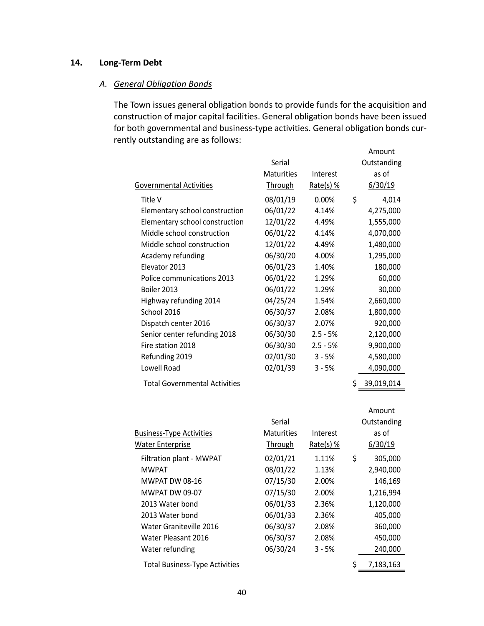# **14. Long‐Term Debt**

#### *A. General Obligation Bonds*

The Town issues general obligation bonds to provide funds for the acquisition and construction of major capital facilities. General obligation bonds have been issued for both governmental and business-type activities. General obligation bonds currently outstanding are as follows:

Amount

|                                      | Serial            |             | Outstanding |
|--------------------------------------|-------------------|-------------|-------------|
|                                      | <b>Maturities</b> | Interest    | as of       |
| <b>Governmental Activities</b>       | <b>Through</b>    | $Rate(s)$ % | 6/30/19     |
| Title V                              | 08/01/19          | 0.00%       | \$<br>4,014 |
| Elementary school construction       | 06/01/22          | 4.14%       | 4,275,000   |
| Elementary school construction       | 12/01/22          | 4.49%       | 1,555,000   |
| Middle school construction           | 06/01/22          | 4.14%       | 4,070,000   |
| Middle school construction           | 12/01/22          | 4.49%       | 1,480,000   |
| Academy refunding                    | 06/30/20          | 4.00%       | 1,295,000   |
| Elevator 2013                        | 06/01/23          | 1.40%       | 180,000     |
| Police communications 2013           | 06/01/22          | 1.29%       | 60,000      |
| Boiler 2013                          | 06/01/22          | 1.29%       | 30,000      |
| Highway refunding 2014               | 04/25/24          | 1.54%       | 2,660,000   |
| School 2016                          | 06/30/37          | 2.08%       | 1,800,000   |
| Dispatch center 2016                 | 06/30/37          | 2.07%       | 920,000     |
| Senior center refunding 2018         | 06/30/30          | $2.5 - 5%$  | 2,120,000   |
| Fire station 2018                    | 06/30/30          | $2.5 - 5%$  | 9,900,000   |
| Refunding 2019                       | 02/01/30          | $3 - 5%$    | 4,580,000   |
| Lowell Road                          | 02/01/39          | $3 - 5%$    | 4,090,000   |
| <b>Total Governmental Activities</b> |                   |             | 39,019,014  |
|                                      |                   |             |             |

|                                       |                   |             | Amount        |
|---------------------------------------|-------------------|-------------|---------------|
|                                       | Serial            |             | Outstanding   |
| <b>Business-Type Activities</b>       | <b>Maturities</b> | Interest    | as of         |
| <b>Water Enterprise</b>               | Through           | Rate(s) $%$ | 6/30/19       |
| Filtration plant - MWPAT              | 02/01/21          | 1.11%       | \$<br>305,000 |
| <b>MWPAT</b>                          | 08/01/22          | 1.13%       | 2,940,000     |
| <b>MWPAT DW 08-16</b>                 | 07/15/30          | 2.00%       | 146,169       |
| <b>MWPAT DW 09-07</b>                 | 07/15/30          | 2.00%       | 1,216,994     |
| 2013 Water bond                       | 06/01/33          | 2.36%       | 1,120,000     |
| 2013 Water bond                       | 06/01/33          | 2.36%       | 405,000       |
| Water Graniteville 2016               | 06/30/37          | 2.08%       | 360,000       |
| Water Pleasant 2016                   | 06/30/37          | 2.08%       | 450,000       |
| Water refunding                       | 06/30/24          | $3 - 5%$    | 240,000       |
| <b>Total Business-Type Activities</b> |                   |             | 7,183,163     |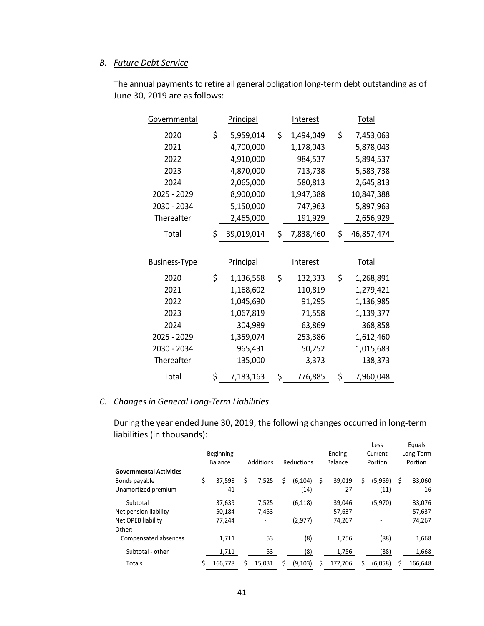# *B. Future Debt Service*

The annual payments to retire all general obligation long‐term debt outstanding as of June 30, 2019 are as follows:

| Governmental         | <b>Principal</b> |     | <b>Interest</b> | <b>Total</b>     |
|----------------------|------------------|-----|-----------------|------------------|
| 2020                 | \$<br>5,959,014  | \$  | 1,494,049       | \$<br>7,453,063  |
| 2021                 | 4,700,000        |     | 1,178,043       | 5,878,043        |
| 2022                 | 4,910,000        |     | 984,537         | 5,894,537        |
| 2023                 | 4,870,000        |     | 713,738         | 5,583,738        |
| 2024                 | 2,065,000        |     | 580,813         | 2,645,813        |
| 2025 - 2029          | 8,900,000        |     | 1,947,388       | 10,847,388       |
| 2030 - 2034          | 5,150,000        |     | 747,963         | 5,897,963        |
| Thereafter           | 2,465,000        |     | 191,929         | 2,656,929        |
| Total                | 39,019,014       | \$. | 7,838,460       | \$<br>46,857,474 |
|                      |                  |     |                 |                  |
|                      |                  |     |                 |                  |
| <b>Business-Type</b> | <b>Principal</b> |     | <b>Interest</b> | <u>Total</u>     |
| 2020                 | \$<br>1,136,558  | \$  | 132,333         | \$<br>1,268,891  |
| 2021                 | 1,168,602        |     | 110,819         | 1,279,421        |
| 2022                 | 1,045,690        |     | 91,295          | 1,136,985        |
| 2023                 | 1,067,819        |     | 71,558          | 1,139,377        |
| 2024                 | 304,989          |     | 63,869          | 368,858          |
| 2025 - 2029          | 1,359,074        |     | 253,386         | 1,612,460        |
| 2030 - 2034          | 965,431          |     | 50,252          | 1,015,683        |
| Thereafter           | 135,000          |     | 3,373           | 138,373          |

# *C. Changes in General Long‐Term Liabilities*

During the year ended June 30, 2019, the following changes occurred in long‐term liabilities (in thousands):

|                                | Beginning<br><b>Balance</b> |    | Additions |   | Reductions | Ending<br><b>Balance</b> | Less<br>Current<br>Portion |   | Equals<br>Long-Term<br>Portion |
|--------------------------------|-----------------------------|----|-----------|---|------------|--------------------------|----------------------------|---|--------------------------------|
| <b>Governmental Activities</b> |                             |    |           |   |            |                          |                            |   |                                |
| Bonds payable                  | \$<br>37.598                | \$ | 7,525     | S | (6, 104)   | \$<br>39,019             | \$<br>(5,959)              | S | 33,060                         |
| Unamortized premium            | 41                          |    |           |   | (14)       | 27                       | (11)                       |   | 16                             |
| Subtotal                       | 37,639                      |    | 7,525     |   | (6, 118)   | 39,046                   | (5,970)                    |   | 33,076                         |
| Net pension liability          | 50,184                      |    | 7,453     |   |            | 57,637                   |                            |   | 57,637                         |
| Net OPEB liability             | 77,244                      |    |           |   | (2,977)    | 74,267                   |                            |   | 74,267                         |
| Other:                         |                             |    |           |   |            |                          |                            |   |                                |
| Compensated absences           | 1,711                       |    | 53        |   | (8)        | 1,756                    | (88)                       |   | 1,668                          |
| Subtotal - other               | 1,711                       |    | 53        |   | (8)        | 1,756                    | (88)                       |   | 1,668                          |
| <b>Totals</b>                  | 166,778                     | Ś. | 15,031    |   | (9, 103)   | \$<br>172,706            | \$<br>(6,058)              |   | 166.648                        |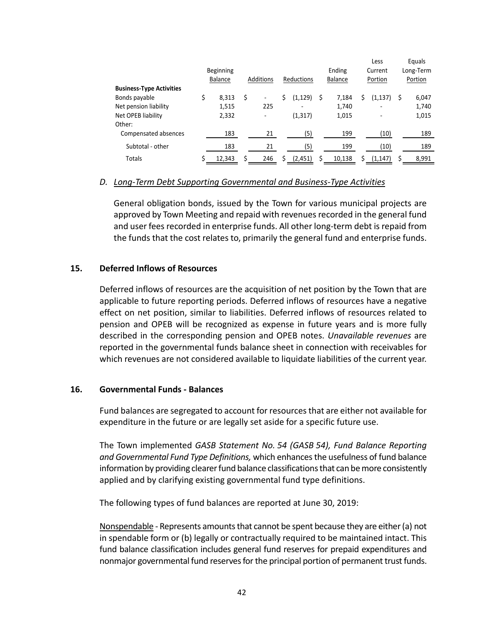|                                 | Beginning      |   |           |   |            |      | Ending         |    | Less<br>Current |     | Equals<br>Long-Term |
|---------------------------------|----------------|---|-----------|---|------------|------|----------------|----|-----------------|-----|---------------------|
|                                 | <b>Balance</b> |   | Additions |   | Reductions |      | <b>Balance</b> |    | Portion         |     | Portion             |
| <b>Business-Type Activities</b> |                |   |           |   |            |      |                |    |                 |     |                     |
| Bonds payable                   | \$<br>8,313    | Ŝ | ۰         | Ś | (1, 129)   | - \$ | 7,184          | \$ | (1, 137)        | - S | 6,047               |
| Net pension liability           | 1,515          |   | 225       |   | -          |      | 1,740          |    | ۰               |     | 1,740               |
| Net OPEB liability              | 2,332          |   |           |   | (1, 317)   |      | 1,015          |    |                 |     | 1,015               |
| Other:                          |                |   |           |   |            |      |                |    |                 |     |                     |
| Compensated absences            | 183            |   | 21        |   | (5)        |      | 199            |    | (10)            |     | 189                 |
| Subtotal - other                | 183            |   | 21        |   | (5)        |      | 199            |    | (10)            |     | 189                 |
| Totals                          | 12,343         | Ś | 246       |   | (2,451)    | \$   | 10,138         | Ś. | (1, 147)        |     | 8,991               |

#### *D. Long‐Term Debt Supporting Governmental and Business‐Type Activities*

General obligation bonds, issued by the Town for various municipal projects are approved by Town Meeting and repaid with revenues recorded in the general fund and user fees recorded in enterprise funds. All other long‐term debt is repaid from the funds that the cost relates to, primarily the general fund and enterprise funds.

# **15. Deferred Inflows of Resources**

Deferred inflows of resources are the acquisition of net position by the Town that are applicable to future reporting periods. Deferred inflows of resources have a negative effect on net position, similar to liabilities. Deferred inflows of resources related to pension and OPEB will be recognized as expense in future years and is more fully described in the corresponding pension and OPEB notes. *Unavailable revenues* are reported in the governmental funds balance sheet in connection with receivables for which revenues are not considered available to liquidate liabilities of the current year.

# **16. Governmental Funds ‐ Balances**

Fund balances are segregated to account for resources that are either not available for expenditure in the future or are legally set aside for a specific future use.

The Town implemented *GASB Statement No. 54 (GASB 54), Fund Balance Reporting and Governmental Fund Type Definitions,* which enhances the usefulness of fund balance information by providing clearer fund balance classifications that can be more consistently applied and by clarifying existing governmental fund type definitions.

The following types of fund balances are reported at June 30, 2019:

Nonspendable ‐ Represents amounts that cannot be spent because they are either (a) not in spendable form or (b) legally or contractually required to be maintained intact. This fund balance classification includes general fund reserves for prepaid expenditures and nonmajor governmental fund reserves for the principal portion of permanent trust funds.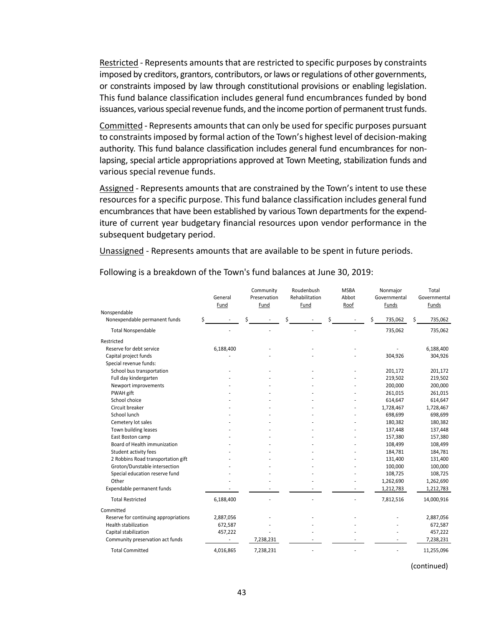Restricted ‐ Represents amounts that are restricted to specific purposes by constraints imposed by creditors, grantors, contributors, or laws or regulations of other governments, or constraints imposed by law through constitutional provisions or enabling legislation. This fund balance classification includes general fund encumbrances funded by bond issuances, various special revenue funds, and the income portion of permanent trust funds.

Committed ‐ Represents amounts that can only be used for specific purposes pursuant to constraints imposed by formal action of the Town's highest level of decision‐making authority. This fund balance classification includes general fund encumbrances for non‐ lapsing, special article appropriations approved at Town Meeting, stabilization funds and various special revenue funds.

Assigned ‐ Represents amounts that are constrained by the Town's intent to use these resources for a specific purpose. This fund balance classification includes general fund encumbrances that have been established by various Town departments for the expend‐ iture of current year budgetary financial resources upon vendor performance in the subsequent budgetary period.

Unassigned ‐ Represents amounts that are available to be spent in future periods.

|                                               | General<br>Fund |   | Community<br>Preservation<br>Fund | Roudenbush<br>Rehabilitation<br>Fund |   | <b>MSBA</b><br>Abbot<br>Roof | Nonmajor<br>Governmental<br>Funds |    | Total<br>Governmental<br>Funds |
|-----------------------------------------------|-----------------|---|-----------------------------------|--------------------------------------|---|------------------------------|-----------------------------------|----|--------------------------------|
| Nonspendable<br>Nonexpendable permanent funds | \$              | Ś |                                   | \$                                   | Ś |                              | \$<br>735,062                     | Ś. | 735,062                        |
| <b>Total Nonspendable</b>                     |                 |   |                                   |                                      |   |                              | 735,062                           |    | 735,062                        |
| Restricted                                    |                 |   |                                   |                                      |   |                              |                                   |    |                                |
| Reserve for debt service                      | 6,188,400       |   |                                   |                                      |   |                              |                                   |    | 6,188,400                      |
| Capital project funds                         |                 |   |                                   |                                      |   |                              | 304,926                           |    | 304,926                        |
| Special revenue funds:                        |                 |   |                                   |                                      |   |                              |                                   |    |                                |
| School bus transportation                     |                 |   |                                   |                                      |   |                              | 201,172                           |    | 201,172                        |
| Full day kindergarten                         |                 |   |                                   |                                      |   |                              | 219,502                           |    | 219,502                        |
| Newport improvements                          |                 |   |                                   |                                      |   |                              | 200,000                           |    | 200,000                        |
| PWAH gift                                     |                 |   |                                   |                                      |   |                              | 261,015                           |    | 261,015                        |
| School choice                                 |                 |   |                                   |                                      |   |                              | 614,647                           |    | 614,647                        |
| Circuit breaker                               |                 |   |                                   |                                      |   |                              | 1,728,467                         |    | 1,728,467                      |
| School lunch                                  |                 |   |                                   |                                      |   |                              | 698,699                           |    | 698,699                        |
| Cemetery lot sales                            |                 |   |                                   |                                      |   |                              | 180,382                           |    | 180,382                        |
| Town building leases                          |                 |   |                                   |                                      |   |                              | 137,448                           |    | 137,448                        |
| East Boston camp                              |                 |   |                                   |                                      |   |                              | 157,380                           |    | 157,380                        |
| Board of Health immunization                  |                 |   |                                   |                                      |   |                              | 108,499                           |    | 108,499                        |
| Student activity fees                         |                 |   |                                   |                                      |   |                              | 184,781                           |    | 184,781                        |
| 2 Robbins Road transportation gift            |                 |   |                                   |                                      |   |                              | 131,400                           |    | 131,400                        |
| Groton/Dunstable intersection                 |                 |   |                                   |                                      |   |                              | 100,000                           |    | 100,000                        |
| Special education reserve fund                |                 |   |                                   |                                      |   |                              | 108,725                           |    | 108,725                        |
| Other                                         |                 |   |                                   |                                      |   |                              | 1,262,690                         |    | 1,262,690                      |
| Expendable permanent funds                    |                 |   |                                   |                                      |   |                              | 1,212,783                         |    | 1,212,783                      |
| <b>Total Restricted</b>                       | 6,188,400       |   |                                   |                                      |   |                              | 7,812,516                         |    | 14,000,916                     |
| Committed                                     |                 |   |                                   |                                      |   |                              |                                   |    |                                |
| Reserve for continuing appropriations         | 2,887,056       |   |                                   |                                      |   |                              |                                   |    | 2,887,056                      |
| Health stabilization                          | 672,587         |   |                                   |                                      |   |                              |                                   |    | 672,587                        |
| Capital stabilization                         | 457,222         |   |                                   |                                      |   |                              |                                   |    | 457,222                        |
| Community preservation act funds              |                 |   | 7,238,231                         |                                      |   |                              |                                   |    | 7,238,231                      |
| <b>Total Committed</b>                        | 4,016,865       |   | 7,238,231                         |                                      |   | ÷                            |                                   |    | 11,255,096                     |

Following is a breakdown of the Town's fund balances at June 30, 2019:

(continued)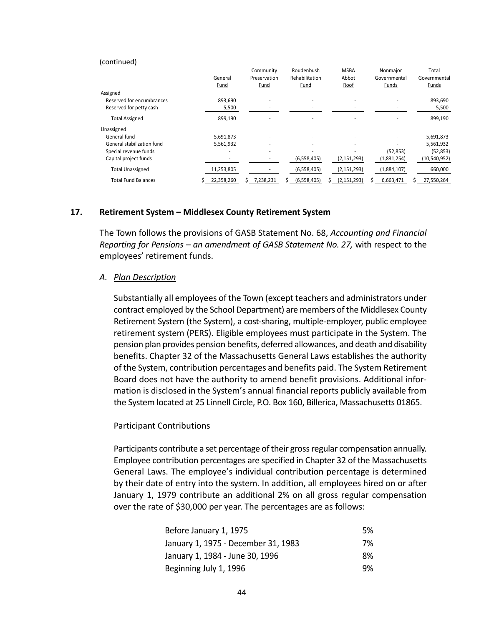#### (continued)

|                            |            | Community    | Roudenbush     | <b>MSBA</b>   | Nonmaior     | Total        |
|----------------------------|------------|--------------|----------------|---------------|--------------|--------------|
|                            | General    | Preservation | Rehabilitation | Abbot         | Governmental | Governmental |
|                            | Fund       | Fund         | Fund           | Roof          | Funds        | Funds        |
| Assigned                   |            |              |                |               |              |              |
| Reserved for encumbrances  | 893,690    |              |                |               |              | 893,690      |
| Reserved for petty cash    | 5,500      |              |                |               |              | 5,500        |
| <b>Total Assigned</b>      | 899,190    |              |                |               |              | 899,190      |
| Unassigned                 |            |              |                |               |              |              |
| General fund               | 5,691,873  |              | ٠              | ٠             | ۰            | 5,691,873    |
| General stabilization fund | 5,561,932  |              |                |               |              | 5,561,932    |
| Special revenue funds      | ۰          |              |                |               | (52, 853)    | (52, 853)    |
| Capital project funds      |            |              | (6,558,405)    | (2, 151, 293) | (1,831,254)  | (10,540,952) |
| <b>Total Unassigned</b>    | 11,253,805 |              | (6,558,405)    | (2, 151, 293) | (1,884,107)  | 660,000      |
| <b>Total Fund Balances</b> | 22,358,260 | 7,238,231    | (6,558,405)    | (2, 151, 293) | 6,663,471    | 27,550,264   |

#### **17. Retirement System – Middlesex County Retirement System**

The Town follows the provisions of GASB Statement No. 68, *Accounting and Financial Reporting for Pensions – an amendment of GASB Statement No. 27,* with respect to the employees' retirement funds.

#### *A. Plan Description*

Substantially all employees of the Town (except teachers and administrators under contract employed by the School Department) are members of the Middlesex County Retirement System (the System), a cost‐sharing, multiple‐employer, public employee retirement system (PERS). Eligible employees must participate in the System. The pension plan provides pension benefits, deferred allowances, and death and disability benefits. Chapter 32 of the Massachusetts General Laws establishes the authority of the System, contribution percentages and benefits paid. The System Retirement Board does not have the authority to amend benefit provisions. Additional infor‐ mation is disclosed in the System's annual financial reports publicly available from the System located at 25 Linnell Circle, P.O. Box 160, Billerica, Massachusetts 01865.

#### Participant Contributions

Participants contribute a set percentage of their gross regular compensation annually. Employee contribution percentages are specified in Chapter 32 of the Massachusetts General Laws. The employee's individual contribution percentage is determined by their date of entry into the system. In addition, all employees hired on or after January 1, 1979 contribute an additional 2% on all gross regular compensation over the rate of \$30,000 per year. The percentages are as follows:

| Before January 1, 1975              | .5% |
|-------------------------------------|-----|
| January 1, 1975 - December 31, 1983 | 7%  |
| January 1, 1984 - June 30, 1996     | 8%  |
| Beginning July 1, 1996              | 9%  |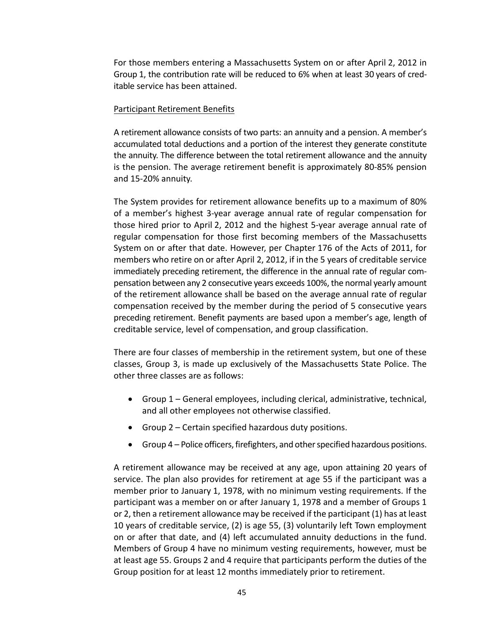For those members entering a Massachusetts System on or after April 2, 2012 in Group 1, the contribution rate will be reduced to 6% when at least 30 years of cred‐ itable service has been attained.

#### Participant Retirement Benefits

A retirement allowance consists of two parts: an annuity and a pension. A member's accumulated total deductions and a portion of the interest they generate constitute the annuity. The difference between the total retirement allowance and the annuity is the pension. The average retirement benefit is approximately 80‐85% pension and 15‐20% annuity.

The System provides for retirement allowance benefits up to a maximum of 80% of a member's highest 3‐year average annual rate of regular compensation for those hired prior to April 2, 2012 and the highest 5‐year average annual rate of regular compensation for those first becoming members of the Massachusetts System on or after that date. However, per Chapter 176 of the Acts of 2011, for members who retire on or after April 2, 2012, if in the 5 years of creditable service immediately preceding retirement, the difference in the annual rate of regular com‐ pensation between any 2 consecutive years exceeds 100%, the normal yearly amount of the retirement allowance shall be based on the average annual rate of regular compensation received by the member during the period of 5 consecutive years preceding retirement. Benefit payments are based upon a member's age, length of creditable service, level of compensation, and group classification.

There are four classes of membership in the retirement system, but one of these classes, Group 3, is made up exclusively of the Massachusetts State Police. The other three classes are as follows:

- Group 1 General employees, including clerical, administrative, technical, and all other employees not otherwise classified.
- Group 2 Certain specified hazardous duty positions.
- Group 4 Police officers, firefighters, and other specified hazardous positions.

A retirement allowance may be received at any age, upon attaining 20 years of service. The plan also provides for retirement at age 55 if the participant was a member prior to January 1, 1978, with no minimum vesting requirements. If the participant was a member on or after January 1, 1978 and a member of Groups 1 or 2, then a retirement allowance may be received if the participant (1) has at least 10 years of creditable service, (2) is age 55, (3) voluntarily left Town employment on or after that date, and (4) left accumulated annuity deductions in the fund. Members of Group 4 have no minimum vesting requirements, however, must be at least age 55. Groups 2 and 4 require that participants perform the duties of the Group position for at least 12 months immediately prior to retirement.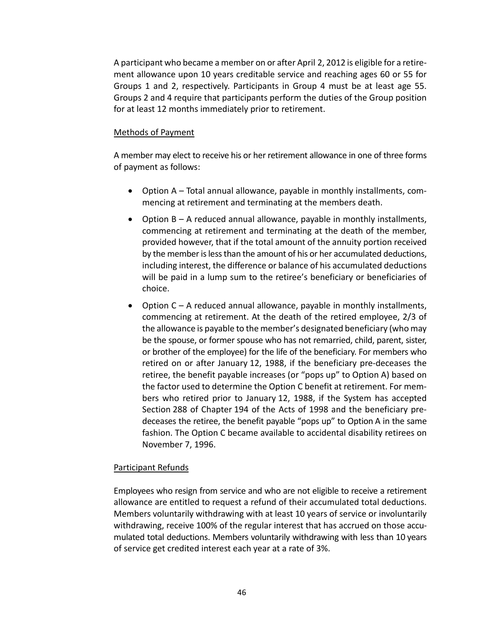A participant who became a member on or after April 2, 2012 is eligible for a retire‐ ment allowance upon 10 years creditable service and reaching ages 60 or 55 for Groups 1 and 2, respectively. Participants in Group 4 must be at least age 55. Groups 2 and 4 require that participants perform the duties of the Group position for at least 12 months immediately prior to retirement.

# Methods of Payment

A member may elect to receive his or her retirement allowance in one of three forms of payment as follows:

- Option A Total annual allowance, payable in monthly installments, commencing at retirement and terminating at the members death.
- Option  $B A$  reduced annual allowance, payable in monthly installments, commencing at retirement and terminating at the death of the member, provided however, that if the total amount of the annuity portion received by the member is less than the amount of his or her accumulated deductions, including interest, the difference or balance of his accumulated deductions will be paid in a lump sum to the retiree's beneficiary or beneficiaries of choice.
- Option C A reduced annual allowance, payable in monthly installments, commencing at retirement. At the death of the retired employee, 2/3 of the allowance is payable to the member's designated beneficiary (who may be the spouse, or former spouse who has not remarried, child, parent, sister, or brother of the employee) for the life of the beneficiary. For members who retired on or after January 12, 1988, if the beneficiary pre‐deceases the retiree, the benefit payable increases (or "pops up" to Option A) based on the factor used to determine the Option C benefit at retirement. For mem‐ bers who retired prior to January 12, 1988, if the System has accepted Section 288 of Chapter 194 of the Acts of 1998 and the beneficiary pre‐ deceases the retiree, the benefit payable "pops up" to Option A in the same fashion. The Option C became available to accidental disability retirees on November 7, 1996.

# Participant Refunds

Employees who resign from service and who are not eligible to receive a retirement allowance are entitled to request a refund of their accumulated total deductions. Members voluntarily withdrawing with at least 10 years of service or involuntarily withdrawing, receive 100% of the regular interest that has accrued on those accumulated total deductions. Members voluntarily withdrawing with less than 10 years of service get credited interest each year at a rate of 3%.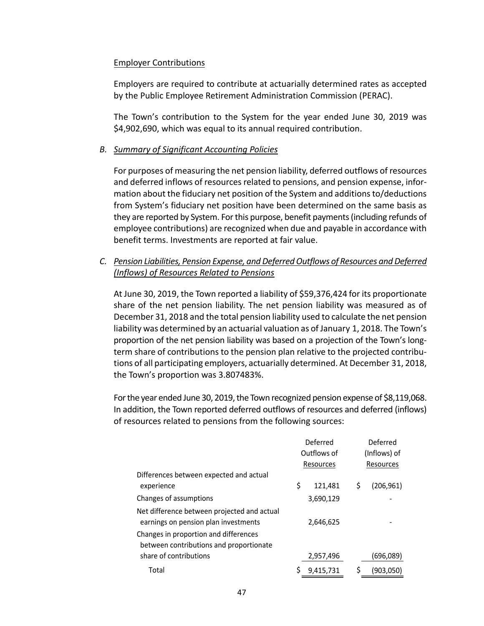# Employer Contributions

Employers are required to contribute at actuarially determined rates as accepted by the Public Employee Retirement Administration Commission (PERAC).

The Town's contribution to the System for the year ended June 30, 2019 was \$4,902,690, which was equal to its annual required contribution.

# *B. Summary of Significant Accounting Policies*

For purposes of measuring the net pension liability, deferred outflows of resources and deferred inflows of resources related to pensions, and pension expense, infor‐ mation about the fiduciary net position of the System and additions to/deductions from System's fiduciary net position have been determined on the same basis as they are reported by System. For this purpose, benefit payments (including refunds of employee contributions) are recognized when due and payable in accordance with benefit terms. Investments are reported at fair value.

# *C. Pension Liabilities, Pension Expense, and Deferred Outflows of Resources and Deferred (Inflows) of Resources Related to Pensions*

At June 30, 2019, the Town reported a liability of \$59,376,424 for its proportionate share of the net pension liability. The net pension liability was measured as of December 31, 2018 and the total pension liability used to calculate the net pension liability was determined by an actuarial valuation as of January 1, 2018. The Town's proportion of the net pension liability was based on a projection of the Town's long‐ term share of contributions to the pension plan relative to the projected contribu‐ tions of all participating employers, actuarially determined. At December 31, 2018, the Town's proportion was 3.807483%.

For the year ended June 30, 2019, the Town recognized pension expense of \$8,119,068. In addition, the Town reported deferred outflows of resources and deferred (inflows) of resources related to pensions from the following sources:

|                                                                                     | Deferred    |           |   | Deferred     |  |  |
|-------------------------------------------------------------------------------------|-------------|-----------|---|--------------|--|--|
|                                                                                     | Outflows of |           |   | (Inflows) of |  |  |
|                                                                                     |             | Resources |   | Resources    |  |  |
| Differences between expected and actual                                             |             |           |   |              |  |  |
| experience                                                                          | \$          | 121,481   | S | (206,961)    |  |  |
| Changes of assumptions                                                              |             | 3,690,129 |   |              |  |  |
| Net difference between projected and actual<br>earnings on pension plan investments |             | 2,646,625 |   |              |  |  |
| Changes in proportion and differences<br>between contributions and proportionate    |             |           |   |              |  |  |
| share of contributions                                                              |             | 2,957,496 |   | (696,089)    |  |  |
| Total                                                                               |             | 9,415,731 |   | (903,050)    |  |  |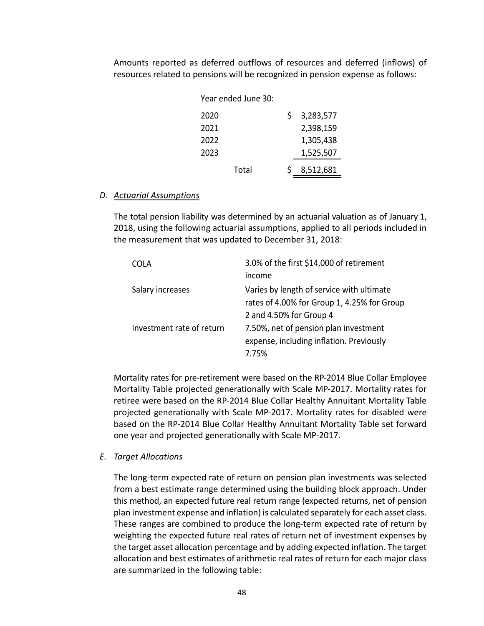Amounts reported as deferred outflows of resources and deferred (inflows) of resources related to pensions will be recognized in pension expense as follows:

| Year ended June 30: |   |           |
|---------------------|---|-----------|
| 2020                | Ś | 3,283,577 |
| 2021                |   | 2,398,159 |
| 2022                |   | 1,305,438 |
| 2023                |   | 1,525,507 |
| Total               | S | 8,512,681 |

#### *D. Actuarial Assumptions*

The total pension liability was determined by an actuarial valuation as of January 1, 2018, using the following actuarial assumptions, applied to all periods included in the measurement that was updated to December 31, 2018:

| COLA                      | 3.0% of the first \$14,000 of retirement    |
|---------------------------|---------------------------------------------|
|                           | income                                      |
| Salary increases          | Varies by length of service with ultimate   |
|                           | rates of 4.00% for Group 1, 4.25% for Group |
|                           | 2 and 4.50% for Group 4                     |
| Investment rate of return | 7.50%, net of pension plan investment       |
|                           | expense, including inflation. Previously    |
|                           | 7.75%                                       |

Mortality rates for pre‐retirement were based on the RP‐2014 Blue Collar Employee Mortality Table projected generationally with Scale MP‐2017. Mortality rates for retiree were based on the RP‐2014 Blue Collar Healthy Annuitant Mortality Table projected generationally with Scale MP‐2017. Mortality rates for disabled were based on the RP‐2014 Blue Collar Healthy Annuitant Mortality Table set forward one year and projected generationally with Scale MP‐2017.

# *E. Target Allocations*

The long‐term expected rate of return on pension plan investments was selected from a best estimate range determined using the building block approach. Under this method, an expected future real return range (expected returns, net of pension plan investment expense and inflation) is calculated separately for each asset class. These ranges are combined to produce the long-term expected rate of return by weighting the expected future real rates of return net of investment expenses by the target asset allocation percentage and by adding expected inflation. The target allocation and best estimates of arithmetic real rates of return for each major class are summarized in the following table: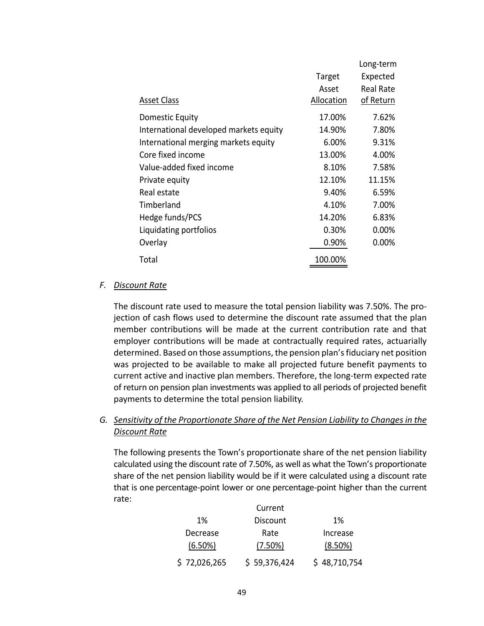|                                        |            | Long-term        |
|----------------------------------------|------------|------------------|
|                                        | Target     | Expected         |
|                                        | Asset      | <b>Real Rate</b> |
| <b>Asset Class</b>                     | Allocation | of Return        |
| Domestic Equity                        | 17.00%     | 7.62%            |
| International developed markets equity | 14.90%     | 7.80%            |
| International merging markets equity   | 6.00%      | 9.31%            |
| Core fixed income                      | 13.00%     | 4.00%            |
| Value-added fixed income               | 8.10%      | 7.58%            |
| Private equity                         | 12.10%     | 11.15%           |
| Real estate                            | 9.40%      | 6.59%            |
| Timberland                             | 4.10%      | 7.00%            |
| Hedge funds/PCS                        | 14.20%     | 6.83%            |
| Liquidating portfolios                 | 0.30%      | 0.00%            |
| Overlay                                | 0.90%      | 0.00%            |
| Total                                  | 100.00%    |                  |

# *F. Discount Rate*

The discount rate used to measure the total pension liability was 7.50%. The pro‐ jection of cash flows used to determine the discount rate assumed that the plan member contributions will be made at the current contribution rate and that employer contributions will be made at contractually required rates, actuarially determined. Based on those assumptions, the pension plan's fiduciary net position was projected to be available to make all projected future benefit payments to current active and inactive plan members. Therefore, the long‐term expected rate of return on pension plan investments was applied to all periods of projected benefit payments to determine the total pension liability.

*G. Sensitivity of the Proportionate Share of the Net Pension Liability to Changes in the Discount Rate* 

The following presents the Town's proportionate share of the net pension liability calculated using the discount rate of 7.50%, as well as what the Town's proportionate share of the net pension liability would be if it were calculated using a discount rate that is one percentage‐point lower or one percentage‐point higher than the current rate:

|              | Current      |              |
|--------------|--------------|--------------|
| 1%           | Discount     | 1%           |
| Decrease     | Rate         | Increase     |
| $(6.50\%)$   | (7.50%)      | $(8.50\%)$   |
| \$72,026,265 | \$59,376,424 | \$48,710,754 |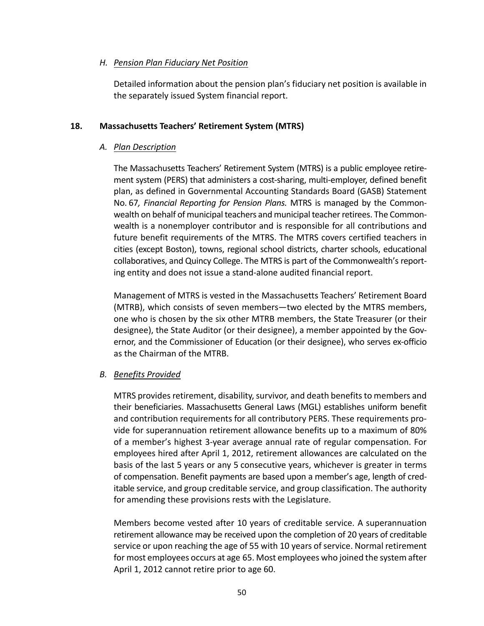# *H. Pension Plan Fiduciary Net Position*

Detailed information about the pension plan's fiduciary net position is available in the separately issued System financial report.

# **18. Massachusetts Teachers' Retirement System (MTRS)**

# *A. Plan Description*

The Massachusetts Teachers' Retirement System (MTRS) is a public employee retire‐ ment system (PERS) that administers a cost-sharing, multi-employer, defined benefit plan, as defined in Governmental Accounting Standards Board (GASB) Statement No. 67*, Financial Reporting for Pension Plans.* MTRS is managed by the Common‐ wealth on behalf of municipal teachers and municipal teacher retirees. The Common‐ wealth is a nonemployer contributor and is responsible for all contributions and future benefit requirements of the MTRS. The MTRS covers certified teachers in cities (except Boston), towns, regional school districts, charter schools, educational collaboratives, and Quincy College. The MTRS is part of the Commonwealth's report‐ ing entity and does not issue a stand‐alone audited financial report.

Management of MTRS is vested in the Massachusetts Teachers' Retirement Board (MTRB), which consists of seven members—two elected by the MTRS members, one who is chosen by the six other MTRB members, the State Treasurer (or their designee), the State Auditor (or their designee), a member appointed by the Gov‐ ernor, and the Commissioner of Education (or their designee), who serves ex‐officio as the Chairman of the MTRB.

# *B. Benefits Provided*

MTRS provides retirement, disability, survivor, and death benefits to members and their beneficiaries. Massachusetts General Laws (MGL) establishes uniform benefit and contribution requirements for all contributory PERS. These requirements provide for superannuation retirement allowance benefits up to a maximum of 80% of a member's highest 3‐year average annual rate of regular compensation. For employees hired after April 1, 2012, retirement allowances are calculated on the basis of the last 5 years or any 5 consecutive years, whichever is greater in terms of compensation. Benefit payments are based upon a member's age, length of cred‐ itable service, and group creditable service, and group classification. The authority for amending these provisions rests with the Legislature.

Members become vested after 10 years of creditable service. A superannuation retirement allowance may be received upon the completion of 20 years of creditable service or upon reaching the age of 55 with 10 years of service. Normal retirement for most employees occurs at age 65. Most employees who joined the system after April 1, 2012 cannot retire prior to age 60.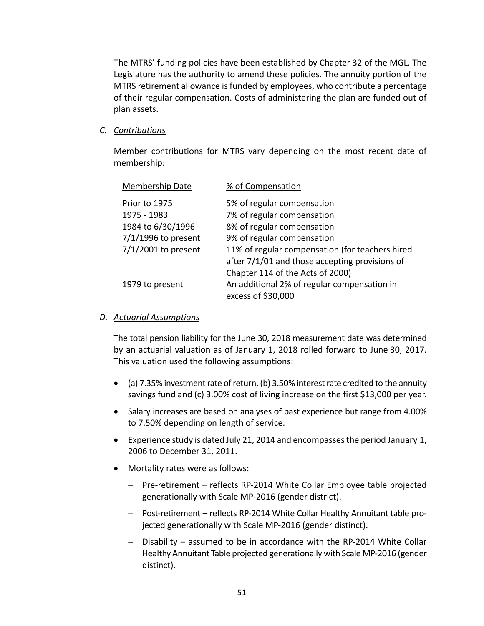The MTRS' funding policies have been established by Chapter 32 of the MGL. The Legislature has the authority to amend these policies. The annuity portion of the MTRS retirement allowance is funded by employees, who contribute a percentage of their regular compensation. Costs of administering the plan are funded out of plan assets.

# *C. Contributions*

Member contributions for MTRS vary depending on the most recent date of membership:

| <b>Membership Date</b> | % of Compensation                                                                                                                     |
|------------------------|---------------------------------------------------------------------------------------------------------------------------------------|
| Prior to 1975          | 5% of regular compensation                                                                                                            |
| 1975 - 1983            | 7% of regular compensation                                                                                                            |
| 1984 to 6/30/1996      | 8% of regular compensation                                                                                                            |
| $7/1/1996$ to present  | 9% of regular compensation                                                                                                            |
| $7/1/2001$ to present  | 11% of regular compensation (for teachers hired<br>after 7/1/01 and those accepting provisions of<br>Chapter 114 of the Acts of 2000) |
| 1979 to present        | An additional 2% of regular compensation in<br>excess of \$30,000                                                                     |

# *D. Actuarial Assumptions*

The total pension liability for the June 30, 2018 measurement date was determined by an actuarial valuation as of January 1, 2018 rolled forward to June 30, 2017. This valuation used the following assumptions:

- (a) 7.35% investment rate of return, (b) 3.50% interest rate credited to the annuity savings fund and (c) 3.00% cost of living increase on the first \$13,000 per year.
- Salary increases are based on analyses of past experience but range from 4.00% to 7.50% depending on length of service.
- Experience study is dated July 21, 2014 and encompasses the period January 1, 2006 to December 31, 2011.
- Mortality rates were as follows:
	- Pre-retirement reflects RP-2014 White Collar Employee table projected generationally with Scale MP‐2016 (gender district).
	- Post-retirement reflects RP-2014 White Collar Healthy Annuitant table projected generationally with Scale MP‐2016 (gender distinct).
	- Disability assumed to be in accordance with the RP‐2014 White Collar Healthy Annuitant Table projected generationally with Scale MP‐2016 (gender distinct).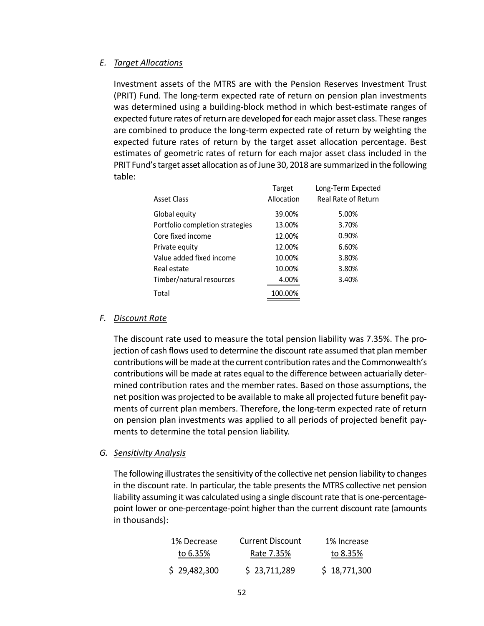# *E. Target Allocations*

Investment assets of the MTRS are with the Pension Reserves Investment Trust (PRIT) Fund. The long‐term expected rate of return on pension plan investments was determined using a building‐block method in which best‐estimate ranges of expected future rates of return are developed for each major asset class. These ranges are combined to produce the long‐term expected rate of return by weighting the expected future rates of return by the target asset allocation percentage. Best estimates of geometric rates of return for each major asset class included in the PRIT Fund's target asset allocation as of June 30, 2018 are summarized in the following table:

|                                 | Target     | Long-Term Expected  |
|---------------------------------|------------|---------------------|
| <b>Asset Class</b>              | Allocation | Real Rate of Return |
| Global equity                   | 39.00%     | 5.00%               |
| Portfolio completion strategies | 13.00%     | 3.70%               |
| Core fixed income               | 12.00%     | 0.90%               |
| Private equity                  | 12.00%     | 6.60%               |
| Value added fixed income        | 10.00%     | 3.80%               |
| Real estate                     | 10.00%     | 3.80%               |
| Timber/natural resources        | 4.00%      | 3.40%               |
| Total                           | 100.00%    |                     |

#### *F. Discount Rate*

The discount rate used to measure the total pension liability was 7.35%. The pro‐ jection of cash flows used to determine the discount rate assumed that plan member contributions will be made at the current contribution rates and the Commonwealth's contributions will be made at rates equal to the difference between actuarially deter‐ mined contribution rates and the member rates. Based on those assumptions, the net position was projected to be available to make all projected future benefit pay‐ ments of current plan members. Therefore, the long-term expected rate of return on pension plan investments was applied to all periods of projected benefit pay‐ ments to determine the total pension liability.

#### *G. Sensitivity Analysis*

The following illustrates the sensitivity of the collective net pension liability to changes in the discount rate. In particular, the table presents the MTRS collective net pension liability assuming it was calculated using a single discount rate that is one‐percentage‐ point lower or one-percentage-point higher than the current discount rate (amounts in thousands):

| 1% Decrease  | <b>Current Discount</b> | 1% Increase  |
|--------------|-------------------------|--------------|
| to 6.35%     | Rate 7.35%              | to 8.35%     |
| \$29,482,300 | \$23,711,289            | \$18,771,300 |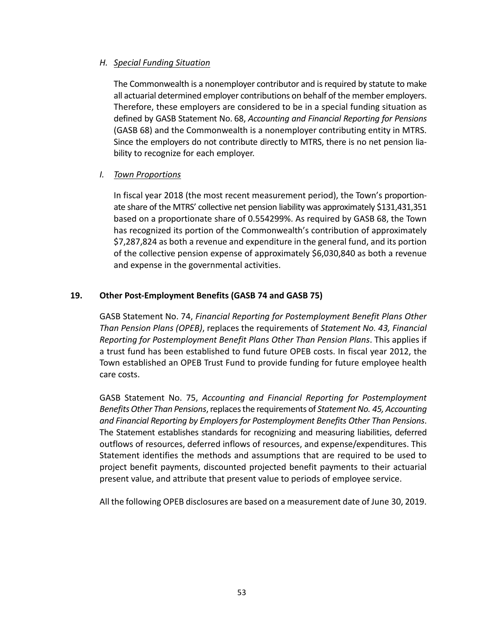# *H. Special Funding Situation*

The Commonwealth is a nonemployer contributor and is required by statute to make all actuarial determined employer contributions on behalf of the member employers. Therefore, these employers are considered to be in a special funding situation as defined by GASB Statement No. 68, *Accounting and Financial Reporting for Pensions* (GASB 68) and the Commonwealth is a nonemployer contributing entity in MTRS. Since the employers do not contribute directly to MTRS, there is no net pension lia‐ bility to recognize for each employer.

# *I. Town Proportions*

In fiscal year 2018 (the most recent measurement period), the Town's proportion‐ ate share of the MTRS' collective net pension liability was approximately \$131,431,351 based on a proportionate share of 0.554299%. As required by GASB 68, the Town has recognized its portion of the Commonwealth's contribution of approximately \$7,287,824 as both a revenue and expenditure in the general fund, and its portion of the collective pension expense of approximately \$6,030,840 as both a revenue and expense in the governmental activities.

# **19. Other Post‐Employment Benefits (GASB 74 and GASB 75)**

GASB Statement No. 74, *Financial Reporting for Postemployment Benefit Plans Other Than Pension Plans (OPEB)*, replaces the requirements of *Statement No. 43, Financial Reporting for Postemployment Benefit Plans Other Than Pension Plans*. This applies if a trust fund has been established to fund future OPEB costs. In fiscal year 2012, the Town established an OPEB Trust Fund to provide funding for future employee health care costs.

GASB Statement No. 75, *Accounting and Financial Reporting for Postemployment Benefits Other Than Pensions*, replaces the requirements of *Statement No. 45, Accounting and Financial Reporting by Employers for Postemployment Benefits Other Than Pensions*. The Statement establishes standards for recognizing and measuring liabilities, deferred outflows of resources, deferred inflows of resources, and expense/expenditures. This Statement identifies the methods and assumptions that are required to be used to project benefit payments, discounted projected benefit payments to their actuarial present value, and attribute that present value to periods of employee service.

All the following OPEB disclosures are based on a measurement date of June 30, 2019.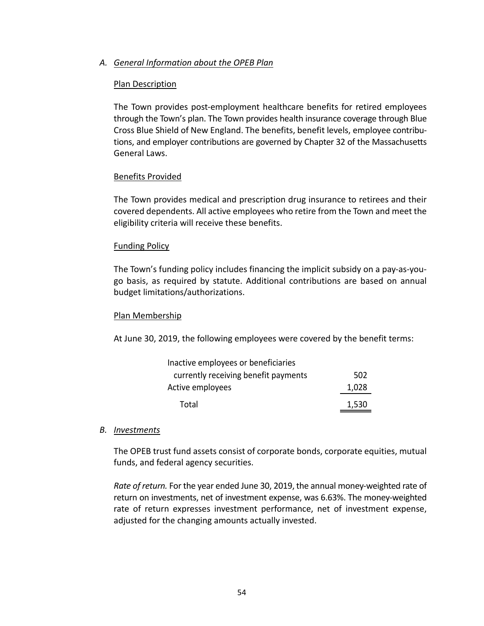# *A. General Information about the OPEB Plan*

# Plan Description

The Town provides post‐employment healthcare benefits for retired employees through the Town's plan. The Town provides health insurance coverage through Blue Cross Blue Shield of New England. The benefits, benefit levels, employee contribu‐ tions, and employer contributions are governed by Chapter 32 of the Massachusetts General Laws.

# Benefits Provided

The Town provides medical and prescription drug insurance to retirees and their covered dependents. All active employees who retire from the Town and meet the eligibility criteria will receive these benefits.

# Funding Policy

The Town's funding policy includes financing the implicit subsidy on a pay‐as‐you‐ go basis, as required by statute. Additional contributions are based on annual budget limitations/authorizations.

### Plan Membership

At June 30, 2019, the following employees were covered by the benefit terms:

| Inactive employees or beneficiaries  |       |
|--------------------------------------|-------|
| currently receiving benefit payments | 502   |
| Active employees                     | 1,028 |
| Total                                | 1,530 |

#### *B. Investments*

The OPEB trust fund assets consist of corporate bonds, corporate equities, mutual funds, and federal agency securities.

*Rate of return.* For the year ended June 30, 2019, the annual money-weighted rate of return on investments, net of investment expense, was 6.63%. The money-weighted rate of return expresses investment performance, net of investment expense, adjusted for the changing amounts actually invested.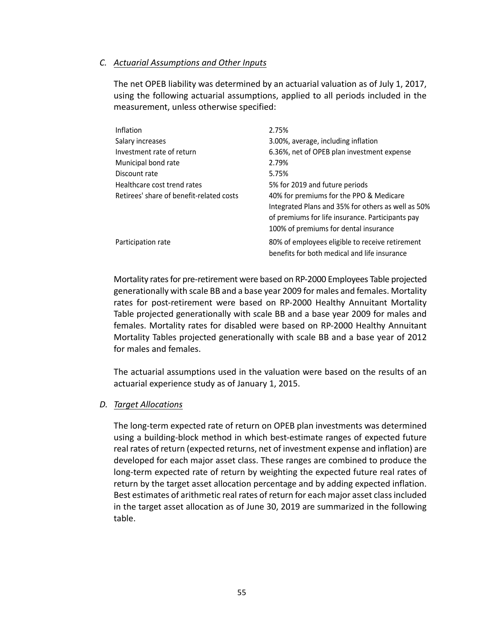# *C. Actuarial Assumptions and Other Inputs*

The net OPEB liability was determined by an actuarial valuation as of July 1, 2017, using the following actuarial assumptions, applied to all periods included in the measurement, unless otherwise specified:

| <b>Inflation</b>                         | 2.75%                                                                                                                                                                                      |
|------------------------------------------|--------------------------------------------------------------------------------------------------------------------------------------------------------------------------------------------|
| Salary increases                         | 3.00%, average, including inflation                                                                                                                                                        |
| Investment rate of return                | 6.36%, net of OPEB plan investment expense                                                                                                                                                 |
| Municipal bond rate                      | 2.79%                                                                                                                                                                                      |
| Discount rate                            | 5.75%                                                                                                                                                                                      |
| Healthcare cost trend rates              | 5% for 2019 and future periods                                                                                                                                                             |
| Retirees' share of benefit-related costs | 40% for premiums for the PPO & Medicare<br>Integrated Plans and 35% for others as well as 50%<br>of premiums for life insurance. Participants pay<br>100% of premiums for dental insurance |
| Participation rate                       | 80% of employees eligible to receive retirement<br>benefits for both medical and life insurance                                                                                            |

Mortality rates for pre‐retirement were based on RP‐2000 Employees Table projected generationally with scale BB and a base year 2009 for males and females. Mortality rates for post-retirement were based on RP-2000 Healthy Annuitant Mortality Table projected generationally with scale BB and a base year 2009 for males and females. Mortality rates for disabled were based on RP‐2000 Healthy Annuitant Mortality Tables projected generationally with scale BB and a base year of 2012 for males and females.

The actuarial assumptions used in the valuation were based on the results of an actuarial experience study as of January 1, 2015.

# *D. Target Allocations*

The long‐term expected rate of return on OPEB plan investments was determined using a building‐block method in which best‐estimate ranges of expected future real rates of return (expected returns, net of investment expense and inflation) are developed for each major asset class. These ranges are combined to produce the long-term expected rate of return by weighting the expected future real rates of return by the target asset allocation percentage and by adding expected inflation. Best estimates of arithmetic real rates of return for each major asset class included in the target asset allocation as of June 30, 2019 are summarized in the following table.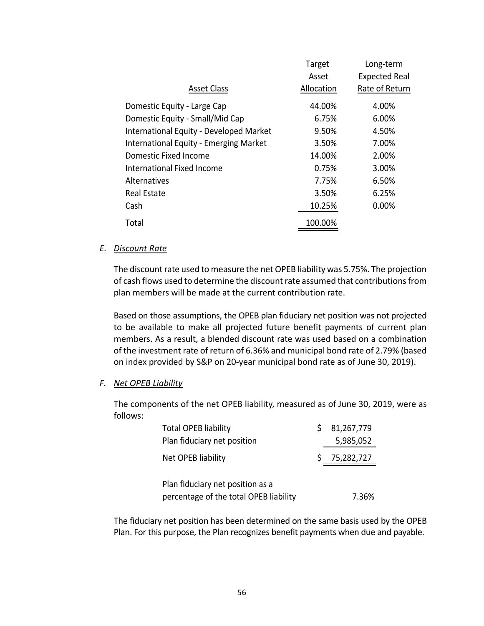|                                               | Target     | Long-term            |
|-----------------------------------------------|------------|----------------------|
|                                               | Asset      | <b>Expected Real</b> |
| <b>Asset Class</b>                            | Allocation | Rate of Return       |
| Domestic Equity - Large Cap                   | 44.00%     | 4.00%                |
| Domestic Equity - Small/Mid Cap               | 6.75%      | 6.00%                |
| International Equity - Developed Market       | 9.50%      | 4.50%                |
| <b>International Equity - Emerging Market</b> | 3.50%      | 7.00%                |
| Domestic Fixed Income                         | 14.00%     | 2.00%                |
| <b>International Fixed Income</b>             | 0.75%      | 3.00%                |
| Alternatives                                  | 7.75%      | 6.50%                |
| <b>Real Estate</b>                            | 3.50%      | 6.25%                |
| Cash                                          | 10.25%     | 0.00%                |
| Total                                         | 100.00%    |                      |

#### *E. Discount Rate*

The discount rate used to measure the net OPEB liability was 5.75%. The projection of cash flows used to determine the discount rate assumed that contributions from plan members will be made at the current contribution rate.

Based on those assumptions, the OPEB plan fiduciary net position was not projected to be available to make all projected future benefit payments of current plan members. As a result, a blended discount rate was used based on a combination of the investment rate of return of 6.36% and municipal bond rate of 2.79% (based on index provided by S&P on 20‐year municipal bond rate as of June 30, 2019).

#### *F. Net OPEB Liability*

The components of the net OPEB liability, measured as of June 30, 2019, were as follows:

| <b>Total OPEB liability</b>            |   | 81,267,779 |
|----------------------------------------|---|------------|
| Plan fiduciary net position            |   | 5,985,052  |
| Net OPEB liability                     | S | 75,282,727 |
| Plan fiduciary net position as a       |   |            |
| percentage of the total OPEB liability |   | 7.36%      |

The fiduciary net position has been determined on the same basis used by the OPEB Plan. For this purpose, the Plan recognizes benefit payments when due and payable.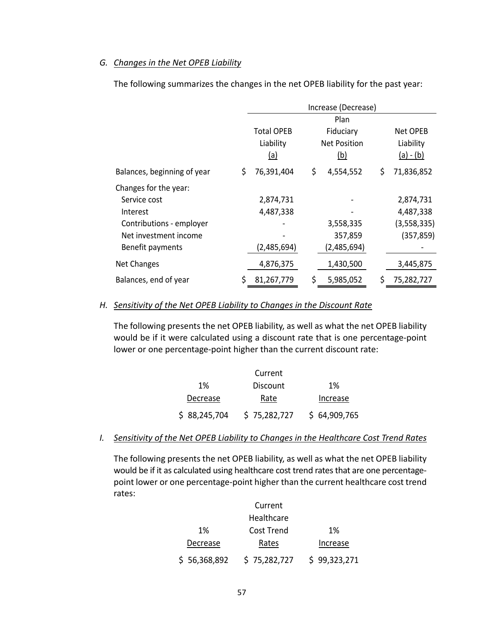### *G. Changes in the Net OPEB Liability*

The following summarizes the changes in the net OPEB liability for the past year:

|                             | Increase (Decrease)                          |    |                                                |                                           |
|-----------------------------|----------------------------------------------|----|------------------------------------------------|-------------------------------------------|
|                             |                                              |    | Plan                                           |                                           |
|                             | <b>Total OPEB</b><br>Liability<br><u>(a)</u> |    | Fiduciary<br><b>Net Position</b><br><u>(b)</u> | Net OPEB<br>Liability<br><u>(a) - (b)</u> |
| Balances, beginning of year | \$<br>76,391,404                             | \$ | 4,554,552                                      | \$<br>71,836,852                          |
| Changes for the year:       |                                              |    |                                                |                                           |
| Service cost                | 2,874,731                                    |    |                                                | 2,874,731                                 |
| Interest                    | 4,487,338                                    |    |                                                | 4,487,338                                 |
| Contributions - employer    |                                              |    | 3,558,335                                      | (3,558,335)                               |
| Net investment income       |                                              |    | 357,859                                        | (357, 859)                                |
| Benefit payments            | (2,485,694)                                  |    | (2,485,694)                                    |                                           |
| Net Changes                 | 4,876,375                                    |    | 1,430,500                                      | 3,445,875                                 |
| Balances, end of year       | \$<br>81,267,779                             | \$ | 5,985,052                                      | \$<br>75,282,727                          |

#### *H. Sensitivity of the Net OPEB Liability to Changes in the Discount Rate*

The following presents the net OPEB liability, as well as what the net OPEB liability would be if it were calculated using a discount rate that is one percentage‐point lower or one percentage‐point higher than the current discount rate:

|              | Current      |              |
|--------------|--------------|--------------|
| 1%           | Discount     | 1%           |
| Decrease     | Rate         | Increase     |
| \$88,245,704 | \$75,282,727 | \$64,909,765 |

#### *I. Sensitivity of the Net OPEB Liability to Changes in the Healthcare Cost Trend Rates*

The following presents the net OPEB liability, as well as what the net OPEB liability would be if it as calculated using healthcare cost trend rates that are one percentage‐ point lower or one percentage‐point higher than the current healthcare cost trend rates:

|              | Current      |              |
|--------------|--------------|--------------|
|              | Healthcare   |              |
| 1%           | Cost Trend   | 1%           |
| Decrease     | Rates        | Increase     |
| \$56,368,892 | \$75,282,727 | \$99,323,271 |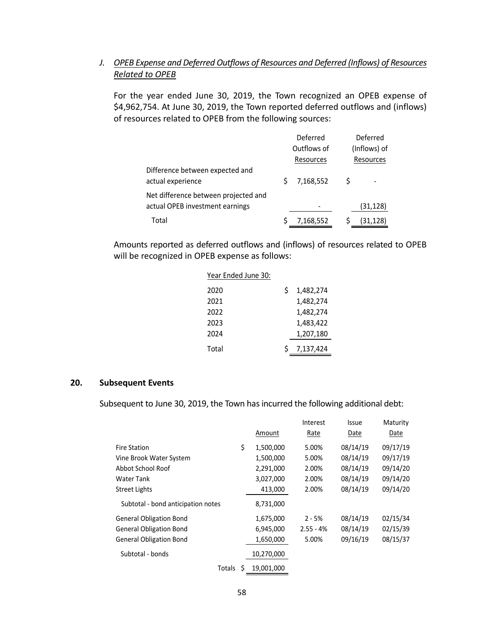# *J. OPEB Expense and Deferred Outflows of Resources and Deferred (Inflows) of Resources Related to OPEB*

For the year ended June 30, 2019, the Town recognized an OPEB expense of \$4,962,754. At June 30, 2019, the Town reported deferred outflows and (inflows) of resources related to OPEB from the following sources:

|                                      | Deferred    |   | Deferred     |
|--------------------------------------|-------------|---|--------------|
|                                      | Outflows of |   | (Inflows) of |
|                                      | Resources   |   | Resources    |
| Difference between expected and      |             |   |              |
| actual experience                    | 7,168,552   | S |              |
| Net difference between projected and |             |   |              |
| actual OPEB investment earnings      |             |   | (31, 128)    |
| Total                                | 7,168,552   |   | (31,128)     |

Amounts reported as deferred outflows and (inflows) of resources related to OPEB will be recognized in OPEB expense as follows:

| Year Ended June 30: |    |           |
|---------------------|----|-----------|
| 2020                | Ś  | 1,482,274 |
| 2021                |    | 1,482,274 |
| 2022                |    | 1,482,274 |
| 2023                |    | 1,483,422 |
| 2024                |    | 1,207,180 |
| Total               | S. | 7,137,424 |

### **20. Subsequent Events**

Subsequent to June 30, 2019, the Town has incurred the following additional debt:

|                                    |    |            | Interest    | <b>Issue</b> | Maturity |
|------------------------------------|----|------------|-------------|--------------|----------|
|                                    |    | Amount     | Rate        | Date         | Date     |
| <b>Fire Station</b>                | \$ | 1,500,000  | 5.00%       | 08/14/19     | 09/17/19 |
| Vine Brook Water System            |    | 1,500,000  | 5.00%       | 08/14/19     | 09/17/19 |
| Abbot School Roof                  |    | 2,291,000  | 2.00%       | 08/14/19     | 09/14/20 |
| <b>Water Tank</b>                  |    | 3,027,000  | 2.00%       | 08/14/19     | 09/14/20 |
| <b>Street Lights</b>               |    | 413,000    | 2.00%       | 08/14/19     | 09/14/20 |
| Subtotal - bond anticipation notes |    | 8,731,000  |             |              |          |
| <b>General Obligation Bond</b>     |    | 1,675,000  | $2 - 5%$    | 08/14/19     | 02/15/34 |
| <b>General Obligation Bond</b>     |    | 6,945,000  | $2.55 - 4%$ | 08/14/19     | 02/15/39 |
| <b>General Obligation Bond</b>     |    | 1,650,000  | 5.00%       | 09/16/19     | 08/15/37 |
| Subtotal - bonds                   |    | 10,270,000 |             |              |          |
| Totals                             | S  | 19,001,000 |             |              |          |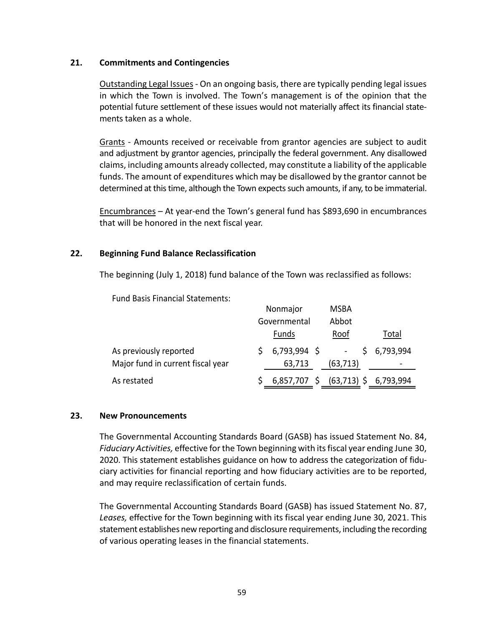# **21. Commitments and Contingencies**

Outstanding Legal Issues ‐ On an ongoing basis, there are typically pending legal issues in which the Town is involved. The Town's management is of the opinion that the potential future settlement of these issues would not materially affect its financial state‐ ments taken as a whole.

Grants ‐ Amounts received or receivable from grantor agencies are subject to audit and adjustment by grantor agencies, principally the federal government. Any disallowed claims, including amounts already collected, may constitute a liability of the applicable funds. The amount of expenditures which may be disallowed by the grantor cannot be determined at this time, although the Town expects such amounts, if any, to be immaterial.

Encumbrances – At year‐end the Town's general fund has \$893,690 in encumbrances that will be honored in the next fiscal year.

# **22. Beginning Fund Balance Reclassification**

The beginning (July 1, 2018) fund balance of the Town was reclassified as follows:

| i unu Dasis i indheidi Statenichts. | Nonmajor       | MSBA                    |           |
|-------------------------------------|----------------|-------------------------|-----------|
|                                     | Governmental   | Abbot                   |           |
|                                     | Funds          | Roof                    | Total     |
| As previously reported              | $6,793,994$ \$ | S.<br>$\sim 10$         | 6,793,994 |
| Major fund in current fiscal year   | 63,713         | (63,713)                |           |
| As restated                         | $6,857,707$ \$ | $(63,713)$ \$ 6,793,994 |           |

Fund Basis Financial Statements:

# **23. New Pronouncements**

The Governmental Accounting Standards Board (GASB) has issued Statement No. 84, *Fiduciary Activities,* effective for the Town beginning with its fiscal year ending June 30, 2020. This statement establishes guidance on how to address the categorization of fidu‐ ciary activities for financial reporting and how fiduciary activities are to be reported, and may require reclassification of certain funds.

The Governmental Accounting Standards Board (GASB) has issued Statement No. 87, *Leases,* effective for the Town beginning with its fiscal year ending June 30, 2021. This statement establishes new reporting and disclosure requirements, including the recording of various operating leases in the financial statements.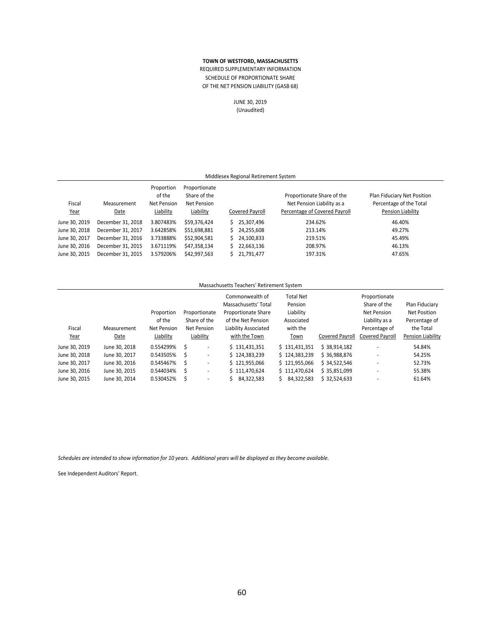SCHEDULE OF PROPORTIONATE SHARE REQUIRED SUPPLEMENTARY INFORMATION

OF THE NET PENSION LIABILITY (GASB 68)

JUNE 30, 2019 (Unaudited)

#### Middlesex Regional Retirement System

| Fiscal<br><u>Year</u> | Measurement<br>Date | Proportion<br>of the<br>Net Pension<br>Liability | Proportionate<br>Share of the<br>Net Pension<br>Liability | <b>Covered Pavroll</b> | Proportionate Share of the<br>Net Pension Liability as a<br>Percentage of Covered Payroll | Plan Fiduciary Net Position<br>Percentage of the Total<br>Pension Liability |
|-----------------------|---------------------|--------------------------------------------------|-----------------------------------------------------------|------------------------|-------------------------------------------------------------------------------------------|-----------------------------------------------------------------------------|
| June 30, 2019         | December 31, 2018   | 3.807483%                                        | \$59,376,424                                              | \$25,307,496           | 234.62%                                                                                   | 46.40%                                                                      |
| June 30, 2018         | December 31, 2017   | 3.642858%                                        | \$51,698,881                                              | \$24,255,608           | 213.14%                                                                                   | 49.27%                                                                      |
| June 30, 2017         | December 31, 2016   | 3.733888%                                        | \$52,904,581                                              | \$24,100,833           | 219.51%                                                                                   | 45.49%                                                                      |
| June 30, 2016         | December 31, 2015   | 3.671119%                                        | \$47,358,134                                              | \$22,663,136           | 208.97%                                                                                   | 46.13%                                                                      |
| June 30, 2015         | December 31, 2015   | 3.579206%                                        | \$42,997,563                                              | \$21,791,477           | 197.31%                                                                                   | 47.65%                                                                      |

#### Massachusetts Teachers' Retirement System

| Fiscal        | Measurement   | Proportion<br>of the<br>Net Pension | Proportionate<br>Share of the<br><b>Net Pension</b> | Commonwealth of<br>Massachusetts' Total<br>Proportionate Share<br>of the Net Pension<br>Liability Associated | <b>Total Net</b><br>Pension<br>Liability<br>Associated<br>with the |                        | Proportionate<br>Share of the<br><b>Net Pension</b><br>Liability as a<br>Percentage of | Plan Fiduciary<br><b>Net Position</b><br>Percentage of<br>the Total |
|---------------|---------------|-------------------------------------|-----------------------------------------------------|--------------------------------------------------------------------------------------------------------------|--------------------------------------------------------------------|------------------------|----------------------------------------------------------------------------------------|---------------------------------------------------------------------|
| Year          | Date          | Liability                           | Liability                                           | with the Town                                                                                                | Town                                                               | <b>Covered Pavroll</b> | Covered Payroll                                                                        | Pension Liability                                                   |
| June 30, 2019 | June 30, 2018 | 0.554299%                           | $\overline{a}$                                      | \$131,431,351                                                                                                | \$131,431,351                                                      | \$38.914.182           |                                                                                        | 54.84%                                                              |
| June 30, 2018 | June 30, 2017 | 0.543505%                           | $\overline{\phantom{a}}$                            | \$124,383,239                                                                                                | \$124,383,239                                                      | \$36,988,876           |                                                                                        | 54.25%                                                              |
| June 30, 2017 | June 30, 2016 | 0.545467%                           | $\overline{\phantom{a}}$                            | \$121,955,066                                                                                                | \$121,955,066                                                      | \$34.522.546           |                                                                                        | 52.73%                                                              |
| June 30, 2016 | June 30, 2015 | 0.544034%                           | $\overline{\phantom{a}}$                            | \$111,470,624                                                                                                | \$111,470,624                                                      | \$35,851,099           |                                                                                        | 55.38%                                                              |
| June 30, 2015 | June 30, 2014 | 0.530452%                           | $\overline{\phantom{a}}$                            | 84,322,583                                                                                                   | 84,322,583                                                         | \$32,524,633           |                                                                                        | 61.64%                                                              |

*Schedules are intended to show information for 10 years. Additional years will be displayed as they become available.*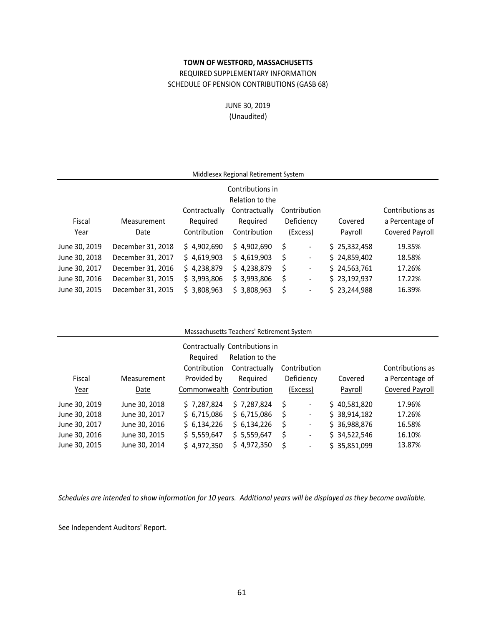SCHEDULE OF PENSION CONTRIBUTIONS (GASB 68) REQUIRED SUPPLEMENTARY INFORMATION

> JUNE 30, 2019 (Unaudited)

| Middlesex Regional Retirement System |                                                                                 |                 |              |    |                          |              |                 |  |  |  |
|--------------------------------------|---------------------------------------------------------------------------------|-----------------|--------------|----|--------------------------|--------------|-----------------|--|--|--|
| Contributions in                     |                                                                                 |                 |              |    |                          |              |                 |  |  |  |
|                                      | Relation to the                                                                 |                 |              |    |                          |              |                 |  |  |  |
|                                      | Contributions as<br>Contractually<br>Contribution<br>Contractually              |                 |              |    |                          |              |                 |  |  |  |
| Fiscal                               | Deficiency<br>Required<br>Required<br>a Percentage of<br>Measurement<br>Covered |                 |              |    |                          |              |                 |  |  |  |
| Year                                 | Date                                                                            | Contribution    | Contribution |    | (Excess)                 | Payroll      | Covered Payroll |  |  |  |
| June 30, 2019                        | December 31, 2018                                                               | \$4,902,690     | \$4,902,690  | \$ | $\overline{\phantom{a}}$ | \$25,332,458 | 19.35%          |  |  |  |
| June 30, 2018                        | December 31, 2017                                                               | \$4,619,903     | \$4,619,903  | \$ | $\blacksquare$           | \$24,859,402 | 18.58%          |  |  |  |
| June 30, 2017                        | December 31, 2016                                                               | \$4,238,879     | \$4,238,879  | \$ | Ξ.                       | \$24,563,761 | 17.26%          |  |  |  |
| June 30, 2016                        | December 31, 2015                                                               | \$3,993,806     | \$3,993,806  | \$ | $\overline{\phantom{a}}$ | \$23,192,937 | 17.22%          |  |  |  |
| June 30, 2015                        | December 31, 2015                                                               | 3,808,963<br>S. | \$3,808,963  | \$ | $\blacksquare$           | \$23,244,988 | 16.39%          |  |  |  |

#### Massachusetts Teachers' Retirement System

| Contractually Contributions in<br>Relation to the<br>Required |               |              |               |    |                |              |                  |  |
|---------------------------------------------------------------|---------------|--------------|---------------|----|----------------|--------------|------------------|--|
|                                                               |               | Contribution | Contractually |    | Contribution   |              | Contributions as |  |
| Fiscal                                                        | Measurement   | Provided by  | Required      |    | Deficiency     | Covered      | a Percentage of  |  |
| Year                                                          | Date          | Commonwealth | Contribution  |    | (Excess)       | Payroll      | Covered Payroll  |  |
| June 30, 2019                                                 | June 30, 2018 | \$7,287,824  | \$7,287,824   | S  | $\blacksquare$ | \$40,581,820 | 17.96%           |  |
| June 30, 2018                                                 | June 30, 2017 | \$6,715,086  | \$6,715,086   | S  | ۰.             | \$38,914,182 | 17.26%           |  |
| June 30, 2017                                                 | June 30, 2016 | \$6,134,226  | \$6,134,226   | S  | ۰              | \$36,988,876 | 16.58%           |  |
| June 30, 2016                                                 | June 30, 2015 | \$5,559,647  | \$5,559,647   | \$ | ۰.             | \$34,522,546 | 16.10%           |  |
| June 30, 2015                                                 | June 30, 2014 | \$4,972,350  | \$4,972,350   | Ŝ  | $\blacksquare$ | \$35,851,099 | 13.87%           |  |

*Schedules are intended to show information for 10 years. Additional years will be displayed as they become available.*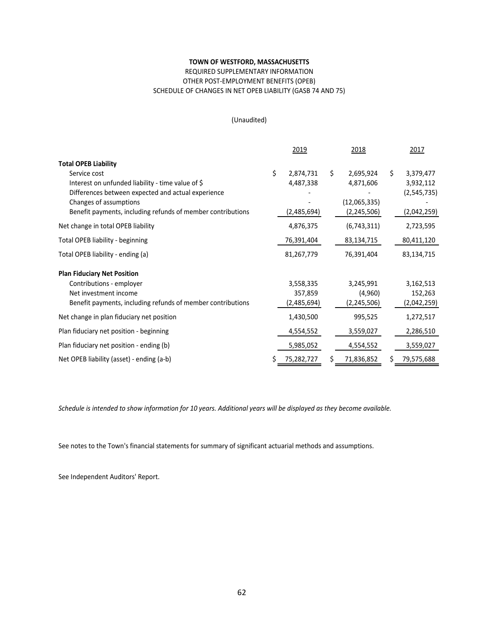#### OTHER POST‐EMPLOYMENT BENEFITS (OPEB) REQUIRED SUPPLEMENTARY INFORMATION SCHEDULE OF CHANGES IN NET OPEB LIABILITY (GASB 74 AND 75)

#### (Unaudited)

|                                                             | 2019             |     | 2018          |    | 2017          |
|-------------------------------------------------------------|------------------|-----|---------------|----|---------------|
| <b>Total OPEB Liability</b>                                 |                  |     |               |    |               |
| Service cost                                                | \$<br>2,874,731  | Ŝ.  | 2,695,924     | \$ | 3,379,477     |
| Interest on unfunded liability - time value of \$           | 4,487,338        |     | 4,871,606     |    | 3,932,112     |
| Differences between expected and actual experience          |                  |     |               |    | (2, 545, 735) |
| Changes of assumptions                                      |                  |     | (12,065,335)  |    |               |
| Benefit payments, including refunds of member contributions | (2,485,694)      |     | (2,245,506)   |    | (2,042,259)   |
| Net change in total OPEB liability                          | 4,876,375        |     | (6,743,311)   |    | 2,723,595     |
| Total OPEB liability - beginning                            | 76,391,404       |     | 83,134,715    |    | 80,411,120    |
| Total OPEB liability - ending (a)                           | 81,267,779       |     | 76,391,404    |    | 83,134,715    |
| <b>Plan Fiduciary Net Position</b>                          |                  |     |               |    |               |
| Contributions - employer                                    | 3,558,335        |     | 3,245,991     |    | 3,162,513     |
| Net investment income                                       | 357,859          |     | (4,960)       |    | 152,263       |
| Benefit payments, including refunds of member contributions | (2,485,694)      |     | (2, 245, 506) |    | (2,042,259)   |
| Net change in plan fiduciary net position                   | 1,430,500        |     | 995,525       |    | 1,272,517     |
| Plan fiduciary net position - beginning                     | 4,554,552        |     | 3,559,027     |    | 2,286,510     |
| Plan fiduciary net position - ending (b)                    | 5,985,052        |     | 4,554,552     |    | 3,559,027     |
| Net OPEB liability (asset) - ending (a-b)                   | \$<br>75,282,727 | \$. | 71,836,852    | S  | 79,575,688    |

*Schedule is intended to show information for 10 years. Additional years will be displayed as they become available.*

See notes to the Town's financial statements for summary of significant actuarial methods and assumptions.